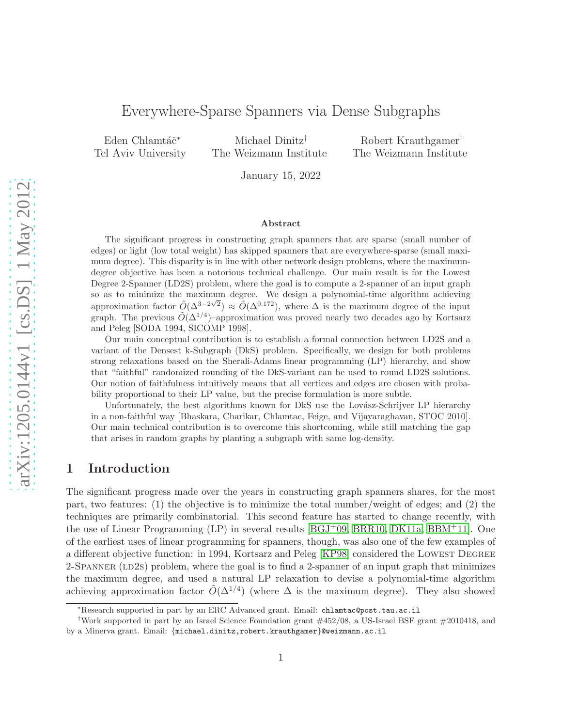# Everywhere-Sparse Spanners via Dense Subgraphs

Eden Chlamtáč<sup>\*</sup> Tel Aviv University

Michael Dinitz† The Weizmann Institute

Robert Krauthgamer† The Weizmann Institute

January 15, 2022

#### Abstract

The significant progress in constructing graph spanners that are sparse (small number of edges) or light (low total weight) has skipped spanners that are everywhere-sparse (small maximum degree). This disparity is in line with other network design problems, where the maximumdegree objective has been a notorious technical challenge. Our main result is for the Lowest Degree 2-Spanner (LD2S) problem, where the goal is to compute a 2-spanner of an input graph so as to minimize the maximum degree. We design a polynomial-time algorithm achieving approximation factor  $\tilde{O}(\Delta^{3-2\sqrt{2}}) \approx \tilde{O}(\Delta^{0.172})$ , where  $\Delta$  is the maximum degree of the input graph. The previous  $\tilde{O}(\Delta^{1/4})$ -approximation was proved nearly two decades ago by Kortsarz and Peleg [SODA 1994, SICOMP 1998].

Our main conceptual contribution is to establish a formal connection between LD2S and a variant of the Densest k-Subgraph (DkS) problem. Specifically, we design for both problems strong relaxations based on the Sherali-Adams linear programming (LP) hierarchy, and show that "faithful" randomized rounding of the DkS-variant can be used to round LD2S solutions. Our notion of faithfulness intuitively means that all vertices and edges are chosen with probability proportional to their LP value, but the precise formulation is more subtle.

Unfortunately, the best algorithms known for DkS use the Lovász-Schrijver LP hierarchy in a non-faithful way [Bhaskara, Charikar, Chlamtac, Feige, and Vijayaraghavan, STOC 2010]. Our main technical contribution is to overcome this shortcoming, while still matching the gap that arises in random graphs by planting a subgraph with same log-density.

## 1 Introduction

The significant progress made over the years in constructing graph spanners shares, for the most part, two features: (1) the objective is to minimize the total number/weight of edges; and (2) the techniques are primarily combinatorial. This second feature has started to change recently, with the use of Linear Programming  $(LP)$  in several results  $[BGJ^+09, BRR10, DK11a, BBM^+11]$  $[BGJ^+09, BRR10, DK11a, BBM^+11]$  $[BGJ^+09, BRR10, DK11a, BBM^+11]$  $[BGJ^+09, BRR10, DK11a, BBM^+11]$  $[BGJ^+09, BRR10, DK11a, BBM^+11]$ . One of the earliest uses of linear programming for spanners, though, was also one of the few examples of a different objective function: in 1994, Kortsarz and Peleg [\[KP98\]](#page-36-0) considered the LOWEST DEGREE 2-SPANNER (LD2s) problem, where the goal is to find a 2-spanner of an input graph that minimizes the maximum degree, and used a natural LP relaxation to devise a polynomial-time algorithm achieving approximation factor  $\tilde{O}(\Delta^{1/4})$  (where  $\Delta$  is the maximum degree). They also showed

<sup>∗</sup>Research supported in part by an ERC Advanced grant. Email: chlamtac@post.tau.ac.il

<sup>†</sup>Work supported in part by an Israel Science Foundation grant #452/08, a US-Israel BSF grant #2010418, and by a Minerva grant. Email: {michael.dinitz,robert.krauthgamer}@weizmann.ac.il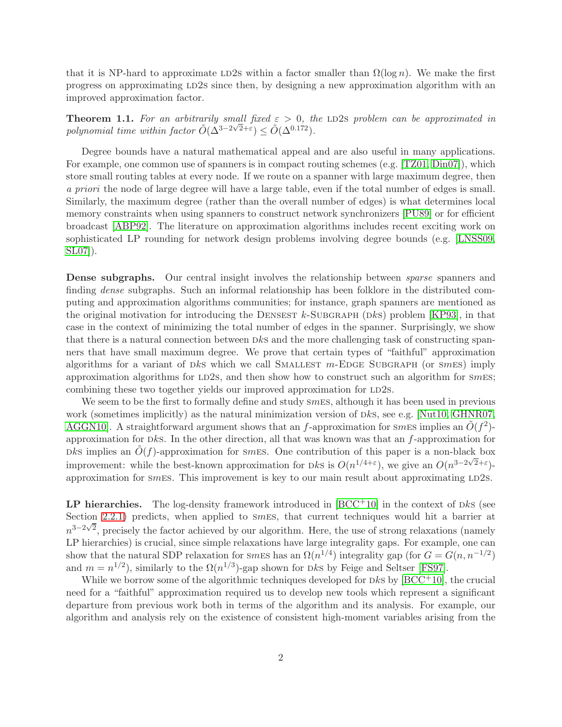that it is NP-hard to approximate LD2s within a factor smaller than  $\Omega(\log n)$ . We make the first progress on approximating LD2s since then, by designing a new approximation algorithm with an improved approximation factor.

**Theorem 1.1.** For an arbitrarily small fixed  $\varepsilon > 0$ , the LD2s problem can be approximated in polynomial time within factor  $\tilde{O}(\Delta^{3-2\sqrt{2}+\varepsilon}) \leq \tilde{O}(\Delta^{0.172})$ .

Degree bounds have a natural mathematical appeal and are also useful in many applications. For example, one common use of spanners is in compact routing schemes (e.g. [\[TZ01,](#page-37-0) [Din07\]](#page-35-4)), which store small routing tables at every node. If we route on a spanner with large maximum degree, then a priori the node of large degree will have a large table, even if the total number of edges is small. Similarly, the maximum degree (rather than the overall number of edges) is what determines local memory constraints when using spanners to construct network synchronizers [\[PU89\]](#page-36-1) or for efficient broadcast [\[ABP92\]](#page-34-0). The literature on approximation algorithms includes recent exciting work on sophisticated LP rounding for network design problems involving degree bounds (e.g. [\[LNSS09,](#page-36-2) [SL07\]](#page-36-3)).

**Dense subgraphs.** Our central insight involves the relationship between *sparse* spanners and finding dense subgraphs. Such an informal relationship has been folklore in the distributed computing and approximation algorithms communities; for instance, graph spanners are mentioned as the original motivation for introducing the DENSEST  $k$ -SUBGRAPH (DkS) problem [\[KP93\]](#page-36-4), in that case in the context of minimizing the total number of edges in the spanner. Surprisingly, we show that there is a natural connection between  $DkS$  and the more challenging task of constructing spanners that have small maximum degree. We prove that certain types of "faithful" approximation algorithms for a variant of  $Dks$  which we call SMALLEST  $m$ -EDGE SUBGRAPH (or  $smES$ ) imply approximation algorithms for LD2s, and then show how to construct such an algorithm for  $\varsigma m$ Es; combining these two together yields our improved approximation for LD2s.

We seem to be the first to formally define and study  $smES$ , although it has been used in previous work (sometimes implicitly) as the natural minimization version of Dks, see e.g. [\[Nut10,](#page-36-5) [GHNR07,](#page-36-6) [AGGN10\]](#page-34-1). A straightforward argument shows that an f-approximation for smes implies an  $\tilde{O}(f^2)$ approximation for  $Dks$ . In the other direction, all that was known was that an f-approximation for  $R$  implies an  $\tilde{O}(f)$ -approximation for smes. One contribution of this paper is a non-black box improvement: while the best-known approximation for Dks is  $O(n^{1/4+\epsilon})$ , we give an  $O(n^{3-2\sqrt{2}+\epsilon})$ approximation for smes. This improvement is key to our main result about approximating  $LD2s$ .

LP hierarchies. The log-density framework introduced in  $[BCC<sup>+10</sup>]$  in the context of Dks (see Section [2.2.1\)](#page-8-0) predicts, when applied to smes, that current techniques would hit a barrier at  $n^{3-2\sqrt{2}}$ , precisely the factor achieved by our algorithm. Here, the use of strong relaxations (namely LP hierarchies) is crucial, since simple relaxations have large integrality gaps. For example, one can show that the natural SDP relaxation for smEs has an  $\Omega(n^{1/4})$  integrality gap (for  $G = G(n, n^{-1/2})$ ) and  $m = n^{1/2}$ , similarly to the  $\Omega(n^{1/3})$ -gap shown for Dks by Feige and Seltser [\[FS97\]](#page-36-7).

While we borrow some of the algorithmic techniques developed for  $DkS$  by  $[BCC^+10]$ , the crucial need for a "faithful" approximation required us to develop new tools which represent a significant departure from previous work both in terms of the algorithm and its analysis. For example, our algorithm and analysis rely on the existence of consistent high-moment variables arising from the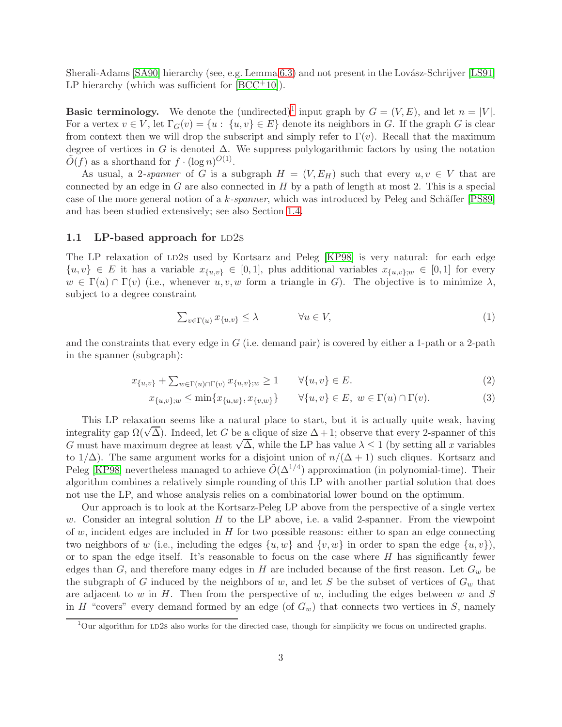Sherali-Adams [\[SA90\]](#page-36-8) hierarchy (see, e.g. Lemma [6.3\)](#page-26-0) and not present in the Lovász-Schrijver [\[LS91\]](#page-36-9) LP hierarchy (which was sufficient for  $[BCC^+10]$ ).

**Basic terminology.** We denote the (undirected)<sup>[1](#page-2-0)</sup> input graph by  $G = (V, E)$ , and let  $n = |V|$ . For a vertex  $v \in V$ , let  $\Gamma_G(v) = \{u : \{u, v\} \in E\}$  denote its neighbors in G. If the graph G is clear from context then we will drop the subscript and simply refer to  $\Gamma(v)$ . Recall that the maximum degree of vertices in G is denoted  $\Delta$ . We suppress polylogarithmic factors by using the notation  $\tilde{O}(f)$  as a shorthand for  $f \cdot (\log n)^{O(1)}$ .

As usual, a 2-spanner of G is a subgraph  $H = (V, E_H)$  such that every  $u, v \in V$  that are connected by an edge in  $G$  are also connected in  $H$  by a path of length at most 2. This is a special case of the more general notion of a k-spanner, which was introduced by Peleg and Schäffer  $[PS89]$ and has been studied extensively; see also Section [1.4.](#page-5-0)

## 1.1 LP-based approach for  $LD2s$

The LP relaxation of LD2s used by Kortsarz and Peleg [\[KP98\]](#page-36-0) is very natural: for each edge  $\{u, v\} \in E$  it has a variable  $x_{\{u, v\}} \in [0, 1]$ , plus additional variables  $x_{\{u, v\};w} \in [0, 1]$  for every  $w \in \Gamma(u) \cap \Gamma(v)$  (i.e., whenever  $u, v, w$  form a triangle in G). The objective is to minimize  $\lambda$ , subject to a degree constraint

$$
\sum_{v \in \Gamma(u)} x_{\{u,v\}} \le \lambda \qquad \forall u \in V,\tag{1}
$$

and the constraints that every edge in  $G$  (i.e. demand pair) is covered by either a 1-path or a 2-path in the spanner (subgraph):

$$
x_{\{u,v\}} + \sum_{w \in \Gamma(u) \cap \Gamma(v)} x_{\{u,v\};w} \ge 1 \qquad \forall \{u,v\} \in E.
$$
 (2)

$$
x_{\{u,v\};w} \le \min\{x_{\{u,w\}}, x_{\{v,w\}}\} \qquad \forall \{u,v\} \in E, \ w \in \Gamma(u) \cap \Gamma(v). \tag{3}
$$

This LP relaxation seems like a natural place to start, but it is actually quite weak, having integrality gap  $\Omega(\sqrt{\Delta})$ . Indeed, let G be a clique of size  $\Delta + 1$ ; observe that every 2-spanner of this G must have maximum degree at least  $\sqrt{\Delta}$ , while the LP has value  $\lambda \leq 1$  (by setting all x variables to  $1/\Delta$ ). The same argument works for a disjoint union of  $n/(\Delta+1)$  such cliques. Kortsarz and Peleg [\[KP98\]](#page-36-0) nevertheless managed to achieve  $\tilde{O}(\Delta^{1/4})$  approximation (in polynomial-time). Their algorithm combines a relatively simple rounding of this LP with another partial solution that does not use the LP, and whose analysis relies on a combinatorial lower bound on the optimum.

Our approach is to look at the Kortsarz-Peleg LP above from the perspective of a single vertex w. Consider an integral solution  $H$  to the LP above, i.e. a valid 2-spanner. From the viewpoint of w, incident edges are included in  $H$  for two possible reasons: either to span an edge connecting two neighbors of w (i.e., including the edges  $\{u, w\}$  and  $\{v, w\}$  in order to span the edge  $\{u, v\}$ ), or to span the edge itself. It's reasonable to focus on the case where  $H$  has significantly fewer edges than  $G$ , and therefore many edges in H are included because of the first reason. Let  $G_w$  be the subgraph of G induced by the neighbors of w, and let S be the subset of vertices of  $G_w$  that are adjacent to w in  $H$ . Then from the perspective of w, including the edges between w and S in H "covers" every demand formed by an edge (of  $G_w$ ) that connects two vertices in S, namely

<span id="page-2-0"></span> $1$ Our algorithm for LD2s also works for the directed case, though for simplicity we focus on undirected graphs.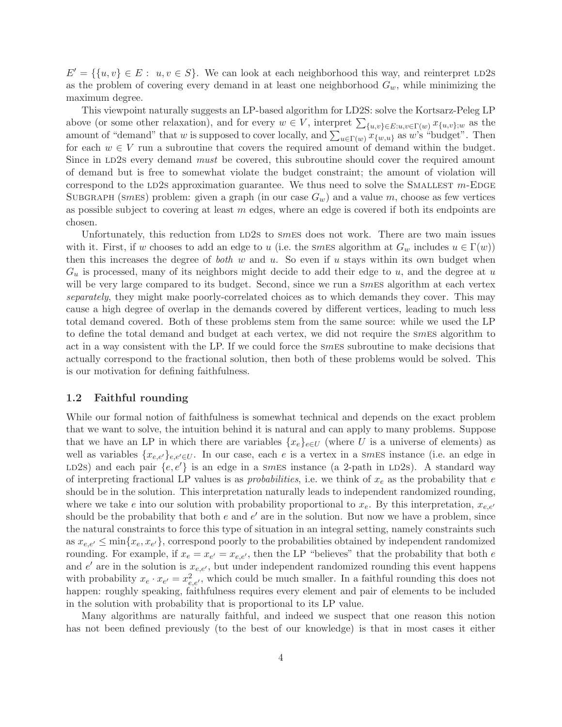$E' = \{\{u, v\} \in E: u, v \in S\}$ . We can look at each neighborhood this way, and reinterpret LD2s as the problem of covering every demand in at least one neighborhood  $G_w$ , while minimizing the maximum degree.

This viewpoint naturally suggests an LP-based algorithm for LD2S: solve the Kortsarz-Peleg LP above (or some other relaxation), and for every  $w \in V$ , interpret  $\sum_{\{u,v\} \in E: u,v \in \Gamma(w)} x_{\{u,v\};w}$  as the amount of "demand" that w is supposed to cover locally, and  $\sum_{u \in \Gamma(w)} x_{\{w,u\}}$  as w's "budget". Then for each  $w \in V$  run a subroutine that covers the required amount of demand within the budget. Since in LD2s every demand must be covered, this subroutine should cover the required amount of demand but is free to somewhat violate the budget constraint; the amount of violation will correspond to the LD2s approximation guarantee. We thus need to solve the SMALLEST  $m$ -EDGE SUBGRAPH (smes) problem: given a graph (in our case  $G_w$ ) and a value m, choose as few vertices as possible subject to covering at least  $m$  edges, where an edge is covered if both its endpoints are chosen.

Unfortunately, this reduction from LD2s to smes does not work. There are two main issues with it. First, if w chooses to add an edge to u (i.e. the smaller subseted in at  $G_w$  includes  $u \in \Gamma(w)$ ) then this increases the degree of both  $w$  and  $u$ . So even if  $u$  stays within its own budget when  $G_u$  is processed, many of its neighbors might decide to add their edge to u, and the degree at u will be very large compared to its budget. Second, since we run a smes algorithm at each vertex separately, they might make poorly-correlated choices as to which demands they cover. This may cause a high degree of overlap in the demands covered by different vertices, leading to much less total demand covered. Both of these problems stem from the same source: while we used the LP to define the total demand and budget at each vertex, we did not require the smes algorithm to act in a way consistent with the LP. If we could force the smes subroutine to make decisions that actually correspond to the fractional solution, then both of these problems would be solved. This is our motivation for defining faithfulness.

### 1.2 Faithful rounding

While our formal notion of faithfulness is somewhat technical and depends on the exact problem that we want to solve, the intuition behind it is natural and can apply to many problems. Suppose that we have an LP in which there are variables  $\{x_e\}_{e\in U}$  (where U is a universe of elements) as well as variables  $\{x_{e,e'}\}_{e,e'\in U}$ . In our case, each e is a vertex in a smEs instance (i.e. an edge in LD2s) and each pair  $\{e, e'\}$  is an edge in a smes instance (a 2-path in LD2s). A standard way of interpreting fractional LP values is as *probabilities*, i.e. we think of  $x_e$  as the probability that e should be in the solution. This interpretation naturally leads to independent randomized rounding, where we take e into our solution with probability proportional to  $x_e$ . By this interpretation,  $x_{e,e'}$ should be the probability that both  $e$  and  $e'$  are in the solution. But now we have a problem, since the natural constraints to force this type of situation in an integral setting, namely constraints such as  $x_{e,e'} \le \min\{x_e, x_{e'}\}$ , correspond poorly to the probabilities obtained by independent randomized rounding. For example, if  $x_e = x_{e'} = x_{e,e'}$ , then the LP "believes" that the probability that both e and  $e'$  are in the solution is  $x_{e,e'}$ , but under independent randomized rounding this event happens with probability  $x_e \cdot x_{e'} = x_{e,e'}^2$ , which could be much smaller. In a faithful rounding this does not happen: roughly speaking, faithfulness requires every element and pair of elements to be included in the solution with probability that is proportional to its LP value.

Many algorithms are naturally faithful, and indeed we suspect that one reason this notion has not been defined previously (to the best of our knowledge) is that in most cases it either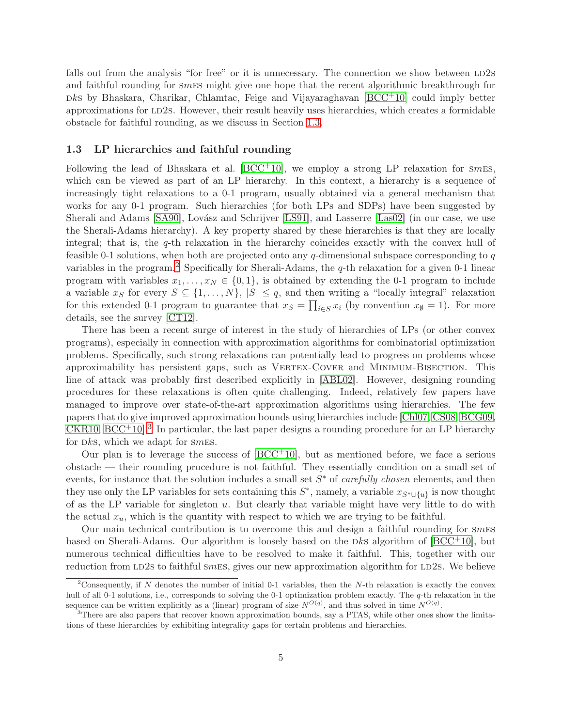falls out from the analysis "for free" or it is unnecessary. The connection we show between LD2s and faithful rounding for smes might give one hope that the recent algorithmic breakthrough for  $b$ ks by Bhaskara, Charikar, Chlamtac, Feige and Vijayaraghavan  $[BCC<sup>+</sup>10]$  $[BCC<sup>+</sup>10]$  could imply better approximations for LD2s. However, their result heavily uses hierarchies, which creates a formidable obstacle for faithful rounding, as we discuss in Section [1.3.](#page-4-0)

### <span id="page-4-0"></span>1.3 LP hierarchies and faithful rounding

Following the lead of Bhaskara et al.  $[BCC^+10]$ , we employ a strong LP relaxation for smes, which can be viewed as part of an LP hierarchy. In this context, a hierarchy is a sequence of increasingly tight relaxations to a 0-1 program, usually obtained via a general mechanism that works for any 0-1 program. Such hierarchies (for both LPs and SDPs) have been suggested by Sherali and Adams [\[SA90\]](#page-36-8), Lovász and Schrijver [\[LS91\]](#page-36-9), and Lasserre [\[Las02\]](#page-36-11) (in our case, we use the Sherali-Adams hierarchy). A key property shared by these hierarchies is that they are locally integral; that is, the  $q$ -th relaxation in the hierarchy coincides exactly with the convex hull of feasible 0-1 solutions, when both are projected onto any  $q$ -dimensional subspace corresponding to  $q$ variables in the program.<sup>[2](#page-4-1)</sup> Specifically for Sherali-Adams, the  $q$ -th relaxation for a given 0-1 linear program with variables  $x_1, \ldots, x_N \in \{0, 1\}$ , is obtained by extending the 0-1 program to include a variable  $x_S$  for every  $S \subseteq \{1, \ldots, N\}$ ,  $|S| \leq q$ , and then writing a "locally integral" relaxation for this extended 0-1 program to guarantee that  $x_S = \prod_{i \in S} x_i$  (by convention  $x_{\emptyset} = 1$ ). For more details, see the survey [\[CT12\]](#page-35-6).

There has been a recent surge of interest in the study of hierarchies of LPs (or other convex programs), especially in connection with approximation algorithms for combinatorial optimization problems. Specifically, such strong relaxations can potentially lead to progress on problems whose approximability has persistent gaps, such as VERTEX-COVER and MINIMUM-BISECTION. This line of attack was probably first described explicitly in [\[ABL02\]](#page-34-2). However, designing rounding procedures for these relaxations is often quite challenging. Indeed, relatively few papers have managed to improve over state-of-the-art approximation algorithms using hierarchies. The few papers that do give improved approximation bounds using hierarchies include [\[Chl07,](#page-35-7) [CS08,](#page-35-8) [BCG09,](#page-35-9)  $CKR10, BCC<sup>+</sup>10.3$  $CKR10, BCC<sup>+</sup>10.3$  $CKR10, BCC<sup>+</sup>10.3$  $CKR10, BCC<sup>+</sup>10.3$  In particular, the last paper designs a rounding procedure for an LP hierarchy for  $Dks$ , which we adapt for  $smES$ .

Our plan is to leverage the success of  $[BCC^+10]$ , but as mentioned before, we face a serious obstacle — their rounding procedure is not faithful. They essentially condition on a small set of events, for instance that the solution includes a small set  $S^*$  of *carefully chosen* elements, and then they use only the LP variables for sets containing this  $S^*$ , namely, a variable  $x_{S^* \cup \{u\}}$  is now thought of as the LP variable for singleton  $u$ . But clearly that variable might have very little to do with the actual  $x_u$ , which is the quantity with respect to which we are trying to be faithful.

Our main technical contribution is to overcome this and design a faithful rounding for  $smES$ based on Sherali-Adams. Our algorithm is loosely based on the Dks algorithm of  $[BCC^+10]$ , but numerous technical difficulties have to be resolved to make it faithful. This, together with our reduction from LD2s to faithful smes, gives our new approximation algorithm for LD2s. We believe

<span id="page-4-1"></span><sup>&</sup>lt;sup>2</sup>Consequently, if N denotes the number of initial 0-1 variables, then the N-th relaxation is exactly the convex hull of all 0-1 solutions, i.e., corresponds to solving the 0-1 optimization problem exactly. The q-th relaxation in the sequence can be written explicitly as a (linear) program of size  $N^{O(q)}$ , and thus solved in time  $N^{O(q)}$ .

<span id="page-4-2"></span><sup>&</sup>lt;sup>3</sup>There are also papers that recover known approximation bounds, say a PTAS, while other ones show the limitations of these hierarchies by exhibiting integrality gaps for certain problems and hierarchies.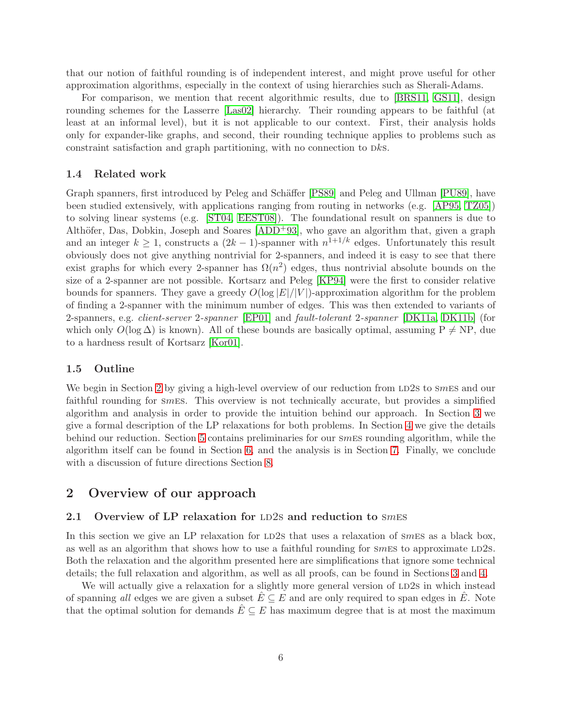that our notion of faithful rounding is of independent interest, and might prove useful for other approximation algorithms, especially in the context of using hierarchies such as Sherali-Adams.

For comparison, we mention that recent algorithmic results, due to [\[BRS11,](#page-35-11) [GS11\]](#page-36-12), design rounding schemes for the Lasserre [\[Las02\]](#page-36-11) hierarchy. Their rounding appears to be faithful (at least at an informal level), but it is not applicable to our context. First, their analysis holds only for expander-like graphs, and second, their rounding technique applies to problems such as constraint satisfaction and graph partitioning, with no connection to Dks.

#### <span id="page-5-0"></span>1.4 Related work

Graph spanners, first introduced by Peleg and Schäffer [\[PS89\]](#page-36-10) and Peleg and Ullman [\[PU89\]](#page-36-1), have been studied extensively, with applications ranging from routing in networks (e.g. [\[AP95,](#page-34-3) [TZ05\]](#page-37-1)) to solving linear systems (e.g. [\[ST04,](#page-37-2) [EEST08\]](#page-35-12)). The foundational result on spanners is due to Althöfer, Das, Dobkin, Joseph and Soares  $[ADD<sup>+</sup>93]$ , who gave an algorithm that, given a graph and an integer  $k \geq 1$ , constructs a  $(2k-1)$ -spanner with  $n^{1+1/k}$  edges. Unfortunately this result obviously does not give anything nontrivial for 2-spanners, and indeed it is easy to see that there exist graphs for which every 2-spanner has  $\Omega(n^2)$  edges, thus nontrivial absolute bounds on the size of a 2-spanner are not possible. Kortsarz and Peleg [\[KP94\]](#page-36-13) were the first to consider relative bounds for spanners. They gave a greedy  $O(\log |E|/|V|)$ -approximation algorithm for the problem of finding a 2-spanner with the minimum number of edges. This was then extended to variants of 2-spanners, e.g. client-server 2-spanner [\[EP01\]](#page-36-14) and fault-tolerant 2-spanner [\[DK11a,](#page-35-2) [DK11b\]](#page-35-13) (for which only  $O(\log \Delta)$  is known). All of these bounds are basically optimal, assuming P  $\neq$  NP, due to a hardness result of Kortsarz [\[Kor01\]](#page-36-15).

## 1.5 Outline

We begin in Section [2](#page-38-0) by giving a high-level overview of our reduction from LD2s to smes and our faithful rounding for smes. This overview is not technically accurate, but provides a simplified algorithm and analysis in order to provide the intuition behind our approach. In Section [3](#page-11-0) we give a formal description of the LP relaxations for both problems. In Section [4](#page-16-0) we give the details behind our reduction. Section [5](#page-18-0) contains preliminaries for our smes rounding algorithm, while the algorithm itself can be found in Section [6,](#page-22-0) and the analysis is in Section [7.](#page-26-1) Finally, we conclude with a discussion of future directions Section [8.](#page-34-5)

## 2 Overview of our approach

## 2.1 Overview of LP relaxation for LD2s and reduction to  $smES$

In this section we give an LP relaxation for  $LD2s$  that uses a relaxation of  $SmES$  as a black box, as well as an algorithm that shows how to use a faithful rounding for  $sm \geq$  to approximate LD2s. Both the relaxation and the algorithm presented here are simplifications that ignore some technical details; the full relaxation and algorithm, as well as all proofs, can be found in Sections [3](#page-11-0) and [4.](#page-16-0)

We will actually give a relaxation for a slightly more general version of LD2s in which instead of spanning all edges we are given a subset  $E \subseteq E$  and are only required to span edges in E. Note that the optimal solution for demands  $E \subseteq E$  has maximum degree that is at most the maximum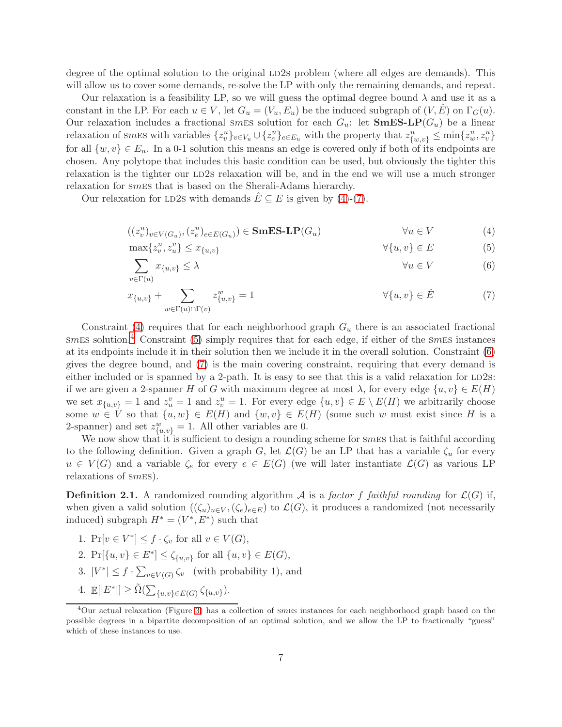degree of the optimal solution to the original LD2s problem (where all edges are demands). This will allow us to cover some demands, re-solve the LP with only the remaining demands, and repeat.

Our relaxation is a feasibility LP, so we will guess the optimal degree bound  $\lambda$  and use it as a constant in the LP. For each  $u \in V$ , let  $G_u = (V_u, E_u)$  be the induced subgraph of  $(V, E)$  on  $\Gamma_G(u)$ . Our relaxation includes a fractional smes solution for each  $G_u$ : let  $\mathbf{SmES-LP}(G_u)$  be a linear relaxation of smes with variables  $\{z_v^u\}_{v \in V_u} \cup \{z_e^u\}_{e \in E_u}$  with the property that  $z_{\{w,v\}}^u \le \min\{z_w^u, z_v^u\}$ for all  $\{w, v\} \in E_u$ . In a 0-1 solution this means an edge is covered only if both of its endpoints are chosen. Any polytope that includes this basic condition can be used, but obviously the tighter this relaxation is the tighter our LD2s relaxation will be, and in the end we will use a much stronger relaxation for smes that is based on the Sherali-Adams hierarchy.

Our relaxation for LD2s with demands  $E \subseteq E$  is given by [\(4\)](#page-6-0)-[\(7\)](#page-6-1).

<span id="page-6-0"></span>
$$
((z_v^u)_{v \in V(G_u)}, (z_e^u)_{e \in E(G_u)}) \in \mathbf{SmES-LP}(G_u) \qquad \forall u \in V \tag{4}
$$

$$
\max\{z_v^u, z_u^v\} \le x_{\{u,v\}} \qquad \qquad \forall \{u,v\} \in E \tag{5}
$$

<span id="page-6-4"></span><span id="page-6-3"></span>
$$
\sum_{v \in \Gamma(u)} x_{\{u,v\}} \le \lambda \qquad \qquad \forall u \in V \tag{6}
$$

<span id="page-6-1"></span>
$$
x_{\{u,v\}} + \sum_{w \in \Gamma(u) \cap \Gamma(v)} z_{\{u,v\}}^w = 1 \qquad \forall \{u,v\} \in \hat{E} \tag{7}
$$

Constraint [\(4\)](#page-6-0) requires that for each neighborhood graph  $G_u$  there is an associated fractional  $smES$  solution.<sup>[4](#page-6-2)</sup> Constraint [\(5\)](#page-6-3) simply requires that for each edge, if either of the smES instances at its endpoints include it in their solution then we include it in the overall solution. Constraint [\(6\)](#page-6-4) gives the degree bound, and [\(7\)](#page-6-1) is the main covering constraint, requiring that every demand is either included or is spanned by a 2-path. It is easy to see that this is a valid relaxation for  $LD2s$ : if we are given a 2-spanner H of G with maximum degree at most  $\lambda$ , for every edge  $\{u, v\} \in E(H)$ we set  $x_{\{u,v\}} = 1$  and  $z_u^v = 1$  and  $z_v^u = 1$ . For every edge  $\{u, v\} \in E \setminus E(H)$  we arbitrarily choose some  $w \in V$  so that  $\{u, w\} \in E(H)$  and  $\{w, v\} \in E(H)$  (some such w must exist since H is a 2-spanner) and set  $z_{\{u,v\}}^w = 1$ . All other variables are 0.

We now show that it is sufficient to design a rounding scheme for smES that is faithful according to the following definition. Given a graph G, let  $\mathcal{L}(G)$  be an LP that has a variable  $\zeta_u$  for every  $u \in V(G)$  and a variable  $\zeta_e$  for every  $e \in E(G)$  (we will later instantiate  $\mathcal{L}(G)$  as various LP relaxations of smes).

**Definition 2.1.** A randomized rounding algorithm A is a factor f faithful rounding for  $\mathcal{L}(G)$  if, when given a valid solution  $((\zeta_u)_{u\in V}, (\zeta_e)_{e\in E})$  to  $\mathcal{L}(G)$ , it produces a randomized (not necessarily induced) subgraph  $H^* = (V^*, E^*)$  such that

- <span id="page-6-8"></span><span id="page-6-7"></span>1.  $\Pr[v \in V^*] \leq f \cdot \zeta_v$  for all  $v \in V(G)$ ,
- <span id="page-6-5"></span>2.  $Pr[\{u, v\} \in E^*] \leq \zeta_{\{u, v\}}$  for all  $\{u, v\} \in E(G)$ ,
- <span id="page-6-6"></span>3.  $|V^*| \leq f \cdot \sum_{v \in V(G)} \zeta_v$  (with probability 1), and
- 4.  $\mathbb{E}[|E^*|] \geq \tilde{\Omega}(\sum_{\{u,v\} \in E(G)} \zeta_{\{u,v\}}).$

<span id="page-6-2"></span><sup>4</sup>Our actual relaxation (Figure [3\)](#page-15-0) has a collection of smes instances for each neighborhood graph based on the possible degrees in a bipartite decomposition of an optimal solution, and we allow the LP to fractionally "guess" which of these instances to use.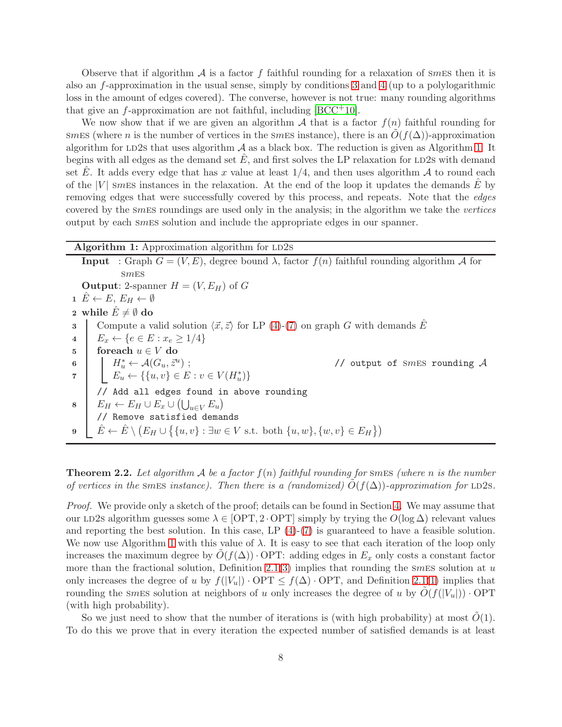Observe that if algorithm  $\mathcal A$  is a factor f faithful rounding for a relaxation of smess then it is also an f-approximation in the usual sense, simply by conditions [3](#page-6-5) and [4](#page-6-6) (up to a polylogarithmic loss in the amount of edges covered). The converse, however is not true: many rounding algorithms that give an  $f$ -approximation are not faithful, including [\[BCC](#page-35-5)<sup>+</sup>10].

We now show that if we are given an algorithm  $A$  that is a factor  $f(n)$  faithful rounding for smes (where n is the number of vertices in the smess instance), there is an  $O(f(\Delta))$ -approximation algorithm for LD2s that uses algorithm  $\mathcal A$  as a black box. The reduction is given as Algorithm [1.](#page-7-0) It begins with all edges as the demand set  $E$ , and first solves the LP relaxation for LD2s with demand set E. It adds every edge that has x value at least  $1/4$ , and then uses algorithm A to round each of the  $|V|$  smess instances in the relaxation. At the end of the loop it updates the demands E by removing edges that were successfully covered by this process, and repeats. Note that the edges covered by the smes roundings are used only in the analysis; in the algorithm we take the vertices output by each smes solution and include the appropriate edges in our spanner.

<span id="page-7-0"></span>

|              | Algorithm 1: Approximation algorithm for LD2s                                                                                                                                                                                    |
|--------------|----------------------------------------------------------------------------------------------------------------------------------------------------------------------------------------------------------------------------------|
|              | <b>Input</b> : Graph $G = (V, E)$ , degree bound $\lambda$ , factor $f(n)$ faithful rounding algorithm A for                                                                                                                     |
|              | SmES                                                                                                                                                                                                                             |
|              | <b>Output:</b> 2-spanner $H = (V, E_H)$ of G                                                                                                                                                                                     |
|              | $1 \tilde{E} \leftarrow E, E_H \leftarrow \emptyset$                                                                                                                                                                             |
|              | 2 while $\hat{E} \neq \emptyset$ do                                                                                                                                                                                              |
| $\mathbf{3}$ | Compute a valid solution $\langle \vec{x}, \vec{z} \rangle$ for LP (4)-(7) on graph G with demands $\hat{E}$                                                                                                                     |
| 4            | $E_x \leftarrow \{e \in E : x_e \geq 1/4\}$                                                                                                                                                                                      |
| $5^{\circ}$  | foreach $u \in V$ do                                                                                                                                                                                                             |
|              | 6<br>$\begin{array}{c} \mathbf{6} \\ \mathbf{7} \end{array}$ $\begin{array}{c} H_u^* \leftarrow \mathcal{A}(G_u, \bar{z}^u) \\ E_u \leftarrow \{\{u, v\} \in E : v \in V(H_u^*)\} \end{array}$<br>// output of SMES rounding $A$ |
|              |                                                                                                                                                                                                                                  |
|              | // Add all edges found in above rounding                                                                                                                                                                                         |
|              | $8 \mid E_H \leftarrow E_H \cup E_x \cup (\bigcup_{u \in V} E_u)$                                                                                                                                                                |
|              | // Remove satisfied demands                                                                                                                                                                                                      |
| 9            | $\hat{E} \leftarrow \hat{E} \setminus (E_H \cup \{\{u, v\} : \exists w \in V \text{ s.t. both } \{u, w\}, \{w, v\} \in E_H\})$                                                                                                   |

**Theorem 2.2.** Let algorithm A be a factor  $f(n)$  faithful rounding for smes (where n is the number of vertices in the smes instance). Then there is a (randomized)  $O(f(\Delta))$ -approximation for LD2s.

Proof. We provide only a sketch of the proof; details can be found in Section [4.](#page-16-0) We may assume that our LD2s algorithm guesses some  $\lambda \in [OPT, 2 \cdot OPT]$  simply by trying the  $O(log \Delta)$  relevant values and reporting the best solution. In this case, LP [\(4\)](#page-6-0)-[\(7\)](#page-6-1) is guaranteed to have a feasible solution. We now use Algorithm [1](#page-7-0) with this value of  $\lambda$ . It is easy to see that each iteration of the loop only increases the maximum degree by  $O(f(\Delta))$ . OPT: adding edges in  $E_x$  only costs a constant factor more than the fractional solution, Definition [2.1\(](#page-38-1)[3\)](#page-6-5) implies that rounding the smalless solution at u only increases the degree of u by  $f(|V_u|) \cdot \text{OPT} \leq f(\Delta) \cdot \text{OPT}$ , and Definition [2.1\(](#page-38-1)[1\)](#page-6-7) implies that rounding the smess solution at neighbors of u only increases the degree of u by  $O(f(|V_u|)) \cdot \text{OPT}$ (with high probability).

So we just need to show that the number of iterations is (with high probability) at most  $O(1)$ . To do this we prove that in every iteration the expected number of satisfied demands is at least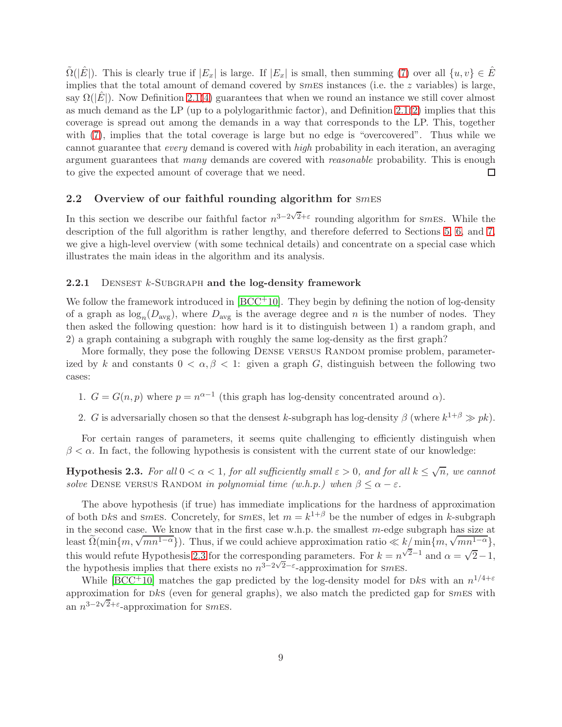$\Omega(|E|)$ . This is clearly true if  $|E_x|$  is large. If  $|E_x|$  is small, then summing [\(7\)](#page-6-1) over all  $\{u, v\} \in \hat{E}$ implies that the total amount of demand covered by  $smEs$  instances (i.e. the z variables) is large, say  $\Omega(|E|)$ . Now Definition [2.1](#page-38-1)[\(4\)](#page-6-6) guarantees that when we round an instance we still cover almost as much demand as the LP (up to a polylogarithmic factor), and Definition [2.1](#page-38-1)[\(2\)](#page-6-8) implies that this coverage is spread out among the demands in a way that corresponds to the LP. This, together with [\(7\)](#page-6-1), implies that the total coverage is large but no edge is "overcovered". Thus while we cannot guarantee that every demand is covered with high probability in each iteration, an averaging argument guarantees that many demands are covered with *reasonable* probability. This is enough to give the expected amount of coverage that we need.  $\Box$ 

## 2.2 Overview of our faithful rounding algorithm for  $smES$

In this section we describe our faithful factor  $n^{3-2\sqrt{2}+\varepsilon}$  rounding algorithm for smes. While the description of the full algorithm is rather lengthy, and therefore deferred to Sections [5,](#page-18-0) [6,](#page-22-0) and [7,](#page-26-1) we give a high-level overview (with some technical details) and concentrate on a special case which illustrates the main ideas in the algorithm and its analysis.

#### <span id="page-8-0"></span>**2.2.1** DENSEST  $k$ -SUBGRAPH and the log-density framework

We follow the framework introduced in  $[BCC^+10]$ . They begin by defining the notion of log-density of a graph as  $log_n(D_{avg})$ , where  $D_{avg}$  is the average degree and n is the number of nodes. They then asked the following question: how hard is it to distinguish between 1) a random graph, and 2) a graph containing a subgraph with roughly the same log-density as the first graph?

More formally, they pose the following DENSE VERSUS RANDOM promise problem, parameterized by k and constants  $0 < \alpha, \beta < 1$ : given a graph G, distinguish between the following two cases:

1.  $G = G(n, p)$  where  $p = n^{\alpha-1}$  (this graph has log-density concentrated around  $\alpha$ ).

2. G is adversarially chosen so that the densest k-subgraph has log-density  $\beta$  (where  $k^{1+\beta} \gg pk$ ).

For certain ranges of parameters, it seems quite challenging to efficiently distinguish when  $\beta < \alpha$ . In fact, the following hypothesis is consistent with the current state of our knowledge:

<span id="page-8-1"></span>**Hypothesis 2.3.** For all  $0 < \alpha < 1$ , for all sufficiently small  $\varepsilon > 0$ , and for all  $k \leq \sqrt{n}$ , we cannot solve DENSE VERSUS RANDOM in polynomial time  $(w.h.p.)$  when  $\beta \leq \alpha - \varepsilon$ .

The above hypothesis (if true) has immediate implications for the hardness of approximation of both Dks and smes. Concretely, for smes, let  $m = k^{1+\beta}$  be the number of edges in k-subgraph in the second case. We know that in the first case w.h.p. the smallest  $m$ -edge subgraph has size at least  $\Omega(\min\{m, \sqrt{mn^{1-\alpha}}\})$ . Thus, if we could achieve approximation ratio  $\ll k'_\text{min}\{m, \sqrt{mn^{1-\alpha}}\}$ , this would refute Hypothesis [2.3](#page-8-1) for the corresponding parameters. For  $k = n^{\sqrt{2}-1}$  and  $\alpha = \sqrt{2}-1$ , the hypothesis implies that there exists no  $n^{3-2\sqrt{2}-\epsilon}$ -approximation for *smEs*.

While [\[BCC](#page-35-5)<sup>+</sup>10] matches the gap predicted by the log-density model for Dks with an  $n^{1/4+\varepsilon}$ approximation for  $Dks$  (even for general graphs), we also match the predicted gap for smess with an  $n^{3-2\sqrt{2}+\epsilon}$ -approximation for smes.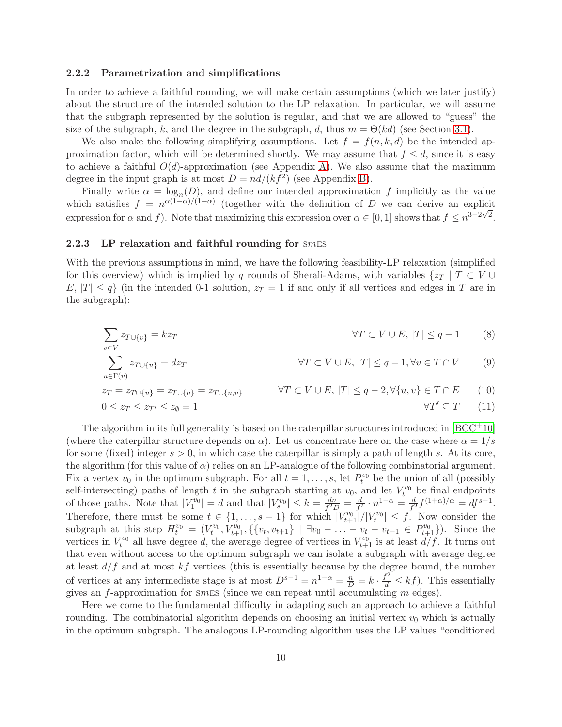#### 2.2.2 Parametrization and simplifications

In order to achieve a faithful rounding, we will make certain assumptions (which we later justify) about the structure of the intended solution to the LP relaxation. In particular, we will assume that the subgraph represented by the solution is regular, and that we are allowed to "guess" the size of the subgraph, k, and the degree in the subgraph, d, thus  $m = \Theta(kd)$  (see Section [3.1\)](#page-11-1).

We also make the following simplifying assumptions. Let  $f = f(n, k, d)$  be the intended approximation factor, which will be determined shortly. We may assume that  $f \leq d$ , since it is easy to achieve a faithful  $O(d)$ -approximation (see Appendix [A\)](#page-37-3). We also assume that the maximum degree in the input graph is at most  $D = nd/(kf^2)$  (see Appendix [B\)](#page-38-0).

Finally write  $\alpha = \log_n(D)$ , and define our intended approximation f implicitly as the value which satisfies  $f = n^{\alpha(1-\alpha)/(1+\alpha)}$  (together with the definition of D we can derive an explicit expression for  $\alpha$  and f). Note that maximizing this expression over  $\alpha \in [0,1]$  shows that  $f \leq n^{3-2\sqrt{2}}$ .

#### 2.2.3 LP relaxation and faithful rounding for SMES

 $v\in V$ 

With the previous assumptions in mind, we have the following feasibility-LP relaxation (simplified for this overview) which is implied by q rounds of Sherali-Adams, with variables  $\{z_T \mid T \subset V \cup$  $E, |T| \leq q$  (in the intended 0-1 solution,  $z_T = 1$  if and only if all vertices and edges in T are in the subgraph):

<span id="page-9-2"></span><span id="page-9-1"></span>
$$
\sum z_{T \cup \{v\}} = kz_T \qquad \qquad \forall T \subset V \cup E, |T| \le q - 1 \qquad (8)
$$

<span id="page-9-0"></span>
$$
\sum_{u \in \Gamma(v)} z_{T \cup \{u\}} = dz_T \qquad \forall T \subset V \cup E, |T| \le q - 1, \forall v \in T \cap V \qquad (9)
$$

$$
z_T = z_{T \cup \{u\}} = z_{T \cup \{v\}} = z_{T \cup \{u,v\}} \qquad \forall T \subset V \cup E, |T| \le q - 2, \forall \{u,v\} \in T \cap E \qquad (10)
$$
  

$$
0 \le z_T \le z_{T'} \le z_{\emptyset} = 1 \qquad \forall T' \subseteq T \qquad (11)
$$

The algorithm in its full generality is based on the caterpillar structures introduced in  $[BCC^+10]$ (where the caterpillar structure depends on  $\alpha$ ). Let us concentrate here on the case where  $\alpha = 1/s$ for some (fixed) integer  $s > 0$ , in which case the caterpillar is simply a path of length s. At its core, the algorithm (for this value of  $\alpha$ ) relies on an LP-analogue of the following combinatorial argument. Fix a vertex  $v_0$  in the optimum subgraph. For all  $t = 1, \ldots, s$ , let  $P_t^{v_0}$  be the union of all (possibly self-intersecting) paths of length t in the subgraph starting at  $v_0$ , and let  $V_t^{v_0}$  be final endpoints of those paths. Note that  $|V_1^{v_0}| = d$  and that  $|V_s^{v_0}| \leq k = \frac{dn}{f^2l}$  $\frac{dn}{f^2D}=\frac{d}{f^2}$  $\frac{d}{f^2} \cdot n^{1-\alpha} = \frac{d}{f^2}$  $\frac{d}{f^2}f^{(1+\alpha)/\alpha} = df^{s-1}.$ Therefore, there must be some  $t \in \{1, \ldots, s-1\}$  for which  $|V^{v_0}_{t+1}|/|V^{v_0}_t| \leq f$ . Now consider the subgraph at this step  $H_t^{v_0} = (V_t^{v_0}, V_{t+1}^{v_0}, \{\{v_t, v_{t+1}\} \mid \exists v_0 - \ldots - v_t - v_{t+1} \in P_{t+1}^{v_0}\})$ . Since the vertices in  $V_t^{v_0}$  all have degree d, the average degree of vertices in  $V_{t+1}^{v_0}$  is at least  $d/f$ . It turns out that even without access to the optimum subgraph we can isolate a subgraph with average degree at least  $d/f$  and at most  $kf$  vertices (this is essentially because by the degree bound, the number of vertices at any intermediate stage is at most  $D^{s-1} = n^{1-\alpha} = \frac{n}{D} = k \cdot \frac{f^2}{d} \leq k f$ ). This essentially gives an f-approximation for small since we can repeat until accumulating  $m$  edges).

Here we come to the fundamental difficulty in adapting such an approach to achieve a faithful rounding. The combinatorial algorithm depends on choosing an initial vertex  $v_0$  which is actually in the optimum subgraph. The analogous LP-rounding algorithm uses the LP values "conditioned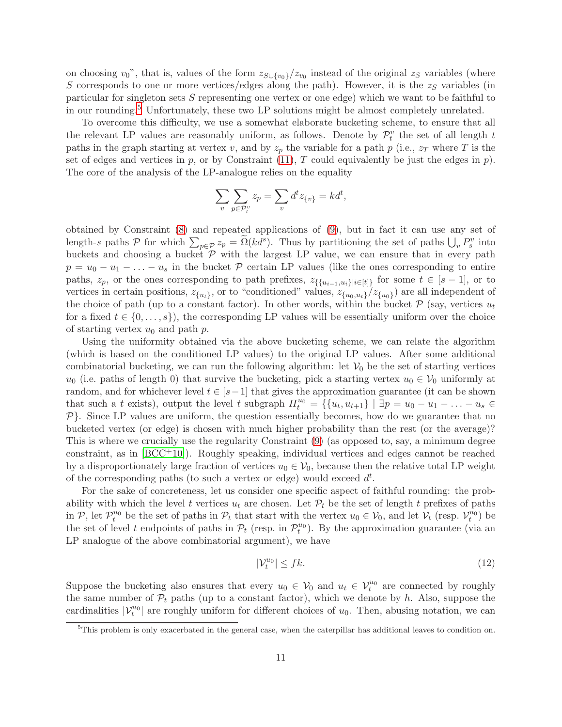on choosing  $v_0$ ", that is, values of the form  $z_{S\cup\{v_0\}}/z_{v_0}$  instead of the original  $z_S$  variables (where S corresponds to one or more vertices/edges along the path). However, it is the  $z<sub>S</sub>$  variables (in particular for singleton sets S representing one vertex or one edge) which we want to be faithful to in our rounding.[5](#page-10-0) Unfortunately, these two LP solutions might be almost completely unrelated.

To overcome this difficulty, we use a somewhat elaborate bucketing scheme, to ensure that all the relevant LP values are reasonably uniform, as follows. Denote by  $\mathcal{P}_t^v$  the set of all length t paths in the graph starting at vertex v, and by  $z_p$  the variable for a path p (i.e.,  $z_T$  where T is the set of edges and vertices in p, or by Constraint  $(11)$ , T could equivalently be just the edges in p). The core of the analysis of the LP-analogue relies on the equality

$$
\sum_{v} \sum_{p \in \mathcal{P}_t^v} z_p = \sum_{v} d^t z_{\{v\}} = k d^t,
$$

obtained by Constraint [\(8\)](#page-9-1) and repeated applications of [\(9\)](#page-9-2), but in fact it can use any set of length-s paths  $P$  for which  $\sum_{p \in P} z_p = \Omega(k d^s)$ . Thus by partitioning the set of paths  $\bigcup_v P_s^v$  into buckets and choosing a bucket  $P$  with the largest LP value, we can ensure that in every path  $p = u_0 - u_1 - \ldots - u_s$  in the bucket P certain LP values (like the ones corresponding to entire paths,  $z_p$ , or the ones corresponding to path prefixes,  $z_{\{\{u_{i-1},u_i\}|i\in[t]\}}$  for some  $t \in [s-1]$ , or to vertices in certain positions,  $z_{\{u_t\}}$ , or to "conditioned" values,  $z_{\{u_0, u_t\}}/z_{\{u_0\}}$ ) are all independent of the choice of path (up to a constant factor). In other words, within the bucket  $\mathcal{P}$  (say, vertices  $u_t$ for a fixed  $t \in \{0, \ldots, s\}$ , the corresponding LP values will be essentially uniform over the choice of starting vertex  $u_0$  and path p.

Using the uniformity obtained via the above bucketing scheme, we can relate the algorithm (which is based on the conditioned LP values) to the original LP values. After some additional combinatorial bucketing, we can run the following algorithm: let  $V_0$  be the set of starting vertices  $u_0$  (i.e. paths of length 0) that survive the bucketing, pick a starting vertex  $u_0 \in V_0$  uniformly at random, and for whichever level  $t \in [s-1]$  that gives the approximation guarantee (it can be shown that such a t exists), output the level t subgraph  $H_t^{u_0} = \{\{u_t, u_{t+1}\} \mid \exists p = u_0 - u_1 - \ldots - u_s \in$  $P$ . Since LP values are uniform, the question essentially becomes, how do we guarantee that no bucketed vertex (or edge) is chosen with much higher probability than the rest (or the average)? This is where we crucially use the regularity Constraint [\(9\)](#page-9-2) (as opposed to, say, a minimum degree constraint, as in  $[BCC^+10]$ . Roughly speaking, individual vertices and edges cannot be reached by a disproportionately large fraction of vertices  $u_0 \in V_0$ , because then the relative total LP weight of the corresponding paths (to such a vertex or edge) would exceed  $d<sup>t</sup>$ .

For the sake of concreteness, let us consider one specific aspect of faithful rounding: the probability with which the level t vertices  $u_t$  are chosen. Let  $\mathcal{P}_t$  be the set of length t prefixes of paths in P, let  $\mathcal{P}_t^{u_0}$  be the set of paths in  $\mathcal{P}_t$  that start with the vertex  $u_0 \in \mathcal{V}_0$ , and let  $\mathcal{V}_t$  (resp.  $\mathcal{V}_t^{u_0}$ ) be the set of level t endpoints of paths in  $\mathcal{P}_t$  (resp. in  $\mathcal{P}_t^{u_0}$ ). By the approximation guarantee (via an LP analogue of the above combinatorial argument), we have

<span id="page-10-1"></span>
$$
|\mathcal{V}_t^{u_0}| \leq f k. \tag{12}
$$

Suppose the bucketing also ensures that every  $u_0 \in V_0$  and  $u_t \in V_t^{u_0}$  are connected by roughly the same number of  $\mathcal{P}_t$  paths (up to a constant factor), which we denote by h. Also, suppose the cardinalities  $|\mathcal{V}_t^{u_0}|$  are roughly uniform for different choices of  $u_0$ . Then, abusing notation, we can

<span id="page-10-0"></span> $5$ This problem is only exacerbated in the general case, when the caterpillar has additional leaves to condition on.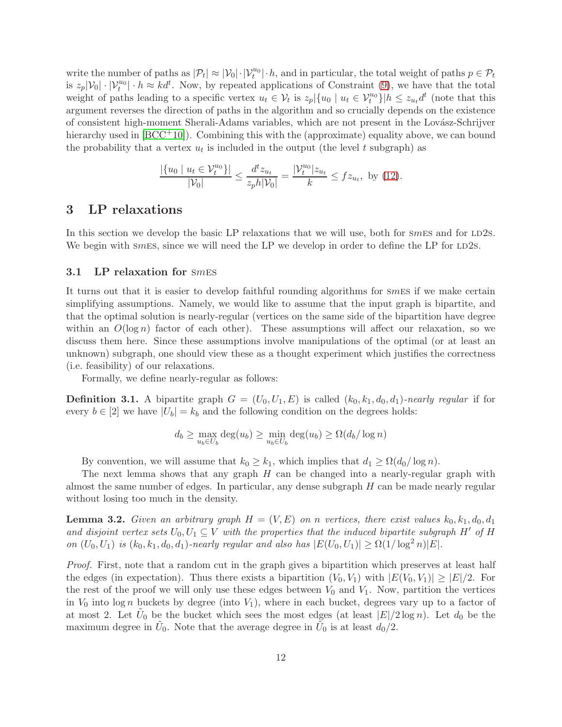write the number of paths as  $|\mathcal{P}_t| \approx |\mathcal{V}_0| \cdot |\mathcal{V}_t^{u_0}| \cdot h$ , and in particular, the total weight of paths  $p \in \mathcal{P}_t$ is  $z_p|\mathcal{V}_0|\cdot|\mathcal{V}_t^{u_0}|\cdot h \approx kd^t$ . Now, by repeated applications of Constraint [\(9\)](#page-9-2), we have that the total weight of paths leading to a specific vertex  $u_t \in V_t$  is  $z_p | \{u_0 \mid u_t \in V_t^{u_0}\} | h \le z_{u_t} d^t$  (note that this argument reverses the direction of paths in the algorithm and so crucially depends on the existence of consistent high-moment Sherali-Adams variables, which are not present in the Lovász-Schrijver hierarchy used in  $[BCC^+10]$ . Combining this with the (approximate) equality above, we can bound the probability that a vertex  $u_t$  is included in the output (the level t subgraph) as

$$
\frac{|\{u_0 \mid u_t \in \mathcal{V}_t^{u_0}\}|}{|\mathcal{V}_0|} \le \frac{d^t z_{u_t}}{z_p h |\mathcal{V}_0|} = \frac{|\mathcal{V}_t^{u_0}| z_{u_t}}{k} \le f z_{u_t}, \text{ by (12)}.
$$

## <span id="page-11-0"></span>3 LP relaxations

In this section we develop the basic LP relaxations that we will use, both for  $smES$  and for  $LD2S$ . We begin with smes, since we will need the LP we develop in order to define the LP for  $LD2s$ .

#### <span id="page-11-1"></span>3.1 LP relaxation for smes

It turns out that it is easier to develop faithful rounding algorithms for smes if we make certain simplifying assumptions. Namely, we would like to assume that the input graph is bipartite, and that the optimal solution is nearly-regular (vertices on the same side of the bipartition have degree within an  $O(\log n)$  factor of each other). These assumptions will affect our relaxation, so we discuss them here. Since these assumptions involve manipulations of the optimal (or at least an unknown) subgraph, one should view these as a thought experiment which justifies the correctness (i.e. feasibility) of our relaxations.

Formally, we define nearly-regular as follows:

**Definition 3.1.** A bipartite graph  $G = (U_0, U_1, E)$  is called  $(k_0, k_1, d_0, d_1)$ -nearly regular if for every  $b \in [2]$  we have  $|U_b| = k_b$  and the following condition on the degrees holds:

$$
d_b \ge \max_{u_b \in U_b} \deg(u_b) \ge \min_{u_b \in U_b} \deg(u_b) \ge \Omega(d_b/\log n)
$$

By convention, we will assume that  $k_0 \geq k_1$ , which implies that  $d_1 \geq \Omega(d_0/\log n)$ .

The next lemma shows that any graph  $H$  can be changed into a nearly-regular graph with almost the same number of edges. In particular, any dense subgraph  $H$  can be made nearly regular without losing too much in the density.

<span id="page-11-2"></span>**Lemma 3.2.** Given an arbitrary graph  $H = (V, E)$  on n vertices, there exist values  $k_0, k_1, d_0, d_1$ and disjoint vertex sets  $U_0, U_1 \subseteq V$  with the properties that the induced bipartite subgraph H' of H on  $(U_0, U_1)$  is  $(k_0, k_1, d_0, d_1)$ -nearly regular and also has  $|E(U_0, U_1)| \ge \Omega(1/\log^2 n)|E|$ .

Proof. First, note that a random cut in the graph gives a bipartition which preserves at least half the edges (in expectation). Thus there exists a bipartition  $(V_0, V_1)$  with  $|E(V_0, V_1)| \geq |E|/2$ . For the rest of the proof we will only use these edges between  $V_0$  and  $V_1$ . Now, partition the vertices in  $V_0$  into log n buckets by degree (into  $V_1$ ), where in each bucket, degrees vary up to a factor of at most 2. Let  $\tilde{U}_0$  be the bucket which sees the most edges (at least  $|E|/2 \log n$ ). Let  $d_0$  be the maximum degree in  $\tilde{U}_0$ . Note that the average degree in  $\tilde{U}_0$  is at least  $d_0/2$ .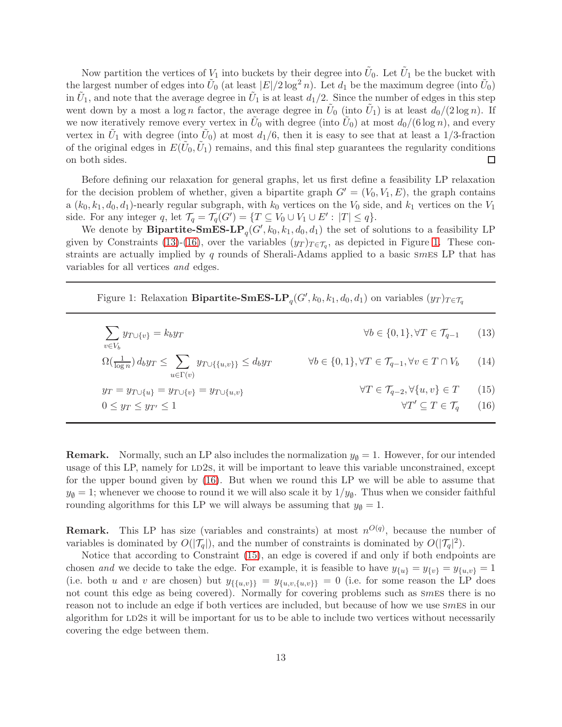Now partition the vertices of  $V_1$  into buckets by their degree into  $\tilde{U}_0$ . Let  $\tilde{U}_1$  be the bucket with the largest number of edges into  $\tilde{U}_0$  (at least  $|E|/2 \log^2 n$ ). Let  $d_1$  be the maximum degree (into  $\tilde{U}_0$ ) in  $\tilde{U}_1$ , and note that the average degree in  $\tilde{U}_1$  is at least  $d_1/2$ . Since the number of edges in this step went down by a most a log *n* factor, the average degree in  $\tilde{U}_0$  (into  $\tilde{U}_1$ ) is at least  $d_0/(2 \log n)$ . If we now iteratively remove every vertex in  $\tilde{U}_0$  with degree (into  $\tilde{U}_0$ ) at most  $d_0/(6 \log n)$ , and every vertex in  $\tilde{U}_1$  with degree (into  $\tilde{U}_0$ ) at most  $d_1/6$ , then it is easy to see that at least a 1/3-fraction of the original edges in  $E(\tilde{U}_0, \tilde{U}_1)$  remains, and this final step guarantees the regularity conditions on both sides.  $\Box$ 

Before defining our relaxation for general graphs, let us first define a feasibility LP relaxation for the decision problem of whether, given a bipartite graph  $G' = (V_0, V_1, E)$ , the graph contains a  $(k_0, k_1, d_0, d_1)$ -nearly regular subgraph, with  $k_0$  vertices on the  $V_0$  side, and  $k_1$  vertices on the  $V_1$ side. For any integer q, let  $\mathcal{T}_q = \mathcal{T}_q(G') = \{ T \subseteq V_0 \cup V_1 \cup E' : |T| \leq q \}.$ 

We denote by **Bipartite-SmES-LP**<sub>q</sub>( $G'$ ,  $k_0$ ,  $k_1$ ,  $d_0$ ,  $d_1$ ) the set of solutions to a feasibility LP given by Constraints [\(13\)](#page-12-0)-[\(16\)](#page-12-1), over the variables  $(y_T)_{T \in \mathcal{T}_q}$ , as depicted in Figure [1.](#page-12-2) These constraints are actually implied by q rounds of Sherali-Adams applied to a basic smes LP that has variables for all vertices and edges.

<span id="page-12-2"></span>Figure 1: Relaxation **Bipartite-SmES-LP**<sub>q</sub>( $G', k_0, k_1, d_0, d_1$ ) on variables  $(y_T)_{T \in \mathcal{T}_q}$ 

<span id="page-12-4"></span><span id="page-12-3"></span><span id="page-12-1"></span><span id="page-12-0"></span>

| $\sum y_{T\cup\{v\}} = k_b y_T$<br>$v \in V_h$                                                | $\forall b \in \{0, 1\}, \forall T \in \mathcal{T}_{a-1}$ (13)                                  |  |
|-----------------------------------------------------------------------------------------------|-------------------------------------------------------------------------------------------------|--|
| $\Omega(\frac{1}{\log n}) dy \leq \sum y_{T \cup \{\{u,v\}\}} \leq dy_T$<br>$u \in \Gamma(v)$ | $\forall b \in \{0, 1\}, \forall T \in \mathcal{T}_{q-1}, \forall v \in T \cap V_b \qquad (14)$ |  |
| $y_T = y_{T \cup \{u\}} = y_{T \cup \{v\}} = y_{T \cup \{u,v\}}$                              | $\forall T \in \mathcal{T}_{q-2}, \forall \{u, v\} \in T \qquad (15)$                           |  |
| $0 \leq y_T \leq y_{T'} \leq 1$                                                               | $\forall T' \subseteq T \in \mathcal{T}_a \qquad (16)$                                          |  |

**Remark.** Normally, such an LP also includes the normalization  $y_{\emptyset} = 1$ . However, for our intended usage of this LP, namely for LD2s, it will be important to leave this variable unconstrained, except for the upper bound given by [\(16\)](#page-12-1). But when we round this LP we will be able to assume that  $y_{\emptyset} = 1$ ; whenever we choose to round it we will also scale it by  $1/y_{\emptyset}$ . Thus when we consider faithful rounding algorithms for this LP we will always be assuming that  $y_{\emptyset} = 1$ .

**Remark.** This LP has size (variables and constraints) at most  $n^{O(q)}$ , because the number of variables is dominated by  $O(|\mathcal{T}_q|)$ , and the number of constraints is dominated by  $O(|\mathcal{T}_q|^2)$ .

Notice that according to Constraint [\(15\)](#page-12-3), an edge is covered if and only if both endpoints are chosen and we decide to take the edge. For example, it is feasible to have  $y_{\{u\}} = y_{\{v\}} = y_{\{u,v\}} = 1$ (i.e. both u and v are chosen) but  $y_{\{\{u,v\}\}} = y_{\{u,v,\{u,v\}\}} = 0$  (i.e. for some reason the LP does not count this edge as being covered). Normally for covering problems such as smes there is no reason not to include an edge if both vertices are included, but because of how we use smes in our algorithm for LD2s it will be important for us to be able to include two vertices without necessarily covering the edge between them.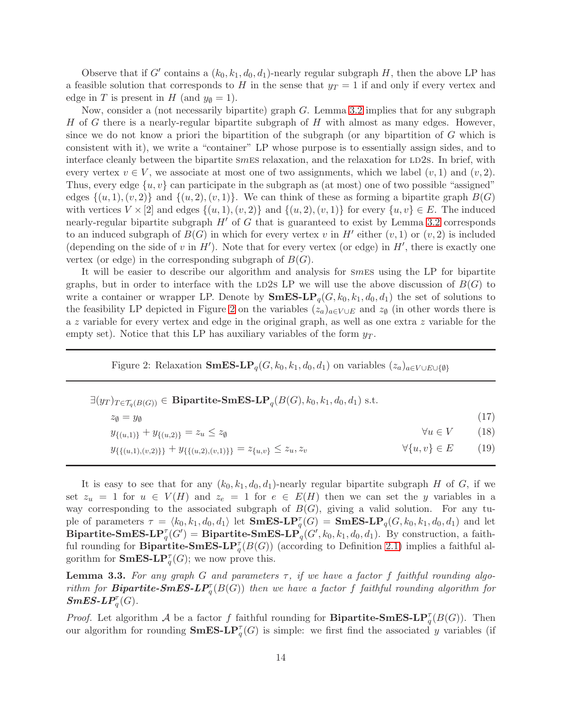Observe that if G' contains a  $(k_0, k_1, d_0, d_1)$ -nearly regular subgraph H, then the above LP has a feasible solution that corresponds to H in the sense that  $y_T = 1$  if and only if every vertex and edge in T is present in H (and  $y_{\emptyset} = 1$ ).

Now, consider a (not necessarily bipartite) graph  $G$ . Lemma [3.2](#page-11-2) implies that for any subgraph H of G there is a nearly-regular bipartite subgraph of H with almost as many edges. However, since we do not know a priori the bipartition of the subgraph (or any bipartition of  $G$  which is consistent with it), we write a "container" LP whose purpose is to essentially assign sides, and to interface cleanly between the bipartite smess relaxation, and the relaxation for LD2s. In brief, with every vertex  $v \in V$ , we associate at most one of two assignments, which we label  $(v, 1)$  and  $(v, 2)$ . Thus, every edge  $\{u, v\}$  can participate in the subgraph as (at most) one of two possible "assigned" edges  $\{(u, 1), (v, 2)\}\$  and  $\{(u, 2), (v, 1)\}\$ . We can think of these as forming a bipartite graph  $B(G)$ with vertices  $V \times [2]$  and edges  $\{(u, 1), (v, 2)\}\$ and  $\{(u, 2), (v, 1)\}\$ for every  $\{u, v\} \in E$ . The induced nearly-regular bipartite subgraph  $H'$  of G that is guaranteed to exist by Lemma [3.2](#page-11-2) corresponds to an induced subgraph of  $B(G)$  in which for every vertex v in H' either  $(v, 1)$  or  $(v, 2)$  is included (depending on the side of v in  $H'$ ). Note that for every vertex (or edge) in  $H'$ , there is exactly one vertex (or edge) in the corresponding subgraph of  $B(G)$ .

It will be easier to describe our algorithm and analysis for smes using the LP for bipartite graphs, but in order to interface with the LD2s LP we will use the above discussion of  $B(G)$  to write a container or wrapper LP. Denote by  $\mathbf{SmES-LP}_{q}(G, k_0, k_1, d_0, d_1)$  the set of solutions to the feasibility LP depicted in Figure [2](#page-13-0) on the variables  $(z_a)_{a \in V \cup E}$  and  $z_{\emptyset}$  (in other words there is a z variable for every vertex and edge in the original graph, as well as one extra z variable for the empty set). Notice that this LP has auxiliary variables of the form  $y_T$ .

<span id="page-13-2"></span><span id="page-13-0"></span>Figure 2: Relaxation SmES-LP<sub>q</sub>(G, k<sub>0</sub>, k<sub>1</sub>, d<sub>0</sub>, d<sub>1</sub>) on variables  $(z_a)_{a \in V \cup E \cup \{\emptyset\}}$ 

| $\exists (y_T)_{T \in \mathcal{T}_a(B(G))} \in \mathbf{Bipartite-SmES-LP}_a(B(G), k_0, k_1, d_0, d_1)$ s.t. |                          |      |
|-------------------------------------------------------------------------------------------------------------|--------------------------|------|
| $z_{\emptyset} = y_{\emptyset}$                                                                             |                          | (17) |
| $y_{\{(u,1)\}} + y_{\{(u,2)\}} = z_u \leq z_{\emptyset}$                                                    | $\forall u \in V$        | (18) |
| $y_{\{\{(u,1),(v,2)\}\}} + y_{\{\{(u,2),(v,1)\}\}} = z_{\{u,v\}} \leq z_u, z_v$                             | $\forall \{u, v\} \in E$ | (19) |

It is easy to see that for any  $(k_0, k_1, d_0, d_1)$ -nearly regular bipartite subgraph H of G, if we set  $z_u = 1$  for  $u \in V(H)$  and  $z_e = 1$  for  $e \in E(H)$  then we can set the y variables in a way corresponding to the associated subgraph of  $B(G)$ , giving a valid solution. For any tuple of parameters  $\tau = \langle k_0, k_1, d_0, d_1 \rangle$  let  $\mathbf{SmES-LP}_{q}(G) = \mathbf{SmES-LP}_{q}(G, k_0, k_1, d_0, d_1)$  and let Bipartite-SmES-L $P_q^{\tau}(G') =$ Bipartite-SmES-L $P_q^{\tau}(G', k_0, k_1, d_0, d_1)$ . By construction, a faithful rounding for **Bipartite-SmES-LP**<sup> $\tau$ </sup> $(B(G))$  (according to Definition [2.1\)](#page-38-1) implies a faithful algorithm for **SmES-LP** $_q^{\tau}(G)$ ; we now prove this.

<span id="page-13-1"></span>**Lemma 3.3.** For any graph G and parameters  $\tau$ , if we have a factor f faithful rounding algorithm for **Bipartite-SmES-LP**<sup> $\tau$ </sup> $(B(G))$  then we have a factor f faithful rounding algorithm for  $SmES\text{-}LP_q^{\tau}(G)$ .

*Proof.* Let algorithm A be a factor f faithful rounding for **Bipartite-SmES-LP**<sub>q</sub><sup> $\tau$ </sup>( $B(G)$ ). Then our algorithm for rounding  $\mathbf{SmES}\text{-}\mathbf{LP}^{\tau}_{q}(G)$  is simple: we first find the associated y variables (if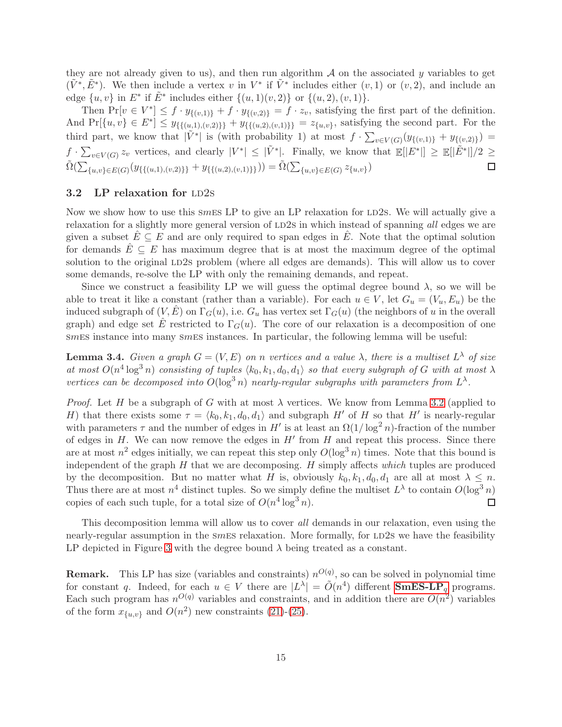they are not already given to us), and then run algorithm  $A$  on the associated y variables to get  $(\tilde{V}^*, \tilde{E}^*)$ . We then include a vertex v in  $V^*$  if  $\tilde{V}^*$  includes either  $(v, 1)$  or  $(v, 2)$ , and include an edge  $\{u, v\}$  in  $E^*$  if  $\tilde{E}^*$  includes either  $\{(u, 1)(v, 2)\}$  or  $\{(u, 2), (v, 1)\}.$ 

Then  $Pr[v \in V^*] \leq f \cdot y_{\{(v,1)\}} + f \cdot y_{\{(v,2)\}} = f \cdot z_v$ , satisfying the first part of the definition. And  $Pr[\{u, v\} \in E^*] \leq y_{\{\{(u,1),(v,2)\}\}} + y_{\{\{(u,2),(v,1)\}\}} = z_{\{u,v\}}$ , satisfying the second part. For the third part, we know that  $|\tilde{V}^*|$  is (with probability 1) at most  $f \cdot \sum_{v \in V(G)} (y_{\{(v,1)\}} + y_{\{(v,2)\}})$  $f \cdot \sum_{v \in V(G)} z_v$  vertices, and clearly  $|V^*| \leq |\tilde{V}^*|$ . Finally, we know that  $\mathbb{E}[|E^*|] \geq \mathbb{E}[|\tilde{E}^*|]/2 \geq$  $\tilde{\Omega}(\sum_{\{u,v\}\in E(G)}(y_{\{\{(u,1),(v,2)\}\}}+y_{\{\{(u,2),(v,1)\}\}}))=\tilde{\Omega}(\sum_{\{u,v\}\in E(G)}z_{\{u,v\}})$  $\Box$ 

## $3.2$  LP relaxation for LD2s

Now we show how to use this smes LP to give an LP relaxation for LD2s. We will actually give a relaxation for a slightly more general version of LD2s in which instead of spanning all edges we are given a subset  $\hat{E} \subseteq E$  and are only required to span edges in  $\hat{E}$ . Note that the optimal solution for demands  $E \subseteq E$  has maximum degree that is at most the maximum degree of the optimal solution to the original LD2s problem (where all edges are demands). This will allow us to cover some demands, re-solve the LP with only the remaining demands, and repeat.

Since we construct a feasibility LP we will guess the optimal degree bound  $\lambda$ , so we will be able to treat it like a constant (rather than a variable). For each  $u \in V$ , let  $G_u = (V_u, E_u)$  be the induced subgraph of  $(V, \hat{E})$  on  $\Gamma_G(u)$ , i.e.  $G_u$  has vertex set  $\Gamma_G(u)$  (the neighbors of u in the overall graph) and edge set  $\hat{E}$  restricted to  $\Gamma_G(u)$ . The core of our relaxation is a decomposition of one smes instance into many smes instances. In particular, the following lemma will be useful:

<span id="page-14-0"></span>**Lemma 3.4.** Given a graph  $G = (V, E)$  on n vertices and a value  $\lambda$ , there is a multiset  $L^{\lambda}$  of size at most  $O(n^4 \log^3 n)$  consisting of tuples  $\langle k_0, k_1, d_0, d_1 \rangle$  so that every subgraph of G with at most  $\lambda$ vertices can be decomposed into  $O(\log^3 n)$  nearly-regular subgraphs with parameters from  $L^{\lambda}$ .

*Proof.* Let H be a subgraph of G with at most  $\lambda$  vertices. We know from Lemma [3.2](#page-11-2) (applied to H) that there exists some  $\tau = \langle k_0, k_1, d_0, d_1 \rangle$  and subgraph H' of H so that H' is nearly-regular with parameters  $\tau$  and the number of edges in H' is at least an  $\Omega(1/\log^2 n)$ -fraction of the number of edges in  $H$ . We can now remove the edges in  $H'$  from  $H$  and repeat this process. Since there are at most  $n^2$  edges initially, we can repeat this step only  $O(\log^3 n)$  times. Note that this bound is independent of the graph  $H$  that we are decomposing.  $H$  simply affects which tuples are produced by the decomposition. But no matter what H is, obviously  $k_0, k_1, d_0, d_1$  are all at most  $\lambda \leq n$ . Thus there are at most  $n^4$  distinct tuples. So we simply define the multiset  $L^{\lambda}$  to contain  $O(\log^3 n)$ copies of each such tuple, for a total size of  $O(n^4 \log^3 n)$ .  $\Box$ 

This decomposition lemma will allow us to cover all demands in our relaxation, even using the nearly-regular assumption in the smess relaxation. More formally, for LD2s we have the feasibility LP depicted in Figure [3](#page-15-0) with the degree bound  $\lambda$  being treated as a constant.

**Remark.** This LP has size (variables and constraints)  $n^{O(q)}$ , so can be solved in polynomial time for constant q. Indeed, for each  $u \in V$  there are  $|L^{\lambda}| = \tilde{O}(n^4)$  different **SmES-LP**<sub>q</sub> programs. Each such program has  $n^{O(q)}$  variables and constraints, and in addition there are  $O(n^2)$  variables of the form  $x_{\{u,v\}}$  and  $O(n^2)$  new constraints [\(21\)](#page-15-1)-[\(25\)](#page-15-2).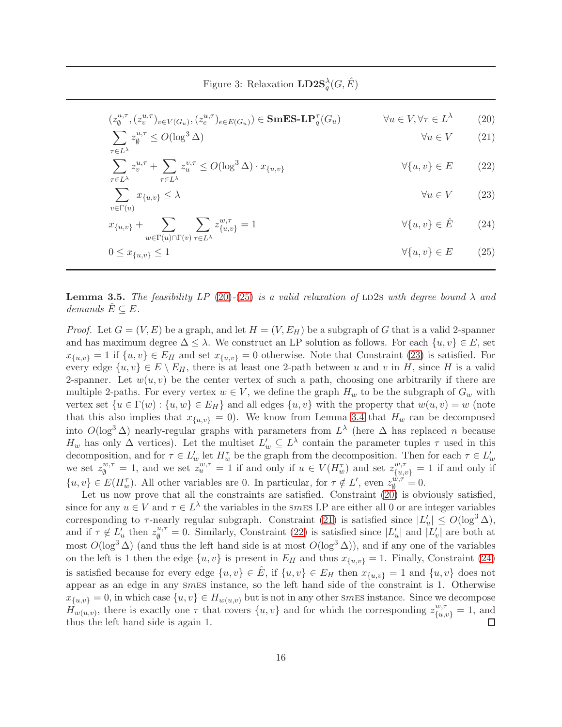<span id="page-15-6"></span><span id="page-15-5"></span><span id="page-15-4"></span><span id="page-15-3"></span><span id="page-15-2"></span><span id="page-15-1"></span><span id="page-15-0"></span>Figure 3: Relaxation  $\mathbf{LD2S}^\lambda_q(G,\hat{E})$ 

| $(z_{\emptyset}^{u,\tau},(z_{v}^{u,\tau})_{v\in V(G_{u})},(z_{e}^{u,\tau})_{e\in E(G_{u})})\in \mathbf{SmES}\text{-}\mathbf{LP}_{q}^{\tau}(G_{u})$ | $\forall u \in V, \forall \tau \in L^{\lambda}$ | (20) |
|----------------------------------------------------------------------------------------------------------------------------------------------------|-------------------------------------------------|------|
| $\sum z_{\emptyset}^{u,\tau} \leq O(\log^3 \Delta)$                                                                                                | $\forall u \in V \qquad (21)$                   |      |

$$
\sum_{\tau \in L^{\lambda}} z_v^{u,\tau} + \sum_{\tau \in L^{\lambda}} z_u^{v,\tau} \le O(\log^3 \Delta) \cdot x_{\{u,v\}} \qquad \forall \{u,v\} \in E \qquad (22)
$$

$$
\sum_{v \in \Gamma(u)} x_{\{u,v\}} \le \lambda \qquad \qquad \forall u \in V \qquad (23)
$$

$$
x_{\{u,v\}} + \sum_{w \in \Gamma(u) \cap \Gamma(v)} \sum_{\tau \in L^{\lambda}} z_{\{u,v\}}^{w,\tau} = 1 \qquad \forall \{u,v\} \in \hat{E} \tag{24}
$$

$$
0 \le x_{\{u,v\}} \le 1 \tag{25}
$$

**Lemma 3.5.** The feasibility LP [\(20\)](#page-15-3)-[\(25\)](#page-15-2) is a valid relaxation of LD2s with degree bound  $\lambda$  and demands  $E \subseteq E$ .

*Proof.* Let  $G = (V, E)$  be a graph, and let  $H = (V, E_H)$  be a subgraph of G that is a valid 2-spanner and has maximum degree  $\Delta \leq \lambda$ . We construct an LP solution as follows. For each  $\{u, v\} \in E$ , set  $x_{\{u,v\}} = 1$  if  $\{u,v\} \in E_H$  and set  $x_{\{u,v\}} = 0$  otherwise. Note that Constraint [\(23\)](#page-15-4) is satisfied. For every edge  $\{u, v\} \in E \setminus E_H$ , there is at least one 2-path between u and v in H, since H is a valid 2-spanner. Let  $w(u, v)$  be the center vertex of such a path, choosing one arbitrarily if there are multiple 2-paths. For every vertex  $w \in V$ , we define the graph  $H_w$  to be the subgraph of  $G_w$  with vertex set  $\{u \in \Gamma(w) : \{u, w\} \in E_H\}$  and all edges  $\{u, v\}$  with the property that  $w(u, v) = w$  (note that this also implies that  $x_{\{u,v\}} = 0$ . We know from Lemma [3.4](#page-14-0) that  $H_w$  can be decomposed into  $O(\log^3 \Delta)$  nearly-regular graphs with parameters from  $L^{\lambda}$  (here  $\Delta$  has replaced n because  $H_w$  has only  $\Delta$  vertices). Let the multiset  $L'_w \subseteq L^{\lambda}$  contain the parameter tuples  $\tau$  used in this decomposition, and for  $\tau \in L'_w$  let  $H_w^{\tau}$  be the graph from the decomposition. Then for each  $\tau \in L'_w$ we set  $z_0^{w,\tau} = 1$ , and we set  $z_u^{w,\tau} = 1$  if and only if  $u \in V(H_w^{\tau})$  and set  $z_{\{u,v\}}^{w,\tau} = 1$  if and only if  $\{u, v\} \in E(H_w^{\tau})$ . All other variables are 0. In particular, for  $\tau \notin L'$ , even  $z_0^{\omega, \tau} = 0$ .

Let us now prove that all the constraints are satisfied. Constraint  $(20)$  is obviously satisfied, since for any  $u \in V$  and  $\tau \in L^{\lambda}$  the variables in the smES LP are either all 0 or are integer variables corresponding to  $\tau$ -nearly regular subgraph. Constraint [\(21\)](#page-15-1) is satisfied since  $|L'_u| \leq O(\log^3 \Delta)$ , and if  $\tau \notin L'_u$  then  $z_{\emptyset}^{u,\tau} = 0$ . Similarly, Constraint [\(22\)](#page-15-5) is satisfied since  $|L'_u|$  and  $|L'_v|$  are both at most  $O(\log^3 \Delta)$  (and thus the left hand side is at most  $O(\log^3 \Delta)$ ), and if any one of the variables on the left is 1 then the edge  $\{u, v\}$  is present in  $E_H$  and thus  $x_{\{u, v\}} = 1$ . Finally, Constraint [\(24\)](#page-15-6) is satisfied because for every edge  $\{u, v\} \in \hat{E}$ , if  $\{u, v\} \in E_H$  then  $x_{\{u, v\}} = 1$  and  $\{u, v\}$  does not appear as an edge in any smes instance, so the left hand side of the constraint is 1. Otherwise  $x_{\{u,v\}} = 0$ , in which case  $\{u, v\} \in H_{w(u,v)}$  but is not in any other smEs instance. Since we decompose  $H_{w(u,v)}$ , there is exactly one  $\tau$  that covers  $\{u, v\}$  and for which the corresponding  $z_{\{u, v\}}^{w, \tau} = 1$ , and thus the left hand side is again 1.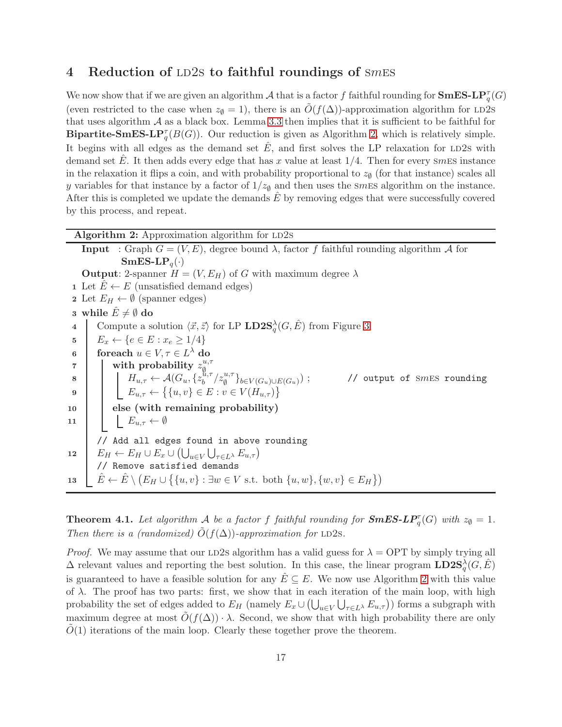## <span id="page-16-0"></span>4 Reduction of LD2s to faithful roundings of  $smES$

We now show that if we are given an algorithm  $A$  that is a factor f faithful rounding for  $\mathbf{SmES-LP}^{\tau}_{q}(G)$ (even restricted to the case when  $z_{\emptyset} = 1$ ), there is an  $\tilde{O}(f(\Delta))$ -approximation algorithm for LD2s that uses algorithm  $\mathcal A$  as a black box. Lemma [3.3](#page-13-1) then implies that it is sufficient to be faithful for **Bipartite-SmES-LP** $_q^{\tau}(B(G))$ . Our reduction is given as Algorithm [2,](#page-16-1) which is relatively simple. It begins with all edges as the demand set  $E$ , and first solves the LP relaxation for LD2s with demand set  $\hat{E}$ . It then adds every edge that has x value at least  $1/4$ . Then for every smess instance in the relaxation it flips a coin, and with probability proportional to  $z_{\emptyset}$  (for that instance) scales all y variables for that instance by a factor of  $1/z_{\emptyset}$  and then uses the smEs algorithm on the instance. After this is completed we update the demands  $E$  by removing edges that were successfully covered by this process, and repeat.

<span id="page-16-1"></span>

| <b>Algorithm 2:</b> Approximation algorithm for LD2s                                                                                                                                 |                                            |
|--------------------------------------------------------------------------------------------------------------------------------------------------------------------------------------|--------------------------------------------|
| <b>Input</b> : Graph $G = (V, E)$ , degree bound $\lambda$ , factor f faithful rounding algorithm A for                                                                              |                                            |
| $\mathbf{SmES}\text{-}\mathbf{LP}_q(\cdot)$                                                                                                                                          |                                            |
| <b>Output:</b> 2-spanner $H = (V, E_H)$ of G with maximum degree $\lambda$                                                                                                           |                                            |
| 1 Let $E \leftarrow E$ (unsatisfied demand edges)                                                                                                                                    |                                            |
| 2 Let $E_H \leftarrow \emptyset$ (spanner edges)                                                                                                                                     |                                            |
| 3 while $\hat{E} \neq \emptyset$ do                                                                                                                                                  |                                            |
| Compute a solution $\langle \vec{x}, \vec{z} \rangle$ for LP <b>LD2S</b> <sup><math>\lambda</math></sup> <sub><i>a</i></sub> $(G, \hat{E})$ from Figure 3<br>$\overline{\mathbf{4}}$ |                                            |
| $E_x \leftarrow \{e \in E : x_e \geq 1/4\}$<br>5                                                                                                                                     |                                            |
| for each $u \in V, \tau \in L^{\lambda}$ do<br>6                                                                                                                                     |                                            |
| with probability $z_{\emptyset}^{u,\tau}$<br>$\overline{7}$                                                                                                                          |                                            |
| $H_{u,\tau} \leftarrow \mathcal{A}(G_u, \{z_b^{\tilde{u},\tau}/z_{\emptyset}^{u,\tau}\}_{b \in V(G_u) \cup E(G_u)})$ ;<br>8                                                          | // output of $\text{S}m\text{ES}$ rounding |
| $E_{u,\tau} \leftarrow \{ \{u,v\} \in E : v \in V(H_{u,\tau}) \}$<br>9                                                                                                               |                                            |
| else (with remaining probability)<br>10                                                                                                                                              |                                            |
| $E_{u,\tau} \leftarrow \emptyset$<br>11                                                                                                                                              |                                            |
| // Add all edges found in above rounding                                                                                                                                             |                                            |
| $E_H \leftarrow E_H \cup E_x \cup (\bigcup_{u \in V} \bigcup_{\tau \in L^{\lambda}} E_{u,\tau})$<br>12                                                                               |                                            |
| // Remove satisfied demands                                                                                                                                                          |                                            |
| $\hat{E} \leftarrow \hat{E} \setminus (E_H \cup \{\{u, v\} : \exists w \in V \text{ s.t. both } \{u, w\}, \{w, v\} \in E_H\})$<br>13                                                 |                                            |

**Theorem 4.1.** Let algorithm  $\mathcal A$  be a factor f faithful rounding for  $SmES-LP_q^{\tau}(G)$  with  $z_{\emptyset} = 1$ . Then there is a (randomized)  $\tilde{O}(f(\Delta))$ -approximation for LD2s.

*Proof.* We may assume that our LD2s algorithm has a valid guess for  $\lambda =$  OPT by simply trying all  $\Delta$  relevant values and reporting the best solution. In this case, the linear program  $\mathbf{LD2S}_{q}^{\lambda}(G,\hat{E})$ is guaranteed to have a feasible solution for any  $E \subseteq E$ . We now use Algorithm [2](#page-16-1) with this value of  $\lambda$ . The proof has two parts: first, we show that in each iteration of the main loop, with high probability the set of edges added to  $E_H$  (namely  $E_x \cup (\bigcup_{u \in V} \bigcup_{\tau \in L^{\lambda}} E_{u,\tau})$ ) forms a subgraph with maximum degree at most  $O(f(\Delta)) \cdot \lambda$ . Second, we show that with high probability there are only  $O(1)$  iterations of the main loop. Clearly these together prove the theorem.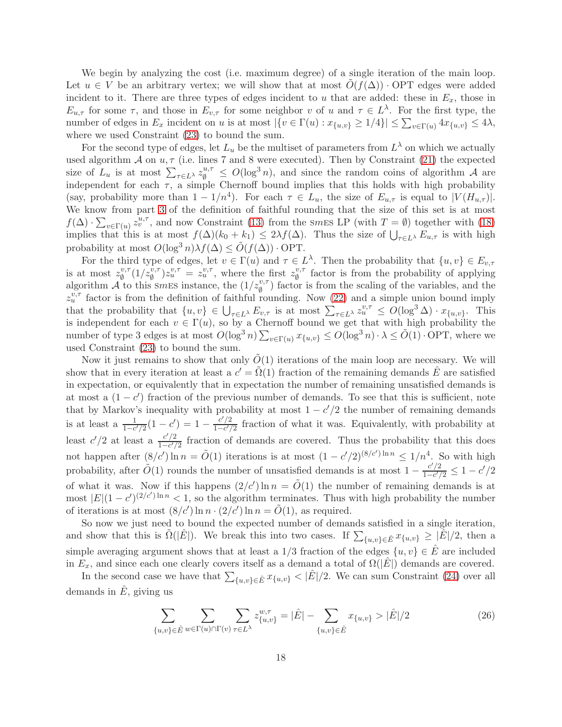We begin by analyzing the cost (i.e. maximum degree) of a single iteration of the main loop. Let  $u \in V$  be an arbitrary vertex; we will show that at most  $O(f(\Delta))$  · OPT edges were added incident to it. There are three types of edges incident to u that are added: these in  $E_x$ , those in  $E_{u,\tau}$  for some  $\tau$ , and those in  $E_{v,\tau}$  for some neighbor v of u and  $\tau \in L^{\lambda}$ . For the first type, the number of edges in  $E_x$  incident on u is at most  $|\{v \in \Gamma(u) : x_{\{u,v\}} \ge 1/4\}| \le \sum_{v \in \Gamma(u)} 4x_{\{u,v\}} \le 4\lambda$ , where we used Constraint [\(23\)](#page-15-4) to bound the sum.

For the second type of edges, let  $L_u$  be the multiset of parameters from  $L^{\lambda}$  on which we actually used algorithm  $A$  on  $u, \tau$  (i.e. lines 7 and 8 were executed). Then by Constraint [\(21\)](#page-15-1) the expected size of  $L_u$  is at most  $\sum_{\tau \in L^{\lambda}} z_{\emptyset}^{u,\tau} \leq O(\log^3 n)$ , and since the random coins of algorithm A are independent for each  $\tau$ , a simple Chernoff bound implies that this holds with high probability (say, probability more than  $1 - 1/n^4$ ). For each  $\tau \in L_u$ , the size of  $E_{u,\tau}$  is equal to  $|V(H_{u,\tau})|$ . We know from part [3](#page-6-5) of the definition of faithful rounding that the size of this set is at most  $f(\Delta) \cdot \sum_{v \in \Gamma(u)} z_v^{u,\tau}$ , and now Constraint [\(13\)](#page-12-0) from the smes LP (with  $T = \emptyset$ ) together with [\(18\)](#page-13-2) implies that this is at most  $f(\Delta)(k_0 + k_1) \leq 2\lambda f(\Delta)$ . Thus the size of  $\bigcup_{\tau \in L^\lambda} E_{u,\tau}$  is with high probability at most  $O(\log^3 n)\lambda f(\Delta) \leq \tilde{O}(f(\Delta)) \cdot \text{OPT}$ .

For the third type of edges, let  $v \in \Gamma(u)$  and  $\tau \in L^{\lambda}$ . Then the probability that  $\{u, v\} \in E_{v, \tau}$ is at most  $z_0^{v,\tau}$  $v_{\emptyset}^{v,\tau}(1/z_{\emptyset}^{v,\tau})z_{u}^{v,\tau} = z_{u}^{v,\tau}$ , where the first  $z_{\emptyset}^{v,\tau}$  $\psi_{\emptyset}^{\nu,\tau}$  factor is from the probability of applying algorithm  $\mathcal{A}$  to this smes instance, the  $(1/z_0^{v,\tau})$  factor is from the scaling of the variables, and the  $z_v^{v,\tau}$  factor is from the definition of faithful rounding. Now [\(22\)](#page-15-5) and a simple union bound imply that the probability that  $\{u, v\} \in \bigcup_{\tau \in L^{\lambda}} E_{v, \tau}$  is at most  $\sum_{\tau \in L^{\lambda}} z_u^{v, \tau} \le O(\log^3 \Delta) \cdot x_{\{u, v\}}$ . This is independent for each  $v \in \Gamma(u)$ , so by a Chernoff bound we get that with high probability the number of type 3 edges is at most  $O(\log^3 n) \sum_{v \in \Gamma(u)} x_{\{u,v\}} \leq O(\log^3 n) \cdot \lambda \leq \tilde{O}(1) \cdot \text{OPT}$ , where we used Constraint [\(23\)](#page-15-4) to bound the sum.

Now it just remains to show that only  $O(1)$  iterations of the main loop are necessary. We will show that in every iteration at least a  $c' = \tilde{\Omega}(1)$  fraction of the remaining demands  $\hat{E}$  are satisfied in expectation, or equivalently that in expectation the number of remaining unsatisfied demands is at most a  $(1 - c')$  fraction of the previous number of demands. To see that this is sufficient, note that by Markov's inequality with probability at most  $1 - c'/2$  the number of remaining demands is at least a  $\frac{1}{1-c'/2}(1-c') = 1 - \frac{c'/2}{1-c'}$  $\frac{c/2}{1-c'/2}$  fraction of what it was. Equivalently, with probability at least  $c'/2$  at least a  $\frac{c'/2}{1-c'}$  $\frac{c/2}{1-c'/2}$  fraction of demands are covered. Thus the probability that this does not happen after  $(8/c') \ln n = \tilde{O}(1)$  iterations is at most  $(1 - c'/2)^{(8/c')} \ln n \le 1/n^4$ . So with high probability, after  $\tilde{O}(1)$  rounds the number of unsatisfied demands is at most  $1 - \frac{c'/2}{1 - c'}$  $\frac{c/2}{1-c'/2} \leq 1-c'/2$ of what it was. Now if this happens  $(2/c') \ln n = \tilde{O}(1)$  the number of remaining demands is at most  $|E|(1-c')^{(2/c')\ln n} < 1$ , so the algorithm terminates. Thus with high probability the number of iterations is at most  $(8/c') \ln n \cdot (2/c') \ln n = \tilde{O}(1)$ , as required.

So now we just need to bound the expected number of demands satisfied in a single iteration, and show that this is  $\tilde{\Omega}(|E|)$ . We break this into two cases. If  $\sum_{\{u,v\}\in \hat{E}} x_{\{u,v\}} \geq |\hat{E}|/2$ , then a simple averaging argument shows that at least a 1/3 fraction of the edges  $\{u, v\} \in \hat{E}$  are included in  $E_x$ , and since each one clearly covers itself as a demand a total of  $\Omega(|E|)$  demands are covered.

In the second case we have that  $\sum_{\{u,v\}\in \hat{E}} x_{\{u,v\}} < |\hat{E}|/2$ . We can sum Constraint [\(24\)](#page-15-6) over all demands in  $\hat{E}$ , giving us

<span id="page-17-0"></span>
$$
\sum_{\{u,v\}\in \hat{E}} \sum_{w\in \Gamma(u)\cap \Gamma(v)} \sum_{\tau\in L^{\lambda}} z_{\{u,v\}}^{w,\tau} = |\hat{E}| - \sum_{\{u,v\}\in \hat{E}} x_{\{u,v\}} > |\hat{E}|/2
$$
\n(26)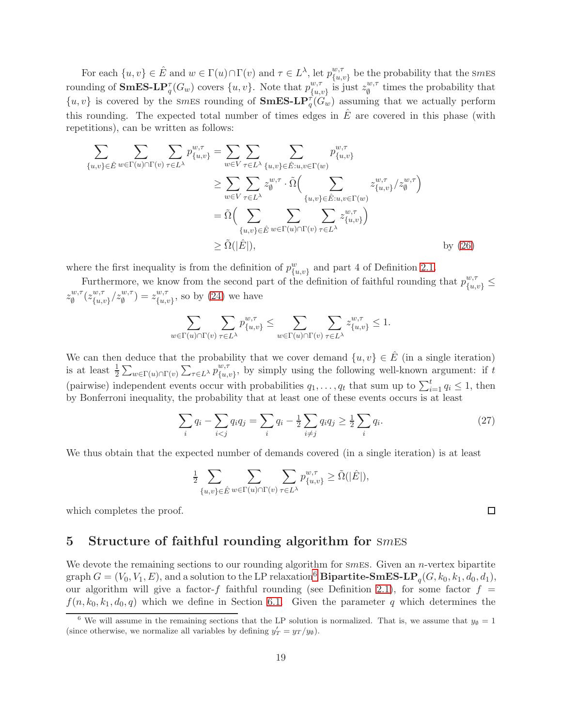For each  $\{u, v\} \in \hat{E}$  and  $w \in \Gamma(u) \cap \Gamma(v)$  and  $\tau \in L^{\lambda}$ , let  $p_{\{u, v\}}^{w, \tau}$  be the probability that the smEs For each  $\{u, v\} \subseteq E$  and  $w \in \Gamma(w)$  and  $v \in E$ , i.e.  $p_{\{u, v\}}$ <br>rounding of **SmES-LP**<sub>q</sub><sup>*T*</sup>( $G_w$ ) covers  $\{u, v\}$ . Note that  $p_{\{u, v\}}^{w, \tau}$  is ju  $\begin{bmatrix} w, \tau \\ \{u, v\} \end{bmatrix}$  is just  $z_{\emptyset}^{w, \tau}$  $\psi_{\emptyset}^{w,\tau}$  times the probability that  $\{u, v\}$  is covered by the smES rounding of  $\mathbf{SmES-LP}_{q}^{\tau}(\hat{G}_{w})$  assuming that we actually perform this rounding. The expected total number of times edges in  $\hat{E}$  are covered in this phase (with repetitions), can be written as follows:

$$
\sum_{\{u,v\}\in \hat{E}} \sum_{w\in \Gamma(u)\cap \Gamma(v)} \sum_{\tau\in L^{\lambda}} p_{\{u,v\}}^{w,\tau} = \sum_{w\in V} \sum_{\tau\in L^{\lambda}} \sum_{\{u,v\}\in \hat{E}:u,v\in \Gamma(w)} p_{\{u,v\}}^{w,\tau}
$$
\n
$$
\geq \sum_{w\in V} \sum_{\tau\in L^{\lambda}} z_{\emptyset}^{w,\tau} \cdot \tilde{\Omega} \Big( \sum_{\{u,v\}\in \hat{E}:u,v\in \Gamma(w)} z_{\{u,v\}}^{w,\tau} / z_{\emptyset}^{w,\tau} \Big)
$$
\n
$$
= \tilde{\Omega} \Big( \sum_{\{u,v\}\in \hat{E}} \sum_{w\in \Gamma(u)\cap \Gamma(v)} \sum_{\tau\in L^{\lambda}} z_{\{u,v\}}^{w,\tau} \Big)
$$
\n
$$
\geq \tilde{\Omega}(|\hat{E}|), \qquad \text{by (26)}
$$

where the first inequality is from the definition of  $p_{\lbrace u,v \rbrace}^w$  and part 4 of Definition [2.1.](#page-38-1)

Furthermore, we know from the second part of the definition of faithful rounding that  $p_{\{u,v\}}^{w,\tau} \leq$  $z_\emptyset^{w,\tau}$  $\overset{w,\tau}{\emptyset}(z^{w,\tau}_{\{u,\tau\}}$  ${w,\tau \atop {\{u,v\}}} / z_{\emptyset}^{w,\tau}$  =  $z_{\{u,\tau\}}^{w,\tau}$  ${w,\tau \atop {u,v}}$ , so by [\(24\)](#page-15-6) we have

$$
\sum_{w \in \Gamma(u) \cap \Gamma(v)} \sum_{\tau \in L^\lambda} p_{\{u,v\}}^{w,\tau} \le \sum_{w \in \Gamma(u) \cap \Gamma(v)} \sum_{\tau \in L^\lambda} z_{\{u,v\}}^{w,\tau} \le 1.
$$

We can then deduce that the probability that we cover demand  $\{u, v\} \in \hat{E}$  (in a single iteration) is at least  $\frac{1}{2} \sum_{w \in \Gamma(u) \cap \Gamma(v)} \sum_{\tau \in L^{\lambda}} p_{\{u,\tau\}}^{w,\tau}$  ${w,\tau \atop {\{u,v\}}},$  by simply using the following well-known argument: if t (pairwise) independent events occur with probabilities  $q_1, \ldots, q_t$  that sum up to  $\sum_{i=1}^t q_i \leq 1$ , then by Bonferroni inequality, the probability that at least one of these events occurs is at least

$$
\sum_{i} q_i - \sum_{i < j} q_i q_j = \sum_{i} q_i - \frac{1}{2} \sum_{i \neq j} q_i q_j \ge \frac{1}{2} \sum_{i} q_i. \tag{27}
$$

We thus obtain that the expected number of demands covered (in a single iteration) is at least

$$
\tfrac{1}{2}\sum_{\{u,v\}\in \hat{E}}\sum_{w\in \Gamma(u)\cap \Gamma(v)}\sum_{\tau\in L^\lambda}p_{\{u,v\}}^{w,\tau}\geq \tilde{\Omega}(|\hat{E}|),
$$

which completes the proof.

## <span id="page-18-0"></span>5 Structure of faithful rounding algorithm for  $smES$

We devote the remaining sections to our rounding algorithm for smes. Given an *n*-vertex bipartite graph  $G = (V_0, V_1, E)$ , and a solution to the LP relaxation<sup>[6](#page-18-1)</sup> Bipartite-SmES-LP<sub>q</sub>( $G, k_0, k_1, d_0, d_1$ ), our algorithm will give a factor-f faithful rounding (see Definition [2.1\)](#page-38-1), for some factor  $f =$  $f(n, k_0, k_1, d_0, q)$  which we define in Section [6.1.](#page-22-1) Given the parameter q which determines the

 $\Box$ 

<span id="page-18-1"></span><sup>&</sup>lt;sup>6</sup> We will assume in the remaining sections that the LP solution is normalized. That is, we assume that  $y_{\emptyset} = 1$ (since otherwise, we normalize all variables by defining  $y'_T = y_T/y_\emptyset$ ).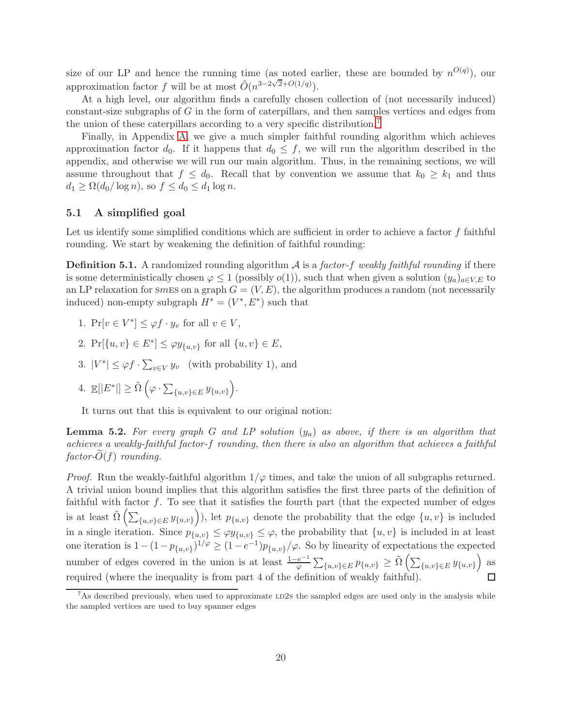size of our LP and hence the running time (as noted earlier, these are bounded by  $n^{O(q)}$ ), our approximation factor f will be at most  $\tilde{O}(n^{3-2\sqrt{2}+O(1/q)})$ .

At a high level, our algorithm finds a carefully chosen collection of (not necessarily induced) constant-size subgraphs of G in the form of caterpillars, and then samples vertices and edges from the union of these caterpillars according to a very specific distribution.[7](#page-19-0)

Finally, in Appendix [A,](#page-37-3) we give a much simpler faithful rounding algorithm which achieves approximation factor  $d_0$ . If it happens that  $d_0 \leq f$ , we will run the algorithm described in the appendix, and otherwise we will run our main algorithm. Thus, in the remaining sections, we will assume throughout that  $f \leq d_0$ . Recall that by convention we assume that  $k_0 \geq k_1$  and thus  $d_1 \geq \Omega(d_0/\log n)$ , so  $f \leq d_0 \leq d_1 \log n$ .

## 5.1 A simplified goal

Let us identify some simplified conditions which are sufficient in order to achieve a factor  $f$  faithful rounding. We start by weakening the definition of faithful rounding:

<span id="page-19-1"></span>**Definition 5.1.** A randomized rounding algorithm  $\mathcal A$  is a factor-f weakly faithful rounding if there is some deterministically chosen  $\varphi \leq 1$  (possibly  $o(1)$ ), such that when given a solution  $(y_a)_{a \in V, E}$  to an LP relaxation for smess on a graph  $G = (V, E)$ , the algorithm produces a random (not necessarily induced) non-empty subgraph  $H^* = (V^*, E^*)$  such that

- 1.  $Pr[v \in V^*] \leq \varphi f \cdot y_v$  for all  $v \in V$ ,
- 2.  $Pr[\{u, v\} \in E^*] \le \varphi y_{\{u, v\}}$  for all  $\{u, v\} \in E$ ,
- 3.  $|V^*| \leq \varphi f \cdot \sum_{v \in V} y_v$  (with probability 1), and
- 4.  $\mathbb{E}[|E^*|] \geq \tilde{\Omega} \left( \varphi \cdot \sum_{\{u,v\} \in E} y_{\{u,v\}} \right)$ .

It turns out that this is equivalent to our original notion:

**Lemma 5.2.** For every graph G and LP solution  $(y_a)$  as above, if there is an algorithm that achieves a weakly-faithful factor-f rounding, then there is also an algorithm that achieves a faithful  $factor-O(f)$  rounding.

*Proof.* Run the weakly-faithful algorithm  $1/\varphi$  times, and take the union of all subgraphs returned. A trivial union bound implies that this algorithm satisfies the first three parts of the definition of faithful with factor  $f$ . To see that it satisfies the fourth part (that the expected number of edges is at least  $\tilde{\Omega} \left( \sum_{\{u,v\} \in E} y_{\{u,v\}} \right)$ ), let  $p_{\{u,v\}}$  denote the probability that the edge  $\{u,v\}$  is included in a single iteration. Since  $p_{\{u,v\}} \leq \varphi y_{\{u,v\}} \leq \varphi$ , the probability that  $\{u,v\}$  is included in at least one iteration is  $1 - (1 - p_{\{u,v\}})^{1/\varphi} \ge (1 - e^{-1})p_{\{u,v\}}/\varphi$ . So by linearity of expectations the expected number of edges covered in the union is at least  $\frac{1-e^{-1}}{\varphi} \sum_{\{u,v\} \in E} p_{\{u,v\}} \ge \tilde{\Omega} \left( \sum_{\{u,v\} \in E} y_{\{u,v\}} \right)$  as required (where the inequality is from part 4 of the definition of weakly faithful).  $\Box$ 

<span id="page-19-0"></span> $^7$ As described previously, when used to approximate LD2s the sampled edges are used only in the analysis while the sampled vertices are used to buy spanner edges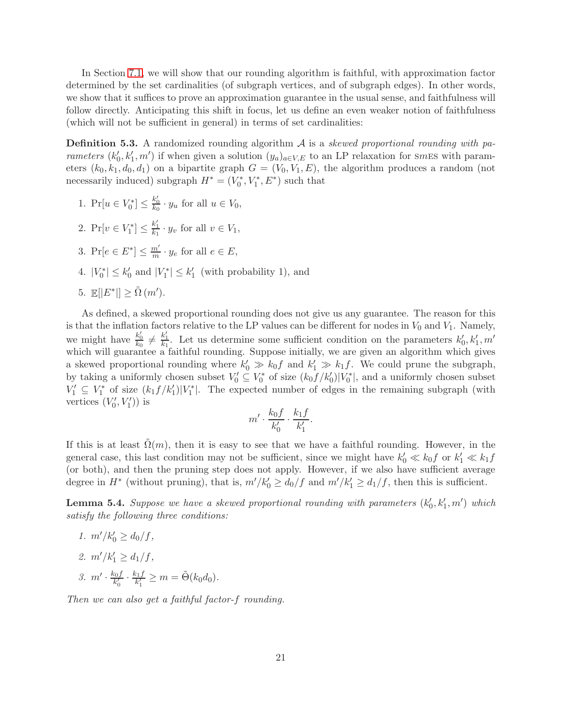In Section [7.1,](#page-27-0) we will show that our rounding algorithm is faithful, with approximation factor determined by the set cardinalities (of subgraph vertices, and of subgraph edges). In other words, we show that it suffices to prove an approximation guarantee in the usual sense, and faithfulness will follow directly. Anticipating this shift in focus, let us define an even weaker notion of faithfulness (which will not be sufficient in general) in terms of set cardinalities:

**Definition 5.3.** A randomized rounding algorithm  $\mathcal A$  is a skewed proportional rounding with parameters  $(k'_0, k'_1, m')$  if when given a solution  $(y_a)_{a \in V, E}$  to an LP relaxation for smes with parameters  $(k_0, k_1, d_0, d_1)$  on a bipartite graph  $G = (V_0, V_1, E)$ , the algorithm produces a random (not necessarily induced) subgraph  $H^* = (V_0^*, V_1^*, E^*)$  such that

- 1.  $Pr[u \in V_0^*] \leq \frac{k'_0}{k_0} \cdot y_u$  for all  $u \in V_0$ ,
- 2.  $Pr[v \in V_1^*] \leq \frac{k'_1}{k_1} \cdot y_v$  for all  $v \in V_1$ ,
- 3.  $Pr[e \in E^*] \leq \frac{m'}{m} \cdot y_e$  for all  $e \in E$ ,
- 4.  $|V_0^*| \leq k'_0$  and  $|V_1^*| \leq k'_1$  (with probability 1), and
- 5.  $\mathbb{E}[|E^*|] \geq \tilde{\Omega}(m').$

As defined, a skewed proportional rounding does not give us any guarantee. The reason for this is that the inflation factors relative to the LP values can be different for nodes in  $V_0$  and  $V_1$ . Namely, we might have  $\frac{k'_0}{k_0} \neq \frac{k'_1}{k_1}$ . Let us determine some sufficient condition on the parameters  $k'_0, k'_1, m'$ which will guarantee a faithful rounding. Suppose initially, we are given an algorithm which gives a skewed proportional rounding where  $k'_0 \gg k_0 f$  and  $k'_1 \gg k_1 f$ . We could prune the subgraph, by taking a uniformly chosen subset  $V'_0 \subseteq V_0^*$  of size  $(k_0 f/k_0')|V_0^*|$ , and a uniformly chosen subset  $V_1' \subseteq V_1^*$  of size  $(k_1 f/k_1')|V_1^*|$ . The expected number of edges in the remaining subgraph (with vertices  $(V'_0, V'_1)$  is

$$
m' \cdot \frac{k_0 f}{k'_0} \cdot \frac{k_1 f}{k'_1}.
$$

If this is at least  $\tilde{\Omega}(m)$ , then it is easy to see that we have a faithful rounding. However, in the general case, this last condition may not be sufficient, since we might have  $k'_0 \ll k_0 f$  or  $k'_1 \ll k_1 f$ (or both), and then the pruning step does not apply. However, if we also have sufficient average degree in  $H^*$  (without pruning), that is,  $m'/k'_0 \ge d_0/f$  and  $m'/k'_1 \ge d_1/f$ , then this is sufficient.

<span id="page-20-2"></span>**Lemma 5.4.** Suppose we have a skewed proportional rounding with parameters  $(k'_0, k'_1, m')$  which satisfy the following three conditions:

<span id="page-20-1"></span><span id="page-20-0"></span>1.  $m'/k'_0 \geq d_0/f$ , 2.  $m'/k'_1 \geq d_1/f$ , 3.  $m' \cdot \frac{k_0 f}{k'_0}$  $\frac{k_0 f}{k'_0} \cdot \frac{k_1 f}{k'_1}$  $\frac{x_1 f}{k'_1} \geq m = \tilde{\Theta}(k_0 d_0).$ 

Then we can also get a faithful factor-f rounding.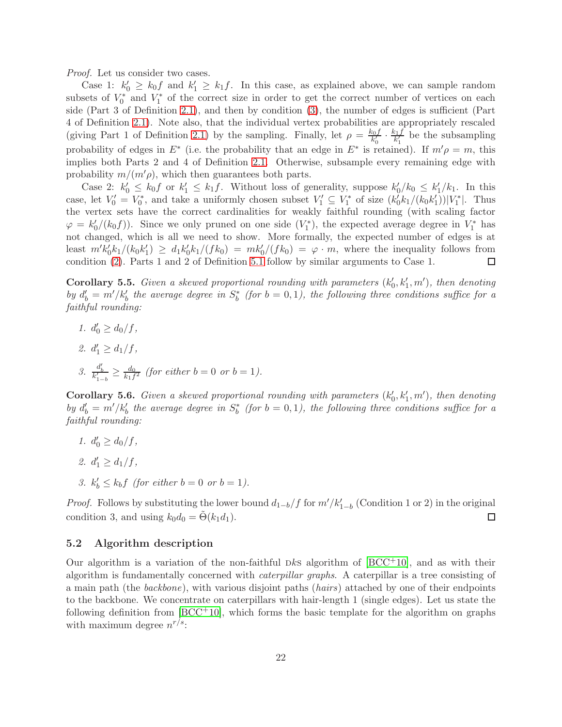Proof. Let us consider two cases.

Case 1:  $k'_0 \geq k_0 f$  and  $k'_1 \geq k_1 f$ . In this case, as explained above, we can sample random subsets of  $V_0^*$  and  $V_1^*$  of the correct size in order to get the correct number of vertices on each side (Part 3 of Definition [2.1\)](#page-38-1), and then by condition [\(3\)](#page-20-0), the number of edges is sufficient (Part 4 of Definition [2.1\)](#page-38-1). Note also, that the individual vertex probabilities are appropriately rescaled (giving Part 1 of Definition [2.1\)](#page-38-1) by the sampling. Finally, let  $\rho = \frac{k_0 f}{k'}$  $\frac{k_0 f}{k'_0} \cdot \frac{k_1 f}{k'_1}$  $\frac{k_1}{k_1}$  be the subsampling probability of edges in  $E^*$  (i.e. the probability that an edge in  $E^*$  is retained). If  $m'\rho = m$ , this implies both Parts 2 and 4 of Definition [2.1.](#page-38-1) Otherwise, subsample every remaining edge with probability  $m/(m' \rho)$ , which then guarantees both parts.

Case 2:  $k'_0 \leq k_0 f$  or  $k'_1 \leq k_1 f$ . Without loss of generality, suppose  $k'_0/k_0 \leq k'_1/k_1$ . In this case, let  $V'_0 = V_0^*$ , and take a uniformly chosen subset  $V'_1 \subseteq V_1^*$  of size  $(k'_0 k_1/(k_0 k'_1))|V_1^*|$ . Thus the vertex sets have the correct cardinalities for weakly faithful rounding (with scaling factor  $\varphi = k_0'/(k_0 f)$ . Since we only pruned on one side  $(V_1^*)$ , the expected average degree in  $V_1^*$  has not changed, which is all we need to show. More formally, the expected number of edges is at least  $m'k'_0k_1/(k_0k'_1) \geq d_1k'_0k_1/(fk_0) = mk'_0/(fk_0) = \varphi \cdot m$ , where the inequality follows from condition [\(2\)](#page-20-1). Parts 1 and 2 of Definition [5.1](#page-19-1) follow by similar arguments to Case 1.

<span id="page-21-2"></span>**Corollary 5.5.** Given a skewed proportional rounding with parameters  $(k'_0, k'_1, m')$ , then denoting by  $d'_b = m'/k'_b$  the average degree in  $S^*_b$  (for  $b = 0, 1$ ), the following three conditions suffice for a faithful rounding:

1.  $d'_0 \geq d_0/f$ , 2.  $d'_1 \geq d_1/f$ , 3.  $\frac{d_b'}{k_{1-b}'} \geq \frac{d_0}{k_1 f}$  $\frac{a_0}{k_1f^2}$  (for either  $b=0$  or  $b=1$ ).

<span id="page-21-1"></span>**Corollary 5.6.** Given a skewed proportional rounding with parameters  $(k'_0, k'_1, m')$ , then denoting by  $d'_b = m'/k'_b$  the average degree in  $S^*_b$  (for  $b = 0, 1$ ), the following three conditions suffice for a faithful rounding:

- 1.  $d'_0 \geq d_0/f$ , 2.  $d'_1 \geq d_1/f$ ,
- 3.  $k'_b \leq k_b f$  (for either  $b = 0$  or  $b = 1$ ).

*Proof.* Follows by substituting the lower bound  $d_{1-b}/f$  for  $m'/k'_{1-b}$  (Condition 1 or 2) in the original condition 3, and using  $k_0d_0 = \Theta(k_1d_1)$ .  $\Box$ 

#### <span id="page-21-0"></span>5.2 Algorithm description

Our algorithm is a variation of the non-faithful Dks algorithm of  $[BCC^+10]$ , and as with their algorithm is fundamentally concerned with caterpillar graphs. A caterpillar is a tree consisting of a main path (the backbone), with various disjoint paths (hairs) attached by one of their endpoints to the backbone. We concentrate on caterpillars with hair-length 1 (single edges). Let us state the following definition from  $[BCC^+10]$ , which forms the basic template for the algorithm on graphs with maximum degree  $n^{r/s}$ :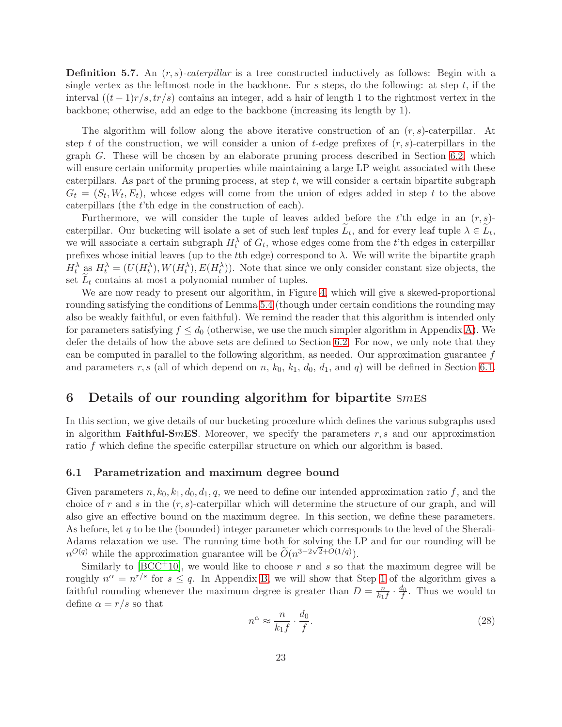<span id="page-22-3"></span>**Definition 5.7.** An  $(r, s)$ -caterpillar is a tree constructed inductively as follows: Begin with a single vertex as the leftmost node in the backbone. For s steps, do the following: at step  $t$ , if the interval  $((t-1)r/s, tr/s)$  contains an integer, add a hair of length 1 to the rightmost vertex in the backbone; otherwise, add an edge to the backbone (increasing its length by 1).

The algorithm will follow along the above iterative construction of an  $(r, s)$ -caterpillar. At step t of the construction, we will consider a union of t-edge prefixes of  $(r, s)$ -caterpillars in the graph G. These will be chosen by an elaborate pruning process described in Section [6.2,](#page-24-0) which will ensure certain uniformity properties while maintaining a large LP weight associated with these caterpillars. As part of the pruning process, at step  $t$ , we will consider a certain bipartite subgraph  $G_t = (S_t, W_t, E_t)$ , whose edges will come from the union of edges added in step t to the above caterpillars (the t'th edge in the construction of each).

Furthermore, we will consider the tuple of leaves added before the t'th edge in an  $(r, s)$ caterpillar. Our bucketing will isolate a set of such leaf tuples  $L_t$ , and for every leaf tuple  $\lambda \in L_t$ , we will associate a certain subgraph  $H_t^{\lambda}$  of  $G_t$ , whose edges come from the t'th edges in caterpillar prefixes whose initial leaves (up to the tth edge) correspond to  $\lambda$ . We will write the bipartite graph  $H_t^{\lambda}$  as  $H_t^{\lambda} = (U(H_t^{\lambda}), W(H_t^{\lambda}), E(H_t^{\lambda}))$ . Note that since we only consider constant size objects, the set  $L_t$  contains at most a polynomial number of tuples.

We are now ready to present our algorithm, in Figure [4,](#page-23-0) which will give a skewed-proportional rounding satisfying the conditions of Lemma [5.4](#page-20-2) (though under certain conditions the rounding may also be weakly faithful, or even faithful). We remind the reader that this algorithm is intended only for parameters satisfying  $f \leq d_0$  (otherwise, we use the much simpler algorithm in Appendix [A\)](#page-37-3). We defer the details of how the above sets are defined to Section [6.2.](#page-24-0) For now, we only note that they can be computed in parallel to the following algorithm, as needed. Our approximation guarantee  $f$ and parameters r, s (all of which depend on n,  $k_0$ ,  $k_1$ ,  $d_0$ ,  $d_1$ , and q) will be defined in Section [6.1.](#page-22-1)

## <span id="page-22-0"></span>6 Details of our rounding algorithm for bipartite  $smES$

In this section, we give details of our bucketing procedure which defines the various subgraphs used in algorithm Faithful-SmES. Moreover, we specify the parameters  $r, s$  and our approximation ratio f which define the specific caterpillar structure on which our algorithm is based.

#### <span id="page-22-1"></span>6.1 Parametrization and maximum degree bound

Given parameters  $n, k_0, k_1, d_0, d_1, q$ , we need to define our intended approximation ratio f, and the choice of r and s in the  $(r, s)$ -caterpillar which will determine the structure of our graph, and will also give an effective bound on the maximum degree. In this section, we define these parameters. As before, let  $q$  to be the (bounded) integer parameter which corresponds to the level of the Sherali-Adams relaxation we use. The running time both for solving the LP and for our rounding will be nd  $n^{O(q)}$  while the approximation guarantee will be  $\widetilde{O}(n^{3-2\sqrt{2}+O(1/q)})$ .

Similarly to  $[BCC^+10]$ , we would like to choose r and s so that the maximum degree will be roughly  $n^{\alpha} = n^{r/s}$  for  $s \leq q$ . In Appendix [B,](#page-38-0) we will show that Step [1](#page-23-1) of the algorithm gives a faithful rounding whenever the maximum degree is greater than  $D = \frac{n}{k_1}$  $\frac{n}{k_1f} \cdot \frac{d_0}{f}$ . Thus we would to define  $\alpha = r/s$  so that

<span id="page-22-2"></span>
$$
n^{\alpha} \approx \frac{n}{k_1 f} \cdot \frac{d_0}{f}.\tag{28}
$$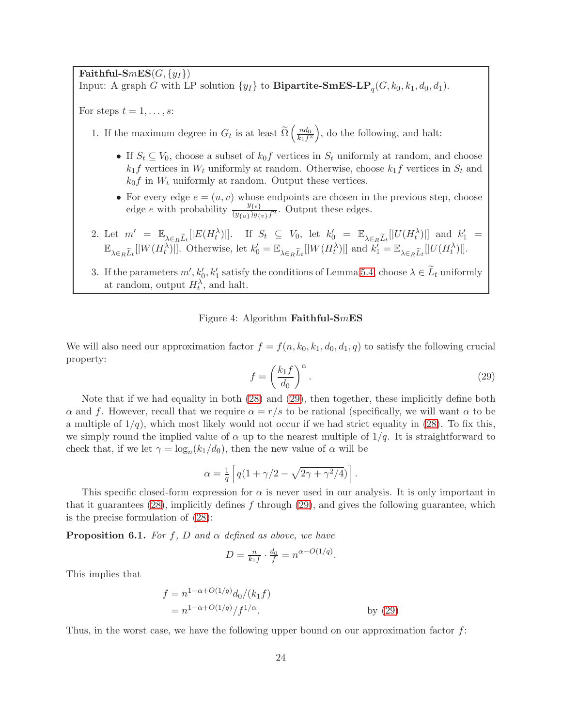Faithful-SmES( $G, \{y_I\}$ ) Input: A graph G with LP solution  $\{y_I\}$  to **Bipartite-SmES-LP**<sub>q</sub> $(G, k_0, k_1, d_0, d_1)$ .

<span id="page-23-1"></span>For steps  $t = 1, \ldots, s$ :

1. If the maximum degree in  $G_t$  is at least  $\widetilde{\Omega}\left(\frac{nd_0}{k_1f^2}\right)$  $\left(\frac{nd_0}{k_1f^2}\right)$ , do the following, and halt:

- If  $S_t \subseteq V_0$ , choose a subset of  $k_0 f$  vertices in  $S_t$  uniformly at random, and choose  $k_1f$  vertices in  $W_t$  uniformly at random. Otherwise, choose  $k_1f$  vertices in  $S_t$  and  $k_0 f$  in  $W_t$  uniformly at random. Output these vertices.
- For every edge  $e = (u, v)$  whose endpoints are chosen in the previous step, choose edge e with probability  $\frac{y_{\{e\}}}{(y_{\{u\}})y_{\{v\}}f^2}$ . Output these edges.
- 2. Let  $m' = \mathbb{E}_{\lambda \in R} \tilde{L}_t[|E(H_t^{\lambda})|]$ . If  $S_t \subseteq V_0$ , let  $k'_0 = \mathbb{E}_{\lambda \in R} \tilde{L}_t[|U(H_t^{\lambda})|]$  and  $k'_1 =$  $\mathbb{E}_{\lambda \in_R \widetilde{L}_t} [|W(H_t^{\lambda})|]$ . Otherwise, let  $k'_0 = \mathbb{E}_{\lambda \in_R \widetilde{L}_t} [|W(H_t^{\lambda})|]$  and  $k'_1 = \mathbb{E}_{\lambda \in_R \widetilde{L}_t} [|U(H_t^{\lambda})|]$ .
- <span id="page-23-3"></span>3. If the parameters  $m', k'_0, k'_1$  satisfy the conditions of Lemma [5.4,](#page-20-2) choose  $\lambda \in L_t$  uniformly at random, output  $H_t^{\lambda}$ , and halt.

## Figure 4: Algorithm Faithful-SmES

We will also need our approximation factor  $f = f(n, k_0, k_1, d_0, d_1, q)$  to satisfy the following crucial property:

<span id="page-23-2"></span><span id="page-23-0"></span>
$$
f = \left(\frac{k_1 f}{d_0}\right)^{\alpha}.\tag{29}
$$

Note that if we had equality in both [\(28\)](#page-22-2) and [\(29\)](#page-23-2), then together, these implicitly define both α and f. However, recall that we require  $\alpha = r/s$  to be rational (specifically, we will want α to be a multiple of  $1/q$ , which most likely would not occur if we had strict equality in [\(28\)](#page-22-2). To fix this, we simply round the implied value of  $\alpha$  up to the nearest multiple of  $1/q$ . It is straightforward to check that, if we let  $\gamma = \log_n(k_1/d_0)$ , then the new value of  $\alpha$  will be

$$
\alpha = \frac{1}{q} \left[ q(1 + \gamma/2 - \sqrt{2\gamma + \gamma^2/4}) \right].
$$

This specific closed-form expression for  $\alpha$  is never used in our analysis. It is only important in that it guarantees  $(28)$ , implicitly defines f through  $(29)$ , and gives the following guarantee, which is the precise formulation of [\(28\)](#page-22-2):

<span id="page-23-4"></span>**Proposition 6.1.** For f, D and  $\alpha$  defined as above, we have

$$
D = \frac{n}{k_1 f} \cdot \frac{d_0}{f} = n^{\alpha - O(1/q)}
$$

.

This implies that

$$
f = n^{1-\alpha+O(1/q)} d_0/(k_1 f)
$$
  
=  $n^{1-\alpha+O(1/q)}/f^{1/\alpha}$ . by (29)

Thus, in the worst case, we have the following upper bound on our approximation factor  $f$ :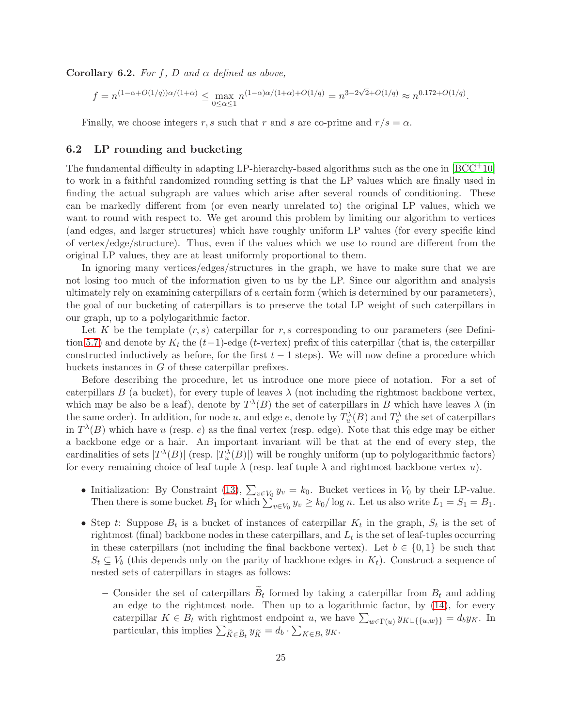**Corollary 6.2.** For f, D and  $\alpha$  defined as above,

$$
f = n^{(1-\alpha+O(1/q))\alpha/(1+\alpha)} \leq \max_{0 \leq \alpha \leq 1} n^{(1-\alpha)\alpha/(1+\alpha)+O(1/q)} = n^{3-2\sqrt{2}+O(1/q)} \approx n^{0.172+O(1/q)}.
$$

Finally, we choose integers r, s such that r and s are co-prime and  $r/s = \alpha$ .

## <span id="page-24-0"></span>6.2 LP rounding and bucketing

The fundamental difficulty in adapting LP-hierarchy-based algorithms such as the one in  $[BCC^+10]$ to work in a faithful randomized rounding setting is that the LP values which are finally used in finding the actual subgraph are values which arise after several rounds of conditioning. These can be markedly different from (or even nearly unrelated to) the original LP values, which we want to round with respect to. We get around this problem by limiting our algorithm to vertices (and edges, and larger structures) which have roughly uniform LP values (for every specific kind of vertex/edge/structure). Thus, even if the values which we use to round are different from the original LP values, they are at least uniformly proportional to them.

In ignoring many vertices/edges/structures in the graph, we have to make sure that we are not losing too much of the information given to us by the LP. Since our algorithm and analysis ultimately rely on examining caterpillars of a certain form (which is determined by our parameters), the goal of our bucketing of caterpillars is to preserve the total LP weight of such caterpillars in our graph, up to a polylogarithmic factor.

Let K be the template  $(r, s)$  caterpillar for r, s corresponding to our parameters (see Defini-tion [5.7\)](#page-22-3) and denote by  $K_t$  the  $(t-1)$ -edge (t-vertex) prefix of this caterpillar (that is, the caterpillar constructed inductively as before, for the first  $t - 1$  steps). We will now define a procedure which buckets instances in G of these caterpillar prefixes.

Before describing the procedure, let us introduce one more piece of notation. For a set of caterpillars B (a bucket), for every tuple of leaves  $\lambda$  (not including the rightmost backbone vertex, which may be also be a leaf), denote by  $T^{\lambda}(B)$  the set of caterpillars in B which have leaves  $\lambda$  (in the same order). In addition, for node u, and edge e, denote by  $T_u^{\lambda}(B)$  and  $T_e^{\lambda}$  the set of caterpillars in  $T^{\lambda}(B)$  which have u (resp. e) as the final vertex (resp. edge). Note that this edge may be either a backbone edge or a hair. An important invariant will be that at the end of every step, the cardinalities of sets  $|T^{\lambda}(B)|$  (resp.  $|T^{\lambda}(B)|$ ) will be roughly uniform (up to polylogarithmic factors) for every remaining choice of leaf tuple  $\lambda$  (resp. leaf tuple  $\lambda$  and rightmost backbone vertex u).

- Initialization: By Constraint [\(13\)](#page-12-0),  $\sum_{v \in V_0} y_v = k_0$ . Bucket vertices in  $V_0$  by their LP-value. Then there is some bucket  $B_1$  for which  $\sum_{v \in V_0} y_v \ge k_0 / \log n$ . Let us also write  $L_1 = S_1 = B_1$ .
- Step t: Suppose  $B_t$  is a bucket of instances of caterpillar  $K_t$  in the graph,  $S_t$  is the set of rightmost (final) backbone nodes in these caterpillars, and  $L_t$  is the set of leaf-tuples occurring in these caterpillars (not including the final backbone vertex). Let  $b \in \{0,1\}$  be such that  $S_t \subseteq V_b$  (this depends only on the parity of backbone edges in  $K_t$ ). Construct a sequence of nested sets of caterpillars in stages as follows:
	- Consider the set of caterpillars  $B_t$  formed by taking a caterpillar from  $B_t$  and adding an edge to the rightmost node. Then up to a logarithmic factor, by [\(14\)](#page-12-4), for every caterpillar  $K \in B_t$  with rightmost endpoint u, we have  $\sum_{w \in \Gamma(u)} y_{K \cup \{\{u,w\}\}} = d_b y_K$ . In particular, this implies  $\sum_{\widetilde{K} \in \widetilde{B}_t} y_{\widetilde{K}} = d_b \cdot \sum_{K \in B_t} y_K$ .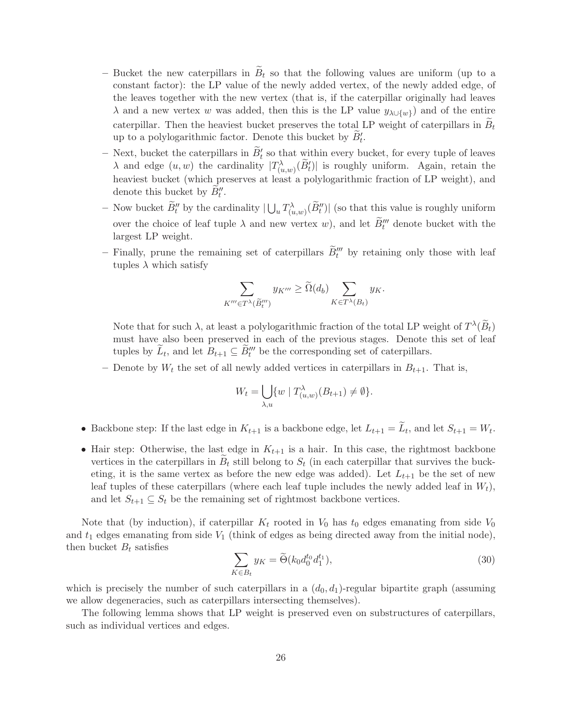- Bucket the new caterpillars in  $\widetilde{B}_t$  so that the following values are uniform (up to a constant factor): the LP value of the newly added vertex, of the newly added edge, of the leaves together with the new vertex (that is, if the caterpillar originally had leaves  $\lambda$  and a new vertex w was added, then this is the LP value  $y_{\lambda \cup \{w\}}$  and of the entire caterpillar. Then the heaviest bucket preserves the total LP weight of caterpillars in  $B_t$ up to a polylogarithmic factor. Denote this bucket by  $B_t'$ .
- $\sim$  Next, bucket the caterpillars in  $B_t'$  so that within every bucket, for every tuple of leaves  $\lambda$  and edge  $(u, w)$  the cardinality  $|T^{\lambda}_{(u,w)}(\tilde{B}'_t)|$  is roughly uniform. Again, retain the heaviest bucket (which preserves at least a polylogarithmic fraction of LP weight), and denote this bucket by  $B_t''$ .
- Now bucket  $\widetilde{B}''_t$  by the cardinality  $|\bigcup_u T^{\lambda}_{(u,w)}(\widetilde{B}''_t)|$  (so that this value is roughly uniform over the choice of leaf tuple  $\lambda$  and new vertex w), and let  $B_t^{\prime\prime\prime}$  denote bucket with the largest LP weight.
- Finally, prune the remaining set of caterpillars  $B_t^{\prime\prime\prime}$  by retaining only those with leaf tuples  $\lambda$  which satisfy

$$
\sum_{K''' \in T^{\lambda}(\widetilde{B}''_t)} y_{K'''} \ge \widetilde{\Omega}(d_b) \sum_{K \in T^{\lambda}(B_t)} y_K.
$$

Note that for such  $\lambda$ , at least a polylogarithmic fraction of the total LP weight of  $T^{\lambda}(\tilde{B}_t)$ must have also been preserved in each of the previous stages. Denote this set of leaf tuples by  $L_t$ , and let  $B_{t+1} \subseteq B_t^{\prime\prime\prime}$  be the corresponding set of caterpillars.

– Denote by  $W_t$  the set of all newly added vertices in caterpillars in  $B_{t+1}$ . That is,

$$
W_t = \bigcup_{\lambda, u} \{ w \mid T_{(u,w)}^{\lambda}(B_{t+1}) \neq \emptyset \}.
$$

- Backbone step: If the last edge in  $K_{t+1}$  is a backbone edge, let  $L_{t+1} = L_t$ , and let  $S_{t+1} = W_t$ .
- Hair step: Otherwise, the last edge in  $K_{t+1}$  is a hair. In this case, the rightmost backbone vertices in the caterpillars in  $B_t$  still belong to  $S_t$  (in each caterpillar that survives the bucketing, it is the same vertex as before the new edge was added). Let  $L_{t+1}$  be the set of new leaf tuples of these caterpillars (where each leaf tuple includes the newly added leaf in  $W_t$ ), and let  $S_{t+1} \subseteq S_t$  be the remaining set of rightmost backbone vertices.

Note that (by induction), if caterpillar  $K_t$  rooted in  $V_0$  has  $t_0$  edges emanating from side  $V_0$ and  $t_1$  edges emanating from side  $V_1$  (think of edges as being directed away from the initial node), then bucket  $B_t$  satisfies

<span id="page-25-0"></span>
$$
\sum_{K \in B_t} y_K = \widetilde{\Theta}(k_0 d_0^{t_0} d_1^{t_1}),\tag{30}
$$

which is precisely the number of such caterpillars in a  $(d_0, d_1)$ -regular bipartite graph (assuming we allow degeneracies, such as caterpillars intersecting themselves).

The following lemma shows that LP weight is preserved even on substructures of caterpillars, such as individual vertices and edges.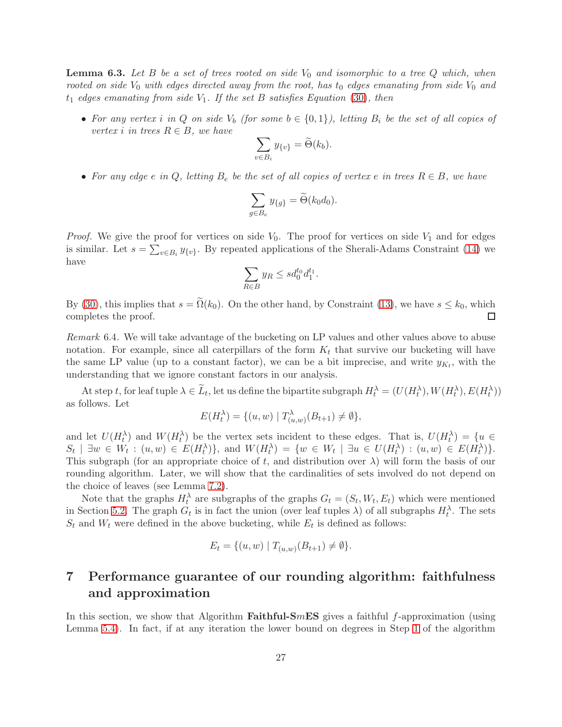<span id="page-26-0"></span>**Lemma 6.3.** Let B be a set of trees rooted on side  $V_0$  and isomorphic to a tree Q which, when rooted on side  $V_0$  with edges directed away from the root, has  $t_0$  edges emanating from side  $V_0$  and  $t_1$  edges emanating from side  $V_1$ . If the set B satisfies Equation [\(30\)](#page-25-0), then

• For any vertex i in Q on side  $V_b$  (for some  $b \in \{0,1\}$ ), letting  $B_i$  be the set of all copies of vertex i in trees  $R \in B$ , we have

$$
\sum_{v \in B_i} y_{\{v\}} = \widetilde{\Theta}(k_b).
$$

• For any edge e in Q, letting  $B_e$  be the set of all copies of vertex e in trees  $R \in B$ , we have

$$
\sum_{g \in B_e} y_{\{g\}} = \widetilde{\Theta}(k_0 d_0).
$$

*Proof.* We give the proof for vertices on side  $V_0$ . The proof for vertices on side  $V_1$  and for edges is similar. Let  $s = \sum_{v \in B_i} y_{\{v\}}$ . By repeated applications of the Sherali-Adams Constraint [\(14\)](#page-12-4) we have

$$
\sum_{R \in B} y_R \le s d_0^{t_0} d_1^{t_1}.
$$

By [\(30\)](#page-25-0), this implies that  $s = \tilde{\Omega}(k_0)$ . On the other hand, by Constraint [\(13\)](#page-12-0), we have  $s \le k_0$ , which completes the proof. completes the proof.

Remark 6.4. We will take advantage of the bucketing on LP values and other values above to abuse notation. For example, since all caterpillars of the form  $K_t$  that survive our bucketing will have the same LP value (up to a constant factor), we can be a bit imprecise, and write  $y_{K_t}$ , with the understanding that we ignore constant factors in our analysis.

At step t, for leaf tuple  $\lambda \in L_t$ , let us define the bipartite subgraph  $H_t^{\lambda} = (U(H_t^{\lambda}), W(H_t^{\lambda}), E(H_t^{\lambda}))$ as follows. Let

$$
E(H_t^{\lambda}) = \{(u, w) | T_{(u, w)}^{\lambda}(B_{t+1}) \neq \emptyset\},\
$$

and let  $U(H_t^{\lambda})$  and  $W(H_t^{\lambda})$  be the vertex sets incident to these edges. That is,  $U(H_t^{\lambda}) = \{u \in$  $S_t \mid \exists w \in W_t : (u, w) \in E(H_t^{\lambda})\},\$ and  $W(H_t^{\lambda}) = \{w \in W_t \mid \exists u \in U(H_t^{\lambda}) : (u, w) \in E(H_t^{\lambda})\}.$ This subgraph (for an appropriate choice of t, and distribution over  $\lambda$ ) will form the basis of our rounding algorithm. Later, we will show that the cardinalities of sets involved do not depend on the choice of leaves (see Lemma [7.2\)](#page-27-1).

Note that the graphs  $H_t^{\lambda}$  are subgraphs of the graphs  $G_t = (S_t, W_t, E_t)$  which were mentioned in Section [5.2.](#page-21-0) The graph  $G_t$  is in fact the union (over leaf tuples  $\lambda$ ) of all subgraphs  $H_t^{\lambda}$ . The sets  $S_t$  and  $W_t$  were defined in the above bucketing, while  $E_t$  is defined as follows:

$$
E_t = \{(u, w) \mid T_{(u,w)}(B_{t+1}) \neq \emptyset\}.
$$

# <span id="page-26-1"></span>7 Performance guarantee of our rounding algorithm: faithfulness and approximation

In this section, we show that Algorithm **Faithful-SmES** gives a faithful  $f$ -approximation (using Lemma [5.4\)](#page-20-2). In fact, if at any iteration the lower bound on degrees in Step [1](#page-23-1) of the algorithm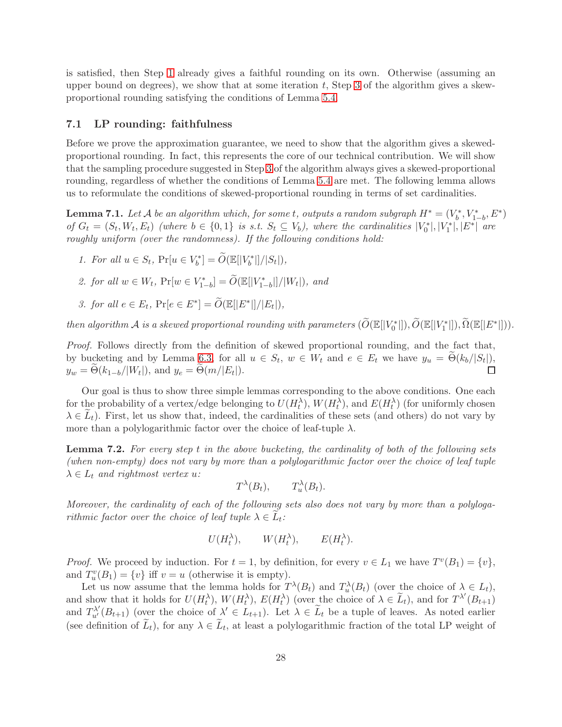is satisfied, then Step [1](#page-23-1) already gives a faithful rounding on its own. Otherwise (assuming an upper bound on degrees), we show that at some iteration  $t$ , Step [3](#page-23-3) of the algorithm gives a skewproportional rounding satisfying the conditions of Lemma [5.4.](#page-20-2)

## <span id="page-27-0"></span>7.1 LP rounding: faithfulness

Before we prove the approximation guarantee, we need to show that the algorithm gives a skewedproportional rounding. In fact, this represents the core of our technical contribution. We will show that the sampling procedure suggested in Step [3](#page-23-3) of the algorithm always gives a skewed-proportional rounding, regardless of whether the conditions of Lemma [5.4](#page-20-2) are met. The following lemma allows us to reformulate the conditions of skewed-proportional rounding in terms of set cardinalities.

<span id="page-27-2"></span>**Lemma 7.1.** Let A be an algorithm which, for some t, outputs a random subgraph  $H^* = (V_b^*, V_{1-b}^*, E^*)$ of  $G_t = (S_t, W_t, E_t)$  (where  $b \in \{0,1\}$  is s.t.  $S_t \subseteq V_b$ ), where the cardinalities  $|V_0^*|, |V_1^*|, |E^*|$  are roughly uniform (over the randomness). If the following conditions hold:

- 1. For all  $u \in S_t$ ,  $Pr[u \in V_b^*] = \widetilde{O}(\mathbb{E}[|V_b^*|]/|S_t|)$ ,
- 2. for all  $w \in W_t$ ,  $Pr[w \in V^*_{1-b}] = \widetilde{O}(\mathbb{E}[|V^*_{1-b}|]/|W_t|)$ , and
- 3. for all  $e \in E_t$ ,  $\Pr[e \in E^*] = \widetilde{O}(\mathbb{E}[|E^*|]/|E_t|),$

then algorithm A is a skewed proportional rounding with parameters  $(\widetilde{O}(\mathbb{E}[|V_0^*|]), \widetilde{O}(\mathbb{E}[|V_1^*|]), \widetilde{\Omega}(\mathbb{E}[|E^*|]).$ 

Proof. Follows directly from the definition of skewed proportional rounding, and the fact that, by bucketing and by Lemma [6.3,](#page-26-0) for all  $u \in S_t$ ,  $w \in W_t$  and  $e \in E_t$  we have  $y_u = \Theta(k_b/|S_t|)$ ,  $y_w = \Theta(k_{1-b}/|W_t|)$ , and  $y_e = \Theta(m/|E_t|)$ .

Our goal is thus to show three simple lemmas corresponding to the above conditions. One each for the probability of a vertex/edge belonging to  $U(H_t^{\lambda}), W(H_t^{\lambda}),$  and  $E(H_t^{\lambda})$  (for uniformly chosen  $\lambda \in L_t$ ). First, let us show that, indeed, the cardinalities of these sets (and others) do not vary by more than a polylogarithmic factor over the choice of leaf-tuple  $\lambda$ .

<span id="page-27-1"></span>Lemma 7.2. For every step t in the above bucketing, the cardinality of both of the following sets (when non-empty) does not vary by more than a polylogarithmic factor over the choice of leaf tuple  $\lambda \in L_t$  and rightmost vertex u:

$$
T^{\lambda}(B_t), \qquad T^{\lambda}_u(B_t).
$$

Moreover, the cardinality of each of the following sets also does not vary by more than a polylogarithmic factor over the choice of leaf tuple  $\lambda \in L_t$ :

$$
U(H_t^{\lambda}),
$$
  $W(H_t^{\lambda}),$   $E(H_t^{\lambda}).$ 

*Proof.* We proceed by induction. For  $t = 1$ , by definition, for every  $v \in L_1$  we have  $T^v(B_1) = \{v\}$ , and  $T_u^v(B_1) = \{v\}$  iff  $v = u$  (otherwise it is empty).

Let us now assume that the lemma holds for  $T^{\lambda}(B_t)$  and  $T_u^{\lambda}(B_t)$  (over the choice of  $\lambda \in L_t$ ), and show that it holds for  $U(H_t^{\lambda}), W(H_t^{\lambda}), E(H_t^{\lambda})$  (over the choice of  $\lambda \in \tilde{L}_t$ ), and for  $T^{\lambda'}(B_{t+1})$ and  $T_{u'}^{\lambda'}(B_{t+1})$  (over the choice of  $\lambda' \in L_{t+1}$ ). Let  $\lambda \in \tilde{L}_t$  be a tuple of leaves. As noted earlier (see definition of  $L_t$ ), for any  $\lambda \in L_t$ , at least a polylogarithmic fraction of the total LP weight of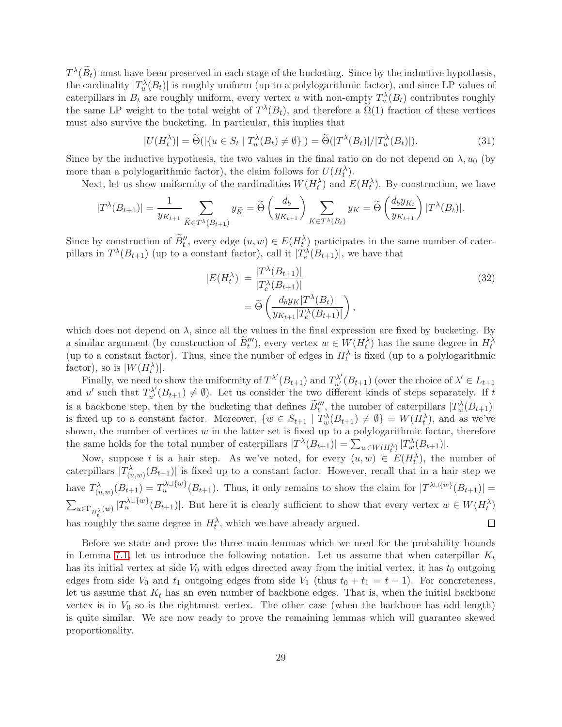$T^{\lambda}(\tilde{B}_{t})$  must have been preserved in each stage of the bucketing. Since by the inductive hypothesis, the cardinality  $|T_u^{\lambda}(B_t)|$  is roughly uniform (up to a polylogarithmic factor), and since LP values of caterpillars in  $B_t$  are roughly uniform, every vertex u with non-empty  $T_u^{\lambda}(B_t)$  contributes roughly the same LP weight to the total weight of  $T^{\lambda}(B_t)$ , and therefore a  $\Omega(1)$  fraction of these vertices must also survive the bucketing. In particular, this implies that

<span id="page-28-0"></span>
$$
|U(H_t^{\lambda})| = \widetilde{\Theta}(|\{u \in S_t \mid T_u^{\lambda}(B_t) \neq \emptyset\}|) = \widetilde{\Theta}(|T^{\lambda}(B_t)|/|T_u^{\lambda}(B_t)|).
$$
\n(31)

Since by the inductive hypothesis, the two values in the final ratio on do not depend on  $\lambda, u_0$  (by more than a polylogarithmic factor), the claim follows for  $U(H_t^{\lambda})$ .

Next, let us show uniformity of the cardinalities  $W(H_t^{\lambda})$  and  $E(H_t^{\lambda})$ . By construction, we have

$$
|T^{\lambda}(B_{t+1})| = \frac{1}{y_{K_{t+1}}} \sum_{\widetilde{K} \in T^{\lambda}(B_{t+1})} y_{\widetilde{K}} = \widetilde{\Theta}\left(\frac{d_b}{y_{K_{t+1}}}\right) \sum_{K \in T^{\lambda}(B_t)} y_K = \widetilde{\Theta}\left(\frac{d_b y_{K_t}}{y_{K_{t+1}}}\right) |T^{\lambda}(B_t)|.
$$

Since by construction of  $B''_t$ , every edge  $(u, w) \in E(H_t^{\lambda})$  participates in the same number of caterpillars in  $T^{\lambda}(B_{t+1})$  (up to a constant factor), call it  $|T_e^{\lambda}(B_{t+1})|$ , we have that

<span id="page-28-1"></span>
$$
|E(H_t^{\lambda})| = \frac{|T^{\lambda}(B_{t+1})|}{|T_e^{\lambda}(B_{t+1})|}
$$
  
=  $\widetilde{\Theta}\left(\frac{d_b y_K |T^{\lambda}(B_t)|}{y_{K_{t+1}} |T_e^{\lambda}(B_{t+1})|}\right),$  (32)

which does not depend on  $\lambda$ , since all the values in the final expression are fixed by bucketing. By a similar argument (by construction of  $B_t'''$ ), every vertex  $w \in W(H_t^{\lambda})$  has the same degree in  $H_t^{\lambda}$ (up to a constant factor). Thus, since the number of edges in  $H_t^{\lambda}$  is fixed (up to a polylogarithmic factor), so is  $|W(H_t^{\lambda})|$ .

Finally, we need to show the uniformity of  $T^{\lambda'}(B_{t+1})$  and  $T^{\lambda'}_{u'}(B_{t+1})$  (over the choice of  $\lambda' \in L_{t+1}$ and u' such that  $T_{u'}^{\lambda'}(B_{t+1}) \neq \emptyset$ . Let us consider the two different kinds of steps separately. If t is a backbone step, then by the bucketing that defines  $\tilde{B}''_t$ , the number of caterpillars  $|T_w^{\lambda}(B_{t+1})|$ is fixed up to a constant factor. Moreover,  $\{w \in S_{t+1} \mid T_w^{\lambda}(B_{t+1}) \neq \emptyset\} = W(H_t^{\lambda})$ , and as we've shown, the number of vertices  $w$  in the latter set is fixed up to a polylogarithmic factor, therefore the same holds for the total number of caterpillars  $|T^{\lambda}(B_{t+1})| = \sum_{w \in W(H_t^{\lambda})} |T_w^{\lambda}(B_{t+1})|$ .

Now, suppose t is a hair step. As we've noted, for every  $(u, w) \in E(H_t^{\lambda})$ , the number of caterpillars  $|T^{\lambda}_{(u,w)}(B_{t+1})|$  is fixed up to a constant factor. However, recall that in a hair step we have  $T^{\lambda}_{(u,w)}(B_{t+1}) = T^{\lambda \cup \{w\}}_u(B_{t+1})$ . Thus, it only remains to show the claim for  $|T^{\lambda \cup \{w\}}(B_{t+1})|$  =  $\sum_{u \in \Gamma_{H_t^{\lambda}}(w)} |T_u^{\lambda \cup \{w\}}(B_{t+1})|$ . But here it is clearly sufficient to show that every vertex  $w \in W(H_t^{\lambda})$ has roughly the same degree in  $H_t^{\lambda}$ , which we have already argued.  $\Box$ 

Before we state and prove the three main lemmas which we need for the probability bounds in Lemma [7.1,](#page-27-2) let us introduce the following notation. Let us assume that when caterpillar  $K_t$ has its initial vertex at side  $V_0$  with edges directed away from the initial vertex, it has  $t_0$  outgoing edges from side  $V_0$  and  $t_1$  outgoing edges from side  $V_1$  (thus  $t_0 + t_1 = t - 1$ ). For concreteness, let us assume that  $K_t$  has an even number of backbone edges. That is, when the initial backbone vertex is in  $V_0$  so is the rightmost vertex. The other case (when the backbone has odd length) is quite similar. We are now ready to prove the remaining lemmas which will guarantee skewed proportionality.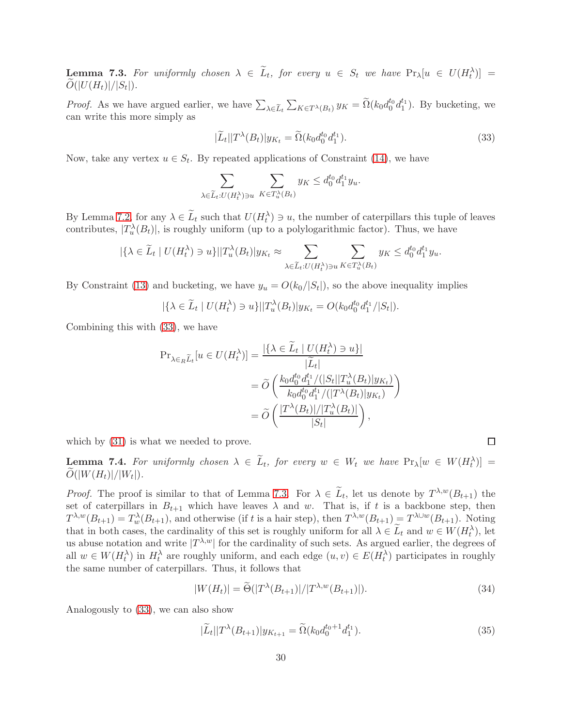<span id="page-29-1"></span>**Lemma 7.3.** For uniformly chosen  $\lambda \in \tilde{L}_t$ , for every  $u \in S_t$  we have  $\Pr_{\lambda}[u \in U(H_t^{\lambda})] =$  $O(|U(H_t)|/|S_t|).$ 

*Proof.* As we have argued earlier, we have  $\sum_{\lambda \in \tilde{L}_t} \sum_{K \in T^{\lambda}(B_t)} y_K = \tilde{\Omega}(k_0 d_0^{t_0} d_1^{t_1})$ . By bucketing, we can write this more simply as

<span id="page-29-0"></span>
$$
|\widetilde{L}_t||T^{\lambda}(B_t)|y_{K_t} = \widetilde{\Omega}(k_0 d_0^{t_0} d_1^{t_1}).
$$
\n(33)

Now, take any vertex  $u \in S_t$ . By repeated applications of Constraint [\(14\)](#page-12-4), we have

$$
\sum_{\lambda \in \widetilde{L}_t: U(H_t^\lambda) \ni u} \sum_{K \in T_u^\lambda(B_t)} y_K \leq d_0^{t_0} d_1^{t_1} y_u.
$$

By Lemma [7.2,](#page-27-1) for any  $\lambda \in \tilde{L}_t$  such that  $U(H_t^{\lambda}) \ni u$ , the number of caterpillars this tuple of leaves contributes,  $|T_u^{\lambda}(B_t)|$ , is roughly uniform (up to a polylogarithmic factor). Thus, we have

$$
|\{\lambda \in \widetilde{L}_t \mid U(H_t^{\lambda}) \ni u\}| |T_u^{\lambda}(B_t)| y_{K_t} \approx \sum_{\lambda \in \widetilde{L}_t : U(H_t^{\lambda}) \ni u} \sum_{K \in T_u^{\lambda}(B_t)} y_K \leq d_0^{t_0} d_1^{t_1} y_u.
$$

By Constraint [\(13\)](#page-12-0) and bucketing, we have  $y_u = O(k_0/|S_t|)$ , so the above inequality implies

$$
|\{\lambda \in \widetilde{L}_t \mid U(H_t^{\lambda}) \ni u\}| |T_u^{\lambda}(B_t)| y_{K_t} = O(k_0 d_0^{t_0} d_1^{t_1}/|S_t|).
$$

Combining this with [\(33\)](#page-29-0), we have

$$
\begin{split} \Pr_{\lambda \in_R \widetilde{L}_t}[u \in U(H_t^{\lambda})] &= \frac{|\{\lambda \in \widetilde{L}_t \mid U(H_t^{\lambda}) \ni u\}|}{|\widetilde{L}_t|} \\ &= \widetilde{O}\left(\frac{k_0 d_0^{t_0} d_1^{t_1} / (|S_t| | T_u^{\lambda}(B_t) | y_{K_t})}{k_0 d_0^{t_0} d_1^{t_1} / (|T^{\lambda}(B_t) | y_{K_t})}\right) \\ &= \widetilde{O}\left(\frac{|T^{\lambda}(B_t)| / |T_u^{\lambda}(B_t)|}{|S_t|}\right), \end{split}
$$

which by  $(31)$  is what we needed to prove.

**Lemma 7.4.** For uniformly chosen  $\lambda \in L_t$ , for every  $w \in W_t$  we have  $\Pr_{\lambda}[w \in W(H_t^{\lambda})] =$  $O(|W(H_t)|/|W_t|).$ 

*Proof.* The proof is similar to that of Lemma [7.3.](#page-29-1) For  $\lambda \in L_t$ , let us denote by  $T^{\lambda,w}(B_{t+1})$  the set of caterpillars in  $B_{t+1}$  which have leaves  $\lambda$  and w. That is, if t is a backbone step, then  $T^{\lambda,w}(B_{t+1}) = T_w^{\lambda}(B_{t+1}),$  and otherwise (if t is a hair step), then  $T^{\lambda,w}(B_{t+1}) = T^{\lambda \cup w}(B_{t+1}).$  Noting that in both cases, the cardinality of this set is roughly uniform for all  $\lambda \in L_t$  and  $w \in W(H_t^{\lambda})$ , let us abuse notation and write  $|T^{\lambda,w}|$  for the cardinality of such sets. As argued earlier, the degrees of all  $w \in W(H_t^{\lambda})$  in  $H_t^{\lambda}$  are roughly uniform, and each edge  $(u, v) \in E(H_t^{\lambda})$  participates in roughly the same number of caterpillars. Thus, it follows that

<span id="page-29-3"></span>
$$
|W(H_t)| = \widetilde{\Theta}(|T^{\lambda}(B_{t+1})|/|T^{\lambda, w}(B_{t+1})|). \tag{34}
$$

Analogously to [\(33\)](#page-29-0), we can also show

<span id="page-29-2"></span>
$$
|\widetilde{L}_t||T^{\lambda}(B_{t+1})|y_{K_{t+1}} = \widetilde{\Omega}(k_0 d_0^{t_0+1} d_1^{t_1}).
$$
\n(35)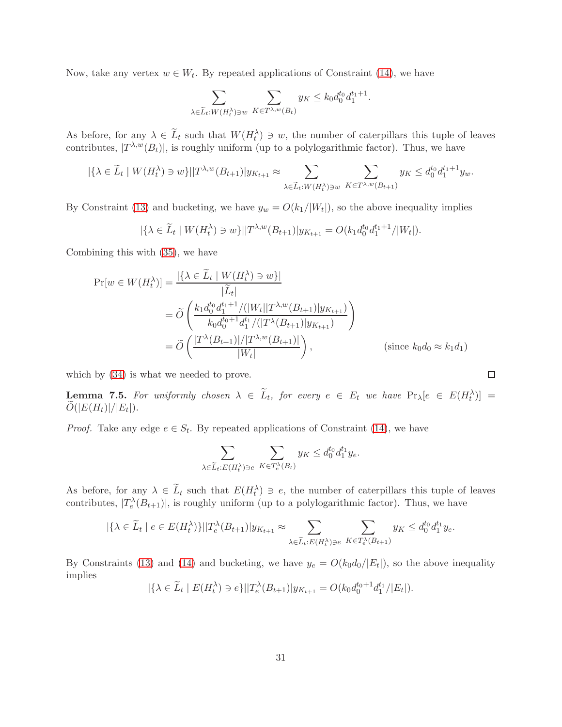Now, take any vertex  $w \in W_t$ . By repeated applications of Constraint [\(14\)](#page-12-4), we have

$$
\sum_{\lambda \in \widetilde{L}_t : W(H_t^{\lambda}) \ni w} \sum_{K \in T^{\lambda, w}(B_t)} y_K \le k_0 d_0^{t_0} d_1^{t_1+1}.
$$

As before, for any  $\lambda \in \tilde{L}_t$  such that  $W(H_t^{\lambda}) \ni w$ , the number of caterpillars this tuple of leaves contributes,  $|T^{\lambda,w}(B_t)|$ , is roughly uniform (up to a polylogarithmic factor). Thus, we have

$$
|\{\lambda \in \widetilde{L}_t \mid W(H_t^{\lambda}) \ni w\}| |T^{\lambda,w}(B_{t+1})| y_{K_{t+1}} \approx \sum_{\lambda \in \widetilde{L}_t : W(H_t^{\lambda}) \ni w} \sum_{K \in T^{\lambda,w}(B_{t+1})} y_K \leq d_0^{t_0} d_1^{t_1+1} y_w.
$$

By Constraint [\(13\)](#page-12-0) and bucketing, we have  $y_w = O(k_1/|W_t|)$ , so the above inequality implies

$$
|\{\lambda \in \widetilde{L}_t \mid W(H_t^{\lambda}) \ni w\}| |T^{\lambda,w}(B_{t+1})| y_{K_{t+1}} = O(k_1 d_0^{t_0} d_1^{t_1+1}/|W_t|).
$$

Combining this with [\(35\)](#page-29-2), we have

$$
\Pr[w \in W(H_t^{\lambda})] = \frac{|\{\lambda \in L_t \mid W(H_t^{\lambda}) \ni w\}|}{|\tilde{L}_t|}
$$
  
=  $\tilde{O}\left(\frac{k_1 d_0^{t_0} d_1^{t_1+1} / (|W_t||T^{\lambda,w}(B_{t+1})|y_{K_{t+1}})}{k_0 d_0^{t_0+1} d_1^{t_1} / (|T^{\lambda}(B_{t+1})|y_{K_{t+1}})}\right)$   
=  $\tilde{O}\left(\frac{|T^{\lambda}(B_{t+1})| / |T^{\lambda,w}(B_{t+1})|}{|W_t|}\right),$  (since  $k_0 d_0 \approx k_1 d_1$ )

which by  $(34)$  is what we needed to prove.

**Lemma 7.5.** For uniformly chosen  $\lambda \in \tilde{L}_t$ , for every  $e \in E_t$  we have  $\Pr_{\lambda}[e \in E(H_t^{\lambda})] =$  $O(|E(H_t)|/|E_t|).$ 

*Proof.* Take any edge  $e \in S_t$ . By repeated applications of Constraint [\(14\)](#page-12-4), we have

$$
\sum_{\lambda \in \widetilde{L}_t: E(H_t^\lambda) \ni e} \sum_{K \in T_e^\lambda(B_t)} y_K \le d_0^{t_0} d_1^{t_1} y_e.
$$

As before, for any  $\lambda \in L_t$  such that  $E(H_t^{\lambda}) \ni e$ , the number of caterpillars this tuple of leaves contributes,  $|T_e^{\lambda}(B_{t+1})|$ , is roughly uniform (up to a polylogarithmic factor). Thus, we have

$$
|\{\lambda \in \widetilde{L}_t \mid e \in E(H_t^{\lambda})\}| |T_e^{\lambda}(B_{t+1})| y_{K_{t+1}} \approx \sum_{\lambda \in \widetilde{L}_t: E(H_t^{\lambda}) \ni e} \sum_{K \in T_e^{\lambda}(B_{t+1})} y_K \leq d_0^{t_0} d_1^{t_1} y_e.
$$

By Constraints [\(13\)](#page-12-0) and [\(14\)](#page-12-4) and bucketing, we have  $y_e = O(k_0 d_0/|E_t|)$ , so the above inequality implies

$$
|\{\lambda \in \widetilde{L}_t \mid E(H_t^{\lambda}) \ni e\}| |T_e^{\lambda}(B_{t+1})| y_{K_{t+1}} = O(k_0 d_0^{t_0+1} d_1^{t_1} / |E_t|).
$$

 $\Box$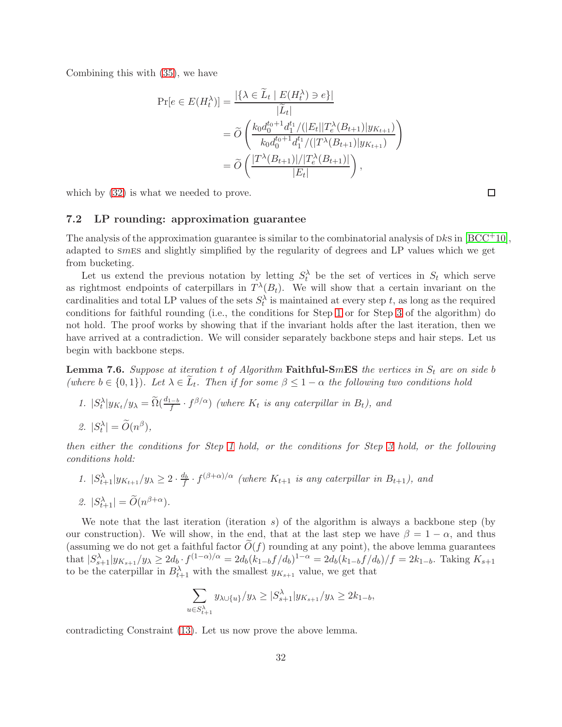Combining this with [\(35\)](#page-29-2), we have

$$
\Pr[e \in E(H_t^{\lambda})] = \frac{|\{\lambda \in \widetilde{L}_t \mid E(H_t^{\lambda}) \ni e\}|}{|\widetilde{L}_t|}
$$
  
=  $\widetilde{O}\left(\frac{k_0 d_0^{t_0+1} d_1^{t_1} / (|E_t||T_e^{\lambda}(B_{t+1})|y_{K_{t+1}})}{k_0 d_0^{t_0+1} d_1^{t_1} / (|T^{\lambda}(B_{t+1})|y_{K_{t+1}})}\right)$   
=  $\widetilde{O}\left(\frac{|T^{\lambda}(B_{t+1})| / |T_e^{\lambda}(B_{t+1})|}{|E_t|}\right),$ 

which by  $(32)$  is what we needed to prove.

## 7.2 LP rounding: approximation guarantee

The analysis of the approximation guarantee is similar to the combinatorial analysis of  $DkS$  in  $[BCC^+10]$ , adapted to smes and slightly simplified by the regularity of degrees and LP values which we get from bucketing.

Let us extend the previous notation by letting  $S_t^{\lambda}$  be the set of vertices in  $S_t$  which serve as rightmost endpoints of caterpillars in  $T^{\lambda}(B_t)$ . We will show that a certain invariant on the cardinalities and total LP values of the sets  $S_t^{\lambda}$  is maintained at every step t, as long as the required conditions for faithful rounding (i.e., the conditions for Step [1](#page-23-1) or for Step [3](#page-23-3) of the algorithm) do not hold. The proof works by showing that if the invariant holds after the last iteration, then we have arrived at a contradiction. We will consider separately backbone steps and hair steps. Let us begin with backbone steps.

<span id="page-31-0"></span>**Lemma 7.6.** Suppose at iteration t of Algorithm **Faithful-SmES** the vertices in  $S_t$  are on side b (where  $b \in \{0,1\}$ ). Let  $\lambda \in L_t$ . Then if for some  $\beta \leq 1-\alpha$  the following two conditions hold

1. 
$$
|S_t^{\lambda}|y_{K_t}/y_{\lambda} = \tilde{\Omega}(\frac{d_{1-b}}{f} \cdot f^{\beta/\alpha})
$$
 (where  $K_t$  is any caterpillar in  $B_t$ ), and  
2.  $|S_t^{\lambda}| = \tilde{O}(n^{\beta}),$ 

then either the conditions for Step [1](#page-23-1) hold, or the conditions for Step [3](#page-23-3) hold, or the following conditions hold:

1.  $|S_{t+1}^{\lambda}|y_{K_{t+1}}/y_{\lambda} \geq 2 \cdot \frac{d_b}{f} \cdot f^{(\beta+\alpha)/\alpha}$  (where  $K_{t+1}$  is any caterpillar in  $B_{t+1}$ ), and 2.  $|S_{t+1}^{\lambda}| = O(n^{\beta+\alpha}).$ 

We note that the last iteration (iteration  $s$ ) of the algorithm is always a backbone step (by our construction). We will show, in the end, that at the last step we have  $\beta = 1 - \alpha$ , and thus (assuming we do not get a faithful factor  $O(f)$  rounding at any point), the above lemma guarantees that  $|S_{s+1}^{\lambda}|y_{K_{s+1}}/y_{\lambda} \ge 2d_b \cdot f^{(1-\alpha)/\alpha} = 2d_b(k_{1-b}f/d_b)^{1-\alpha} = 2d_b(k_{1-b}f/d_b)/f = 2k_{1-b}$ . Taking  $K_{s+1}$ to be the caterpillar in  $B_{t+1}^{\lambda}$  with the smallest  $y_{K_{s+1}}$  value, we get that

$$
\sum_{u \in S_{t+1}^{\lambda}} y_{\lambda \cup \{u\}}/y_{\lambda} \ge |S_{s+1}^{\lambda}| y_{K_{s+1}}/y_{\lambda} \ge 2k_{1-b},
$$

32

contradicting Constraint [\(13\)](#page-12-0). Let us now prove the above lemma.

 $\Box$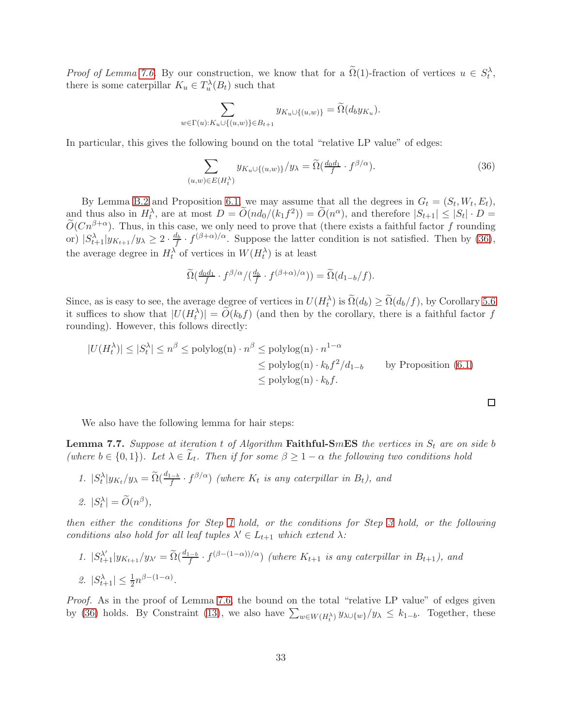Proof of Lemma [7.6.](#page-31-0) By our construction, we know that for a  $\tilde{\Omega}(1)$ -fraction of vertices  $u \in S_t^{\lambda}$ , there is some caterpillar  $K_u \in T_u^{\lambda}(B_t)$  such that

$$
\sum_{w \in \Gamma(u): K_u \cup \{(u,w)\} \in B_{t+1}} y_{K_u \cup \{(u,w)\}} = \widetilde{\Omega}(d_b y_{K_u}).
$$

In particular, this gives the following bound on the total "relative LP value" of edges:

<span id="page-32-0"></span>
$$
\sum_{(u,w)\in E(H_t^{\lambda})} y_{K_u \cup \{(u,w)\}}/y_{\lambda} = \widetilde{\Omega}(\frac{d_0 d_1}{f} \cdot f^{\beta/\alpha}).
$$
\n(36)

By Lemma [B.2](#page-38-2) and Proposition [6.1,](#page-23-4) we may assume that all the degrees in  $G_t = (S_t, W_t, E_t)$ , and thus also in  $H_t^{\lambda}$ , are at most  $D = \widetilde{O}(nd_0/(k_1 f^2)) = \widetilde{O}(n^{\alpha})$ , and therefore  $|S_{t+1}| \leq |S_t| \cdot D =$  $O(Cn^{\beta+\alpha})$ . Thus, in this case, we only need to prove that (there exists a faithful factor f rounding or)  $|S_{t+1}^{\lambda}|y_{K_{t+1}}/y_{\lambda} \geq 2 \cdot \frac{d_b}{f} \cdot f^{(\beta+\alpha)/\alpha}$ . Suppose the latter condition is not satisfied. Then by [\(36\)](#page-32-0), the average degree in  $H_t^{\lambda}$  of vertices in  $W(H_t^{\lambda})$  is at least

$$
\widetilde{\Omega}\left(\frac{d_0d_1}{f}\cdot f^{\beta/\alpha}/(\frac{d_b}{f}\cdot f^{(\beta+\alpha)/\alpha})\right)=\widetilde{\Omega}\left(d_{1-b}/f\right).
$$

Since, as is easy to see, the average degree of vertices in  $U(H_t^{\lambda})$  is  $\Omega(d_b) \ge \Omega(d_b/f)$ , by Corollary [5.6](#page-21-1) it suffices to show that  $|U(H_t^{\lambda})| = \tilde{O}(k_b f)$  (and then by the corollary, there is a faithful factor f rounding). However, this follows directly:

$$
|U(H_t^{\lambda})| \le |S_t^{\lambda}| \le n^{\beta} \le \text{polylog}(n) \cdot n^{\beta} \le \text{polylog}(n) \cdot n^{1-\alpha}
$$
  
\n
$$
\le \text{polylog}(n) \cdot k_b f^2 / d_{1-b} \qquad \text{by Proposition (6.1)}
$$
  
\n
$$
\le \text{polylog}(n) \cdot k_b f.
$$

 $\Box$ 

We also have the following lemma for hair steps:

**Lemma 7.7.** Suppose at iteration t of Algorithm Faithful-SmES the vertices in  $S_t$  are on side b (where  $b \in \{0,1\}$ ). Let  $\lambda \in L_t$ . Then if for some  $\beta \geq 1-\alpha$  the following two conditions hold

1. 
$$
|S_t^{\lambda}|y_{K_t}/y_{\lambda} = \tilde{\Omega}(\frac{d_{1-b}}{f} \cdot f^{\beta/\alpha})
$$
 (where  $K_t$  is any caterpillar in  $B_t$ ), and  
2.  $|S_t^{\lambda}| = \tilde{O}(n^{\beta}),$ 

<span id="page-32-1"></span>then either the conditions for Step [1](#page-23-1) hold, or the conditions for Step [3](#page-23-3) hold, or the following conditions also hold for all leaf tuples  $\lambda' \in L_{t+1}$  which extend  $\lambda$ :

1. 
$$
|S_{t+1}^{\lambda'}|y_{K_{t+1}}/y_{\lambda'} = \tilde{\Omega}(\frac{d_{1-b}}{f} \cdot f^{(\beta - (1-\alpha))/\alpha})
$$
 (where  $K_{t+1}$  is any caterpillar in  $B_{t+1}$ ), and  
2.  $|S_{t+1}^{\lambda}| \le \frac{1}{2}n^{\beta - (1-\alpha)}$ .

Proof. As in the proof of Lemma [7.6,](#page-31-0) the bound on the total "relative LP value" of edges given by [\(36\)](#page-32-0) holds. By Constraint [\(13\)](#page-12-0), we also have  $\sum_{w \in W(H_t^{\lambda})} y_{\lambda \cup \{w\}}/y_{\lambda} \leq k_{1-b}$ . Together, these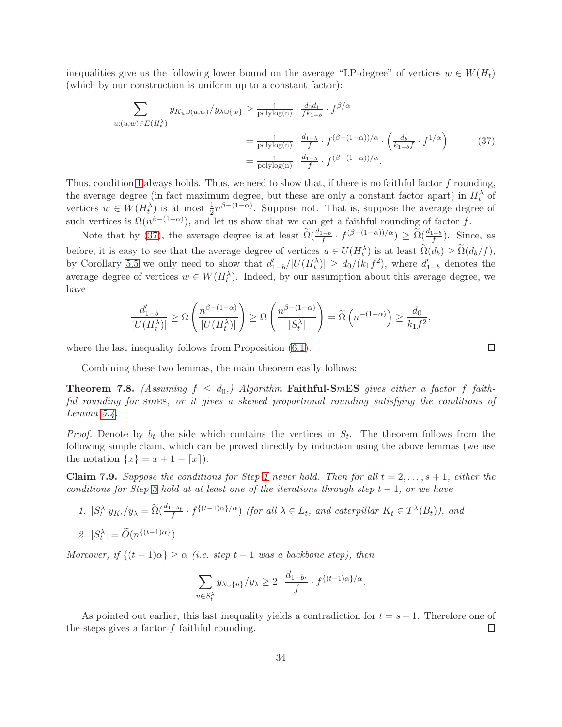inequalities give us the following lower bound on the average "LP-degree" of vertices  $w \in W(H_t)$ (which by our construction is uniform up to a constant factor):

$$
\sum_{u:(u,w)\in E(H_t^{\lambda})} y_{K_u\cup(u,w)}/y_{\lambda\cup\{w\}} \ge \frac{1}{\text{polylog}(n)} \cdot \frac{d_0 d_1}{f^{k_{1-b}}} \cdot f^{\beta/\alpha}
$$
\n
$$
= \frac{1}{\text{polylog}(n)} \cdot \frac{d_1-b}{f} \cdot f^{(\beta-(1-\alpha))/\alpha} \cdot \left(\frac{d_b}{k_{1-b}f} \cdot f^{1/\alpha}\right) \tag{37}
$$
\n
$$
= \frac{1}{\text{polylog}(n)} \cdot \frac{d_{1-b}}{f} \cdot f^{(\beta-(1-\alpha))/\alpha}.
$$

Thus, condition [1](#page-32-1) always holds. Thus, we need to show that, if there is no faithful factor f rounding, the average degree (in fact maximum degree, but these are only a constant factor apart) in  $H_t^{\lambda}$  of vertices  $w \in W(H_t^{\lambda})$  is at most  $\frac{1}{2}n^{\beta-(1-\alpha)}$ . Suppose not. That is, suppose the average degree of such vertices is  $\Omega(n^{\beta-(1-\alpha)})$ , and let us show that we can get a faithful rounding of factor f.

Note that by [\(37\)](#page-33-0), the average degree is at least  $\widetilde{\Omega}(\frac{d_{1-b}}{f} \cdot f^{(\beta-(1-\alpha))/\alpha}) \ge \widetilde{\Omega}(\frac{d_{1-b}}{f})$ . Since, as before, it is easy to see that the average degree of vertices  $u \in U(H_t^{\lambda})$  is at least  $\widetilde{\Omega}(d_b) \geq \widetilde{\Omega}(d_b/f)$ , by Corollary [5.5](#page-21-2) we only need to show that  $d'_{1-b}/|U(H_t^{\lambda})| \geq d_0/(k_1 f^2)$ , where  $d'_{1-b}$  denotes the average degree of vertices  $w \in W(H_t^{\lambda})$ . Indeed, by our assumption about this average degree, we have

$$
\frac{d'_{1-b}}{|U(H_t^\lambda)|} \geq \Omega\left(\frac{n^{\beta-(1-\alpha)}}{|U(H_t^\lambda)|}\right) \geq \Omega\left(\frac{n^{\beta-(1-\alpha)}}{|S_t^\lambda|}\right) = \widetilde{\Omega}\left(n^{-(1-\alpha)}\right) \geq \frac{d_0}{k_1f^2},
$$

where the last inequality follows from Proposition  $(6.1)$ .

Combining these two lemmas, the main theorem easily follows:

**Theorem 7.8.** (Assuming  $f \leq d_0$ ,) Algorithm **Faithful-SmES** gives either a factor f faithful rounding for smes, or it gives a skewed proportional rounding satisfying the conditions of Lemma [5.4.](#page-20-2)

*Proof.* Denote by  $b_t$  the side which contains the vertices in  $S_t$ . The theorem follows from the following simple claim, which can be proved directly by induction using the above lemmas (we use the notation  $\{x\} = x + 1 - \lceil x \rceil$ :

**Claim 7.9.** Suppose the conditions for Step [1](#page-23-1) never hold. Then for all  $t = 2, \ldots, s + 1$ , either the conditions for Step [3](#page-23-3) hold at at least one of the iterations through step  $t-1$ , or we have

1. 
$$
|S_t^{\lambda}|y_{K_t}/y_{\lambda} = \tilde{\Omega}(\frac{d_{1-b_t}}{f} \cdot f^{\{(t-1)\alpha\}}/\alpha)
$$
 (for all  $\lambda \in L_t$ , and caterpillar  $K_t \in T^{\lambda}(B_t)$ ), and  
2.  $|S_t^{\lambda}| = \tilde{O}(n^{\{(t-1)\alpha\}}).$ 

Moreover, if  $\{(t-1)\alpha\} \geq \alpha$  (i.e. step  $t-1$  was a backbone step), then

$$
\sum_{u \in S_t^{\lambda}} y_{\lambda \cup \{u\}}/y_{\lambda} \ge 2 \cdot \frac{d_{1-b_t}}{f} \cdot f^{\{(t-1)\alpha\}}/\alpha.
$$

As pointed out earlier, this last inequality yields a contradiction for  $t = s + 1$ . Therefore one of the steps gives a factor- $f$  faithful rounding.  $\Box$ 

<span id="page-33-0"></span> $\Box$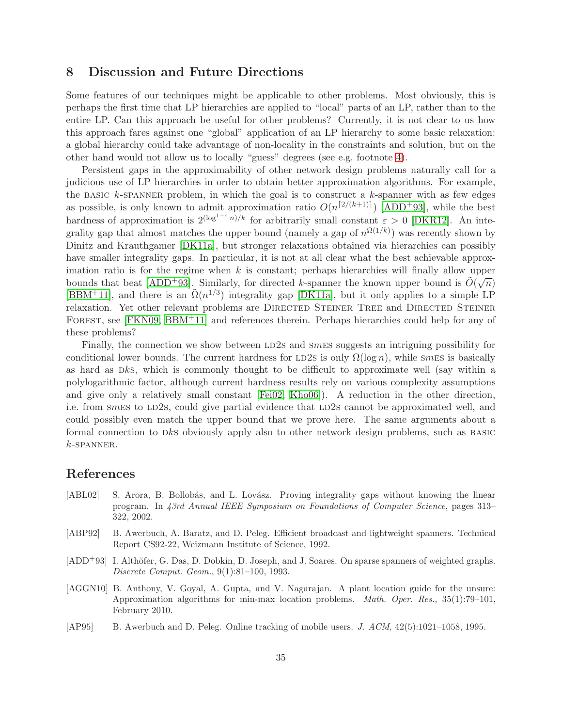## <span id="page-34-5"></span>8 Discussion and Future Directions

Some features of our techniques might be applicable to other problems. Most obviously, this is perhaps the first time that LP hierarchies are applied to "local" parts of an LP, rather than to the entire LP. Can this approach be useful for other problems? Currently, it is not clear to us how this approach fares against one "global" application of an LP hierarchy to some basic relaxation: a global hierarchy could take advantage of non-locality in the constraints and solution, but on the other hand would not allow us to locally "guess" degrees (see e.g. footnote [4\)](#page-6-2).

Persistent gaps in the approximability of other network design problems naturally call for a judicious use of LP hierarchies in order to obtain better approximation algorithms. For example, the BASIC  $k$ -SPANNER problem, in which the goal is to construct a  $k$ -spanner with as few edges as possible, is only known to admit approximation ratio  $O(n^{\lceil 2/(k+1) \rceil})$  [\[ADD](#page-34-4)<sup>+</sup>93], while the best hardness of approximation is  $2^{(\log^{1-\varepsilon} n)/k}$  for arbitrarily small constant  $\varepsilon > 0$  [\[DKR12\]](#page-35-14). An integrality gap that almost matches the upper bound (namely a gap of  $n^{\Omega(1/k)}$ ) was recently shown by Dinitz and Krauthgamer [\[DK11a\]](#page-35-2), but stronger relaxations obtained via hierarchies can possibly have smaller integrality gaps. In particular, it is not at all clear what the best achievable approximation ratio is for the regime when  $k$  is constant; perhaps hierarchies will finally allow upper bounds that beat [\[ADD](#page-34-4)<sup>+</sup>93]. Similarly, for directed k-spanner the known upper bound is  $\tilde{O}(\sqrt{n})$ [\[BBM](#page-35-3)<sup>+</sup>11], and there is an  $\tilde{\Omega}(n^{1/3})$  integrality gap [\[DK11a\]](#page-35-2), but it only applies to a simple LP relaxation. Yet other relevant problems are DIRECTED STEINER TREE and DIRECTED STEINER FOREST, see [\[FKN09,](#page-36-16) [BBM](#page-35-3)<sup>+11]</sup> and references therein. Perhaps hierarchies could help for any of these problems?

Finally, the connection we show between LD2s and  $\mathcal{S}mES$  suggests an intriguing possibility for conditional lower bounds. The current hardness for LD2s is only  $\Omega(\log n)$ , while smes is basically as hard as  $Dks$ , which is commonly thought to be difficult to approximate well (say within a polylogarithmic factor, although current hardness results rely on various complexity assumptions and give only a relatively small constant [\[Fei02,](#page-36-17) [Kho06\]](#page-36-18)). A reduction in the other direction, i.e. from smes to LD2s, could give partial evidence that LD2s cannot be approximated well, and could possibly even match the upper bound that we prove here. The same arguments about a formal connection to dks obviously apply also to other network design problems, such as basic  $k$ -SPANNER.

## References

- <span id="page-34-2"></span>[ABL02] S. Arora, B. Bollobás, and L. Lovász. Proving integrality gaps without knowing the linear program. In 43rd Annual IEEE Symposium on Foundations of Computer Science, pages 313– 322, 2002.
- <span id="page-34-0"></span>[ABP92] B. Awerbuch, A. Baratz, and D. Peleg. Efficient broadcast and lightweight spanners. Technical Report CS92-22, Weizmann Institute of Science, 1992.
- <span id="page-34-4"></span>[ADD<sup>+</sup>93] I. Althöfer, G. Das, D. Dobkin, D. Joseph, and J. Soares. On sparse spanners of weighted graphs. Discrete Comput. Geom., 9(1):81–100, 1993.
- <span id="page-34-1"></span>[AGGN10] B. Anthony, V. Goyal, A. Gupta, and V. Nagarajan. A plant location guide for the unsure: Approximation algorithms for min-max location problems. Math. Oper. Res., 35(1):79–101, February 2010.
- <span id="page-34-3"></span>[AP95] B. Awerbuch and D. Peleg. Online tracking of mobile users. J. ACM, 42(5):1021–1058, 1995.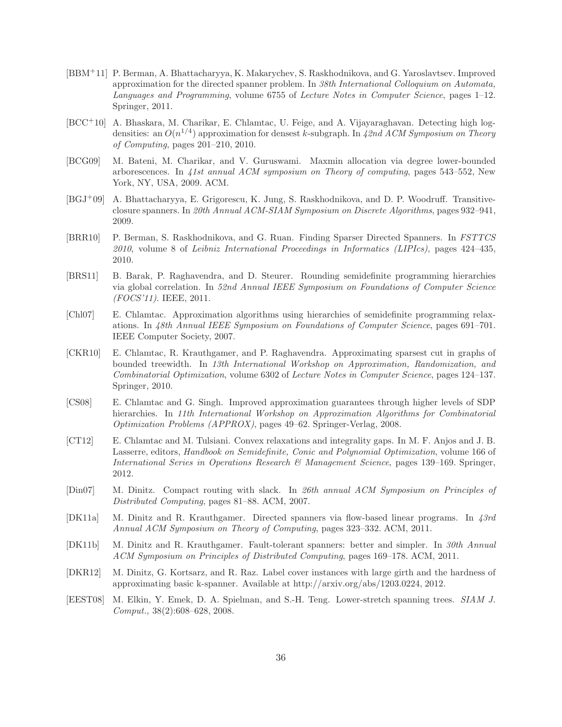- <span id="page-35-3"></span>[BBM+11] P. Berman, A. Bhattacharyya, K. Makarychev, S. Raskhodnikova, and G. Yaroslavtsev. Improved approximation for the directed spanner problem. In 38th International Colloquium on Automata, Languages and Programming, volume 6755 of Lecture Notes in Computer Science, pages 1–12. Springer, 2011.
- <span id="page-35-5"></span>[BCC+10] A. Bhaskara, M. Charikar, E. Chlamtac, U. Feige, and A. Vijayaraghavan. Detecting high logdensities: an  $O(n^{1/4})$  approximation for densest k-subgraph. In 42nd ACM Symposium on Theory of Computing, pages 201–210, 2010.
- <span id="page-35-9"></span>[BCG09] M. Bateni, M. Charikar, and V. Guruswami. Maxmin allocation via degree lower-bounded arborescences. In 41st annual ACM symposium on Theory of computing, pages 543–552, New York, NY, USA, 2009. ACM.
- <span id="page-35-0"></span>[BGJ+09] A. Bhattacharyya, E. Grigorescu, K. Jung, S. Raskhodnikova, and D. P. Woodruff. Transitiveclosure spanners. In 20th Annual ACM-SIAM Symposium on Discrete Algorithms, pages 932–941, 2009.
- <span id="page-35-1"></span>[BRR10] P. Berman, S. Raskhodnikova, and G. Ruan. Finding Sparser Directed Spanners. In FSTTCS 2010, volume 8 of Leibniz International Proceedings in Informatics (LIPIcs), pages 424–435, 2010.
- <span id="page-35-11"></span>[BRS11] B. Barak, P. Raghavendra, and D. Steurer. Rounding semidefinite programming hierarchies via global correlation. In 52nd Annual IEEE Symposium on Foundations of Computer Science (FOCS'11). IEEE, 2011.
- <span id="page-35-7"></span>[Chl07] E. Chlamtac. Approximation algorithms using hierarchies of semidefinite programming relaxations. In 48th Annual IEEE Symposium on Foundations of Computer Science, pages 691–701. IEEE Computer Society, 2007.
- <span id="page-35-10"></span>[CKR10] E. Chlamtac, R. Krauthgamer, and P. Raghavendra. Approximating sparsest cut in graphs of bounded treewidth. In 13th International Workshop on Approximation, Randomization, and Combinatorial Optimization, volume 6302 of Lecture Notes in Computer Science, pages 124–137. Springer, 2010.
- <span id="page-35-8"></span>[CS08] E. Chlamtac and G. Singh. Improved approximation guarantees through higher levels of SDP hierarchies. In 11th International Workshop on Approximation Algorithms for Combinatorial Optimization Problems (APPROX), pages 49–62. Springer-Verlag, 2008.
- <span id="page-35-6"></span>[CT12] E. Chlamtac and M. Tulsiani. Convex relaxations and integrality gaps. In M. F. Anjos and J. B. Lasserre, editors, Handbook on Semidefinite, Conic and Polynomial Optimization, volume 166 of International Series in Operations Research & Management Science, pages 139–169. Springer, 2012.
- <span id="page-35-4"></span>[Din07] M. Dinitz. Compact routing with slack. In 26th annual ACM Symposium on Principles of Distributed Computing, pages 81–88. ACM, 2007.
- <span id="page-35-2"></span>[DK11a] M. Dinitz and R. Krauthgamer. Directed spanners via flow-based linear programs. In 43rd Annual ACM Symposium on Theory of Computing, pages 323–332. ACM, 2011.
- <span id="page-35-13"></span>[DK11b] M. Dinitz and R. Krauthgamer. Fault-tolerant spanners: better and simpler. In 30th Annual ACM Symposium on Principles of Distributed Computing, pages 169–178. ACM, 2011.
- <span id="page-35-14"></span>[DKR12] M. Dinitz, G. Kortsarz, and R. Raz. Label cover instances with large girth and the hardness of approximating basic k-spanner. Available at http://arxiv.org/abs/1203.0224, 2012.
- <span id="page-35-12"></span>[EEST08] M. Elkin, Y. Emek, D. A. Spielman, and S.-H. Teng. Lower-stretch spanning trees. SIAM J. Comput., 38(2):608–628, 2008.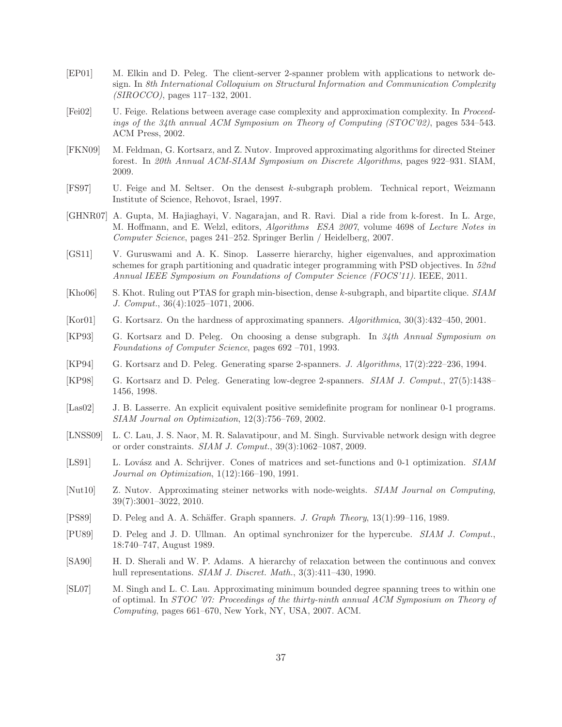- <span id="page-36-14"></span>[EP01] M. Elkin and D. Peleg. The client-server 2-spanner problem with applications to network design. In 8th International Colloquium on Structural Information and Communication Complexity (SIROCCO), pages 117–132, 2001.
- <span id="page-36-17"></span>[Fei02] U. Feige. Relations between average case complexity and approximation complexity. In Proceedings of the 34th annual ACM Symposium on Theory of Computing (STOC'02), pages 534–543. ACM Press, 2002.
- <span id="page-36-16"></span>[FKN09] M. Feldman, G. Kortsarz, and Z. Nutov. Improved approximating algorithms for directed Steiner forest. In 20th Annual ACM-SIAM Symposium on Discrete Algorithms, pages 922–931. SIAM, 2009.
- <span id="page-36-7"></span>[FS97] U. Feige and M. Seltser. On the densest k-subgraph problem. Technical report, Weizmann Institute of Science, Rehovot, Israel, 1997.
- <span id="page-36-6"></span>[GHNR07] A. Gupta, M. Hajiaghayi, V. Nagarajan, and R. Ravi. Dial a ride from k-forest. In L. Arge, M. Hoffmann, and E. Welzl, editors, Algorithms ESA 2007, volume 4698 of Lecture Notes in Computer Science, pages 241–252. Springer Berlin / Heidelberg, 2007.
- <span id="page-36-12"></span>[GS11] V. Guruswami and A. K. Sinop. Lasserre hierarchy, higher eigenvalues, and approximation schemes for graph partitioning and quadratic integer programming with PSD objectives. In 52nd Annual IEEE Symposium on Foundations of Computer Science (FOCS'11). IEEE, 2011.
- <span id="page-36-18"></span>[Kho06] S. Khot. Ruling out PTAS for graph min-bisection, dense k-subgraph, and bipartite clique. SIAM J. Comput., 36(4):1025–1071, 2006.
- <span id="page-36-15"></span>[Kor01] G. Kortsarz. On the hardness of approximating spanners. Algorithmica, 30(3):432–450, 2001.
- <span id="page-36-4"></span>[KP93] G. Kortsarz and D. Peleg. On choosing a dense subgraph. In 34th Annual Symposium on Foundations of Computer Science, pages 692 –701, 1993.
- <span id="page-36-13"></span>[KP94] G. Kortsarz and D. Peleg. Generating sparse 2-spanners. J. Algorithms, 17(2):222–236, 1994.
- <span id="page-36-0"></span>[KP98] G. Kortsarz and D. Peleg. Generating low-degree 2-spanners. SIAM J. Comput., 27(5):1438– 1456, 1998.
- <span id="page-36-11"></span>[Las02] J. B. Lasserre. An explicit equivalent positive semidefinite program for nonlinear 0-1 programs. SIAM Journal on Optimization, 12(3):756–769, 2002.
- <span id="page-36-2"></span>[LNSS09] L. C. Lau, J. S. Naor, M. R. Salavatipour, and M. Singh. Survivable network design with degree or order constraints. SIAM J. Comput., 39(3):1062–1087, 2009.
- <span id="page-36-9"></span>[LS91] L. Lovász and A. Schrijver. Cones of matrices and set-functions and 0-1 optimization. SIAM Journal on Optimization, 1(12):166–190, 1991.
- <span id="page-36-5"></span>[Nut10] Z. Nutov. Approximating steiner networks with node-weights. SIAM Journal on Computing, 39(7):3001–3022, 2010.
- <span id="page-36-10"></span>[PS89] D. Peleg and A. A. Schäffer. Graph spanners. J. Graph Theory, 13(1):99–116, 1989.
- <span id="page-36-1"></span>[PU89] D. Peleg and J. D. Ullman. An optimal synchronizer for the hypercube. SIAM J. Comput., 18:740–747, August 1989.
- <span id="page-36-8"></span>[SA90] H. D. Sherali and W. P. Adams. A hierarchy of relaxation between the continuous and convex hull representations. *SIAM J. Discret. Math.*, 3(3):411-430, 1990.
- <span id="page-36-3"></span>[SL07] M. Singh and L. C. Lau. Approximating minimum bounded degree spanning trees to within one of optimal. In STOC '07: Proceedings of the thirty-ninth annual ACM Symposium on Theory of Computing, pages 661–670, New York, NY, USA, 2007. ACM.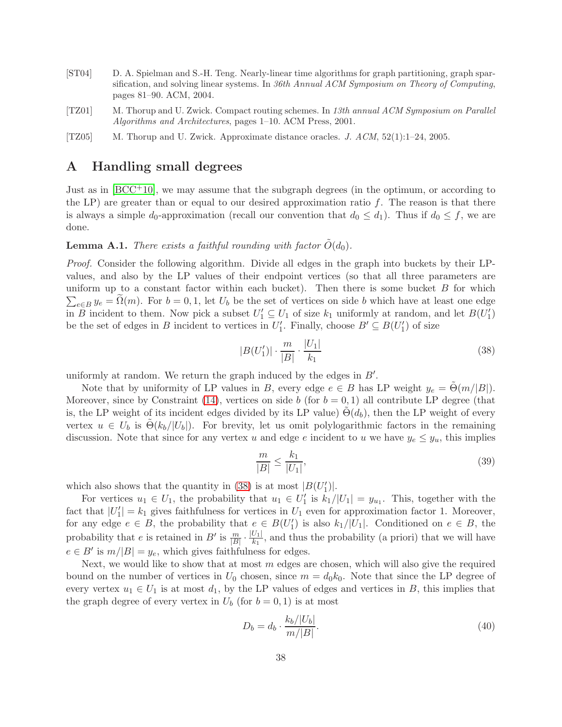- <span id="page-37-2"></span>[ST04] D. A. Spielman and S.-H. Teng. Nearly-linear time algorithms for graph partitioning, graph sparsification, and solving linear systems. In 36th Annual ACM Symposium on Theory of Computing, pages 81–90. ACM, 2004.
- <span id="page-37-0"></span>[TZ01] M. Thorup and U. Zwick. Compact routing schemes. In 13th annual ACM Symposium on Parallel Algorithms and Architectures, pages 1–10. ACM Press, 2001.
- <span id="page-37-3"></span><span id="page-37-1"></span>[TZ05] M. Thorup and U. Zwick. Approximate distance oracles. J. ACM, 52(1):1–24, 2005.

## A Handling small degrees

Just as in [\[BCC](#page-35-5)+10], we may assume that the subgraph degrees (in the optimum, or according to the LP) are greater than or equal to our desired approximation ratio  $f$ . The reason is that there is always a simple  $d_0$ -approximation (recall our convention that  $d_0 \leq d_1$ ). Thus if  $d_0 \leq f$ , we are done.

## **Lemma A.1.** There exists a faithful rounding with factor  $\dot{O}(d_0)$ .

Proof. Consider the following algorithm. Divide all edges in the graph into buckets by their LPvalues, and also by the LP values of their endpoint vertices (so that all three parameters are uniform up to a constant factor within each bucket). Then there is some bucket  $B$  for which  $\sum_{e \in B} y_e = \tilde{\Omega}(m)$ . For  $b = 0, 1$ , let  $U_b$  be the set of vertices on side b which have at least one edge in B incident to them. Now pick a subset  $U'_1 \subseteq U_1$  of size  $k_1$  uniformly at random, and let  $B(U'_1)$ be the set of edges in B incident to vertices in  $U'_1$ . Finally, choose  $B' \subseteq B(U'_1)$  of size

<span id="page-37-4"></span>
$$
|B(U'_1)| \cdot \frac{m}{|B|} \cdot \frac{|U_1|}{k_1} \tag{38}
$$

uniformly at random. We return the graph induced by the edges in  $B'$ .

Note that by uniformity of LP values in B, every edge  $e \in B$  has LP weight  $y_e = \tilde{\Theta}(m/|B|)$ . Moreover, since by Constraint [\(14\)](#page-12-4), vertices on side b (for  $b = 0, 1$ ) all contribute LP degree (that is, the LP weight of its incident edges divided by its LP value)  $\Theta(d_b)$ , then the LP weight of every vertex  $u \in U_b$  is  $\Theta(k_b/|U_b|)$ . For brevity, let us omit polylogarithmic factors in the remaining discussion. Note that since for any vertex u and edge e incident to u we have  $y_e \leq y_u$ , this implies

$$
\frac{m}{|B|} \le \frac{k_1}{|U_1|},\tag{39}
$$

which also shows that the quantity in [\(38\)](#page-37-4) is at most  $|B(U'_1)|$ .

For vertices  $u_1 \in U_1$ , the probability that  $u_1 \in U_1'$  is  $k_1/|U_1| = y_{u_1}$ . This, together with the fact that  $|U_1'| = k_1$  gives faithfulness for vertices in  $U_1$  even for approximation factor 1. Moreover, for any edge  $e \in B$ , the probability that  $e \in B(U_1')$  is also  $k_1/|U_1|$ . Conditioned on  $e \in B$ , the probability that e is retained in B' is  $\frac{m}{|B|} \cdot \frac{|U_1|}{k_1}$ , and thus the probability (a priori) that we will have  $e \in B'$  is  $m/|B| = y_e$ , which gives faithfulness for edges.

Next, we would like to show that at most  $m$  edges are chosen, which will also give the required bound on the number of vertices in  $U_0$  chosen, since  $m = d_0k_0$ . Note that since the LP degree of every vertex  $u_1 \in U_1$  is at most  $d_1$ , by the LP values of edges and vertices in B, this implies that the graph degree of every vertex in  $U_b$  (for  $b = 0, 1$ ) is at most

<span id="page-37-5"></span>
$$
D_b = d_b \cdot \frac{k_b/|U_b|}{m/|B|}.\tag{40}
$$